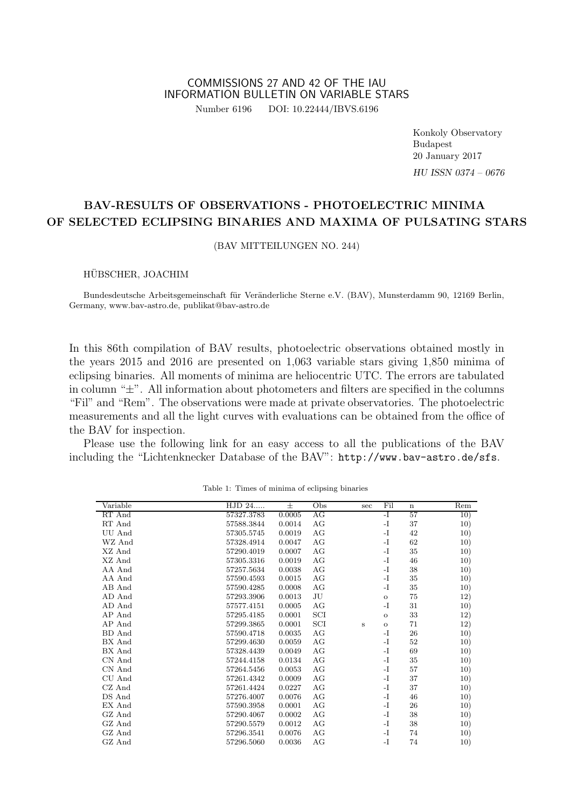#### COMMISSIONS 27 AND 42 OF THE IAU INFORMATION BULLETIN ON VARIABLE STARS Number 6196 DOI: 10.22444/IBVS.6196

Konkoly Observatory Budapest 20 January 2017 HU ISSN 0374 – 0676

# BAV-RESULTS OF OBSERVATIONS - PHOTOELECTRIC MINIMA OF SELECTED ECLIPSING BINARIES AND MAXIMA OF PULSATING STARS

(BAV MITTEILUNGEN NO. 244)

#### HUBSCHER, JOACHIM ¨

Bundesdeutsche Arbeitsgemeinschaft für Veränderliche Sterne e.V. (BAV), Munsterdamm 90, 12169 Berlin, Germany, www.bav-astro.de, publikat@bav-astro.de

In this 86th compilation of BAV results, photoelectric observations obtained mostly in the years 2015 and 2016 are presented on 1,063 variable stars giving 1,850 minima of eclipsing binaries. All moments of minima are heliocentric UTC. The errors are tabulated in column " $\pm$ ". All information about photometers and filters are specified in the columns "Fil" and "Rem". The observations were made at private observatories. The photoelectric measurements and all the light curves with evaluations can be obtained from the office of the BAV for inspection.

Please use the following link for an easy access to all the publications of the BAV including the "Lichtenknecker Database of the BAV": http://www.bav-astro.de/sfs.

| Variable | HJD 24     | 士      | Obs | sec          | Fil           | $\mathbf n$ | Rem |
|----------|------------|--------|-----|--------------|---------------|-------------|-----|
| RT And   | 57327.3783 | 0.0005 | AG  |              | $-I$          | 57          | 10) |
| RT And   | 57588.3844 | 0.0014 | AG  |              | $-I$          | 37          | 10) |
| UU And   | 57305.5745 | 0.0019 | AG  |              | $-I$          | 42          | 10) |
| WZ And   | 57328.4914 | 0.0047 | AG  |              | $-I$          | 62          | 10) |
| XZ And   | 57290.4019 | 0.0007 | AG  |              | $-I$          | 35          | 10) |
| XZ And   | 57305.3316 | 0.0019 | AG  |              | $-I$          | 46          | 10) |
| AA And   | 57257.5634 | 0.0038 | AG  |              | $-I$          | 38          | 10) |
| AA And   | 57590.4593 | 0.0015 | AG  |              | $-I$          | 35          | 10) |
| AB And   | 57590.4285 | 0.0008 | AG  |              | $-I$          | 35          | 10) |
| AD And   | 57293.3906 | 0.0013 | JU  |              | $\mathcal O$  | 75          | 12) |
| AD And   | 57577.4151 | 0.0005 | AG  |              | $-I$          | 31          | 10) |
| AP And   | 57295.4185 | 0.0001 | SCI |              | $\mathbf O$   | 33          | 12) |
| AP And   | 57299.3865 | 0.0001 | SCI | $\, {\bf S}$ | $\mathbf O$   | 71          | 12) |
| BD And   | 57590.4718 | 0.0035 | AG  |              | $-I$          | 26          | 10) |
| BX And   | 57299.4630 | 0.0059 | AG  |              | $-I$          | 52          | 10) |
| BX And   | 57328.4439 | 0.0049 | AG  |              | -I            | 69          | 10) |
| CN And   | 57244.4158 | 0.0134 | AG  |              | $-I$          | 35          | 10) |
| CN And   | 57264.5456 | 0.0053 | AG  |              | $-I$          | 57          | 10) |
| CU And   | 57261.4342 | 0.0009 | AG  |              | $\mathbf{-I}$ | 37          | 10) |
| CZ And   | 57261.4424 | 0.0227 | AG  |              | $-I$          | 37          | 10) |
| DS And   | 57276.4007 | 0.0076 | AG  |              | $-I$          | 46          | 10) |
| EX And   | 57590.3958 | 0.0001 | AG  |              | $-I$          | 26          | 10) |
| GZ And   | 57290.4067 | 0.0002 | AG  |              | $-I$          | 38          | 10) |
| GZ And   | 57290.5579 | 0.0012 | AG  |              | $-I$          | 38          | 10) |
| GZ And   | 57296.3541 | 0.0076 | AG  |              | -1            | 74          | 10) |
| GZ And   | 57296.5060 | 0.0036 | AG  |              | -I            | 74          | 10) |

Table 1: Times of minima of eclipsing binaries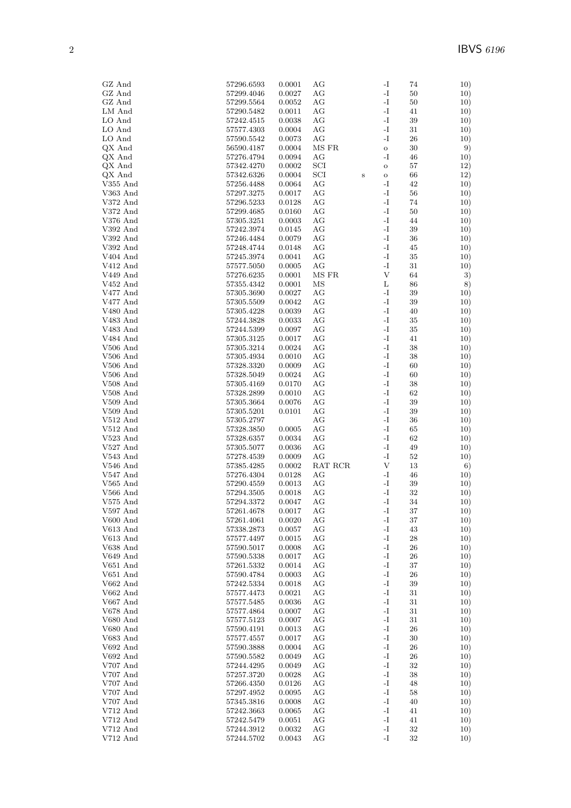| GZ And                   | 57296.6593               | 0.0001           | AG            |         | $\mathbf{I}$       | 74          | 10)        |
|--------------------------|--------------------------|------------------|---------------|---------|--------------------|-------------|------------|
| GZ And                   | 57299.4046               | 0.0027           | AG            |         | I-                 | 50          | 10)        |
| GZ And                   | 57299.5564               | 0.0052           | AG            |         | $\mathbf I$ –      | $50\,$      | 10)        |
| LM And                   | 57290.5482               | 0.0011           | AG            |         | $\mathbf{I}$       | 41          | 10)        |
| LO And                   | 57242.4515               | 0.0038           | AG            |         | $\mathbf{I}$       | 39          | 10)        |
| LO And                   | 57577.4303               | 0.0004           | AG            |         | $\mathbf{I}$       | 31          | 10)        |
| LO And                   | 57590.5542               | 0.0073           | АG            |         | I-                 | 26          | 10)        |
| QX And                   | 56590.4187               | 0.0004           | MS FR         |         | $\mathbf O$<br>-I  | $30\,$      | 9)         |
| QX And                   | 57276.4794               | 0.0094           | АG            |         |                    | 46          | 10)        |
| QX And                   | 57342.4270               | 0.0002           | SCI<br>SCI    |         | $\rm{O}$           | 57          | 12)        |
| QX And<br>$\rm V355$ And | 57342.6326<br>57256.4488 | 0.0004<br>0.0064 | AG            | $\bf S$ | $\mathbf O$<br>-I  | 66<br>42    | 12)<br>10) |
| V363 And                 | 57297.3275               | 0.0017           | AG            |         | I-                 | 56          | 10)        |
| V372 And                 | 57296.5233               | 0.0128           | AG            |         | I-                 | 74          | 10)        |
| V372 And                 | 57299.4685               | $0.0160\,$       | AG            |         | -I                 | 50          | 10)        |
| V376 And                 | 57305.3251               | 0.0003           | AG            |         | I-                 | 44          | 10)        |
| V392 And                 | 57242.3974               | 0.0145           | AG            |         | -I                 | 39          | 10)        |
| $\rm V392$ And           | 57246.4484               | 0.0079           | AG            |         | $\mathbf{I}$       | 36          | 10)        |
| V392 And                 | 57248.4744               | 0.0148           | AG            |         | I-                 | 45          | 10)        |
| V404 And                 | 57245.3974               | 0.0041           | АG            |         | -I                 | 35          | 10)        |
| $\rm V412$ And           | 57577.5050               | 0.0005           | AG            |         | -I                 | 31          | 10)        |
| V449 And                 | 57276.6235               | 0.0001           | MS FR         |         | V                  | 64          | 3)         |
| V452 And                 | 57355.4342               | 0.0001           | ΜS            |         | L                  | 86          | 8)         |
| V477 And                 | 57305.3690               | 0.0027           | AG            |         | I-                 | 39          | 10)        |
| V477 And                 | 57305.5509               | 0.0042           | AG            |         | $\mathbf{I}$       | 39          | 10)        |
| $V480$ And               | 57305.4228               | 0.0039           | АG            |         | I-                 | 40          | 10)        |
| $\rm V483$ And           | 57244.3828               | 0.0033           | АG            |         | -I                 | $35\,$      | 10)        |
| V483 And                 | 57244.5399               | 0.0097           | AG            |         | $\mathbf{I}$       | $35\,$      | 10)        |
| V484 And                 | 57305.3125               | 0.0017           | AG            |         | $\mathbf{I}$       | 41          | 10)        |
| $V506$ And               | 57305.3214               | 0.0024           | AG            |         | $\mathbf{I}$       | 38          | 10)        |
| V506 And                 | 57305.4934               | 0.0010           | AG            |         | $\mathbf{I}$       | 38          | 10)        |
| V506 And                 | 57328.3320               | 0.0009           | AG            |         | $\mathbf{I}$       | 60          | 10)        |
| V506 And                 | 57328.5049               | 0.0024           | AG            |         | I-                 | 60          | 10)        |
| $V508$ And               | 57305.4169               | 0.0170           | AG            |         | -I                 | 38          | 10)        |
| $V508$ And               | 57328.2899               | 0.0010           | $\rm{AG}$     |         | $\mathbf{I}$       | 62          | 10)        |
| $V509$ And               | 57305.3664               | 0.0076           | AG            |         | -I                 | 39          | 10)        |
| $V509$ And               | 57305.5201               | 0.0101           | AG            |         | $\mathbf{I}$       | 39          | 10)        |
| $V512$ And               | 57305.2797               |                  | AG            |         | $\mathbf{I}$       | 36          | 10)        |
| $V512$ And               | 57328.3850               | 0.0005           | АG            |         | -I                 | 65          | 10)        |
| $V523$ And               | 57328.6357               | 0.0034           | AG            |         | I-<br>$\mathbf{I}$ | 62          | 10)        |
| $V527$ And               | 57305.5077               | 0.0036           | AG            |         | I-                 | 49          | 10)        |
| V543 And<br>$V546$ And   | 57278.4539<br>57385.4285 | 0.0009<br>0.0002 | АG<br>RAT RCR |         | V                  | 52<br>13    | 10)<br>6)  |
| $V547$ And               | 57276.4304               | 0.0128           | AG            |         | -I                 | 46          | 10)        |
| $V565$ And               | 57290.4559               | 0.0013           | AG            |         | I-                 | 39          | 10)        |
| $V566$ And               | 57294.3505               | 0.0018           | AG            |         | I-                 | 32          | 10)        |
| V575 And                 | 57294.3372               | 0.0047           | АG            |         | -I                 | 34          | 10)        |
| V597 And                 | 57261.4678               | 0.0017           | $\rm{AG}$     |         | I-                 | $37\,$      | 10)        |
| V600 And                 | 57261.4061               | 0.0020           | AG            |         | -I                 | 37          | 10)        |
| V613 And                 | 57338.2873               | 0.0057           | AG            |         | $\mathbf{I}$       | 43          | 10)        |
| V613 And                 | 57577.4497               | 0.0015           | AG            |         | $\mathbf{I}$       | $\sqrt{28}$ | 10)        |
| V638 And                 | 57590.5017               | 0.0008           | AG            |         | -I                 | $26\,$      | 10)        |
| V649 And                 | 57590.5338               | 0.0017           | AG            |         | $\mathbf{I}$       | $26\,$      | 10)        |
| V651 And                 | 57261.5332               | 0.0014           | AG            |         | -I                 | 37          | 10)        |
| $\rm V651$ And           | 57590.4784               | 0.0003           | AG            |         | $\mathbf{I}$       | 26          | 10)        |
| $V662$ And               | 57242.5334               | 0.0018           | AG            |         | $\mathbf{I}$       | 39          | 10)        |
| V662 And                 | 57577.4473               | 0.0021           | AG            |         | $\mathbf{I}$       | $31\,$      | 10)        |
| V667 And                 | $57577.5485\,$           | 0.0036           | АG            |         | $\mathbf{I}$       | 31          | 10)        |
| V678 And                 | 57577.4864               | 0.0007           | AG            |         | -I                 | 31          | 10)        |
| V680 And                 | 57577.5123               | 0.0007           | AG            |         | $\mathbf{I}$       | 31          | 10)        |
| V680 And                 | 57590.4191               | 0.0013           | AG            |         | $\mathbf{I}$       | 26          | 10)        |
| V683 And                 | 57577.4557               | 0.0017           | AG            |         | $\mathbf{I}$       | 30          | 10)        |
| $V692$ And               | 57590.3888               | 0.0004           | AG            |         | $\mathbf{I}$       | 26          | 10)        |
| V692 And                 | 57590.5582               | 0.0049           | AG            |         | $\mathbf{I}$       | 26          | 10)        |
| V707 And                 | 57244.4295               | 0.0049           | AG            |         | I-                 | 32          | 10)        |
| V707 And                 | 57257.3720               | 0.0028           | AG<br>AG      |         | -I<br>$\mathbf{I}$ | 38<br>48    | 10)        |
| V707 And<br>V707 And     | 57266.4350<br>57297.4952 | 0.0126<br>0.0095 | AG            |         | $\mathbf{I}$       | 58          | 10)        |
| V707 And                 | 57345.3816               | 0.0008           | AG            |         | $\mathbf{I}$       | 40          | 10)<br>10) |
| V712 And                 | 57242.3663               | 0.0065           | AG            |         | $\mathbf{I}$       | 41          | 10)        |
| V712 And                 | 57242.5479               | 0.0051           | AG            |         | -I                 | 41          | 10)        |
| V712 And                 | 57244.3912               | 0.0032           | AG            |         | $\mathbf{I}$       | 32          | 10)        |
| V712 And                 | 57244.5702               | 0.0043           | AG            |         | $\mathbf{I}$       | 32          | 10)        |
|                          |                          |                  |               |         |                    |             |            |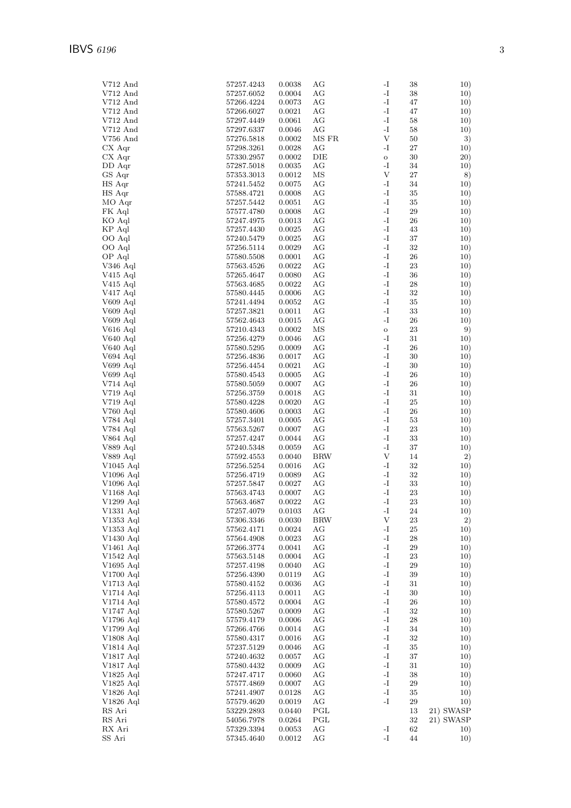| V712 And          | 57257.4243     | 0.0038 | AG         | -1<br>38                    | 10)       |
|-------------------|----------------|--------|------------|-----------------------------|-----------|
| $V712$ And        | 57257.6052     | 0.0004 | AG         | $\mathbf{I}$<br>38          | 10)       |
| V712 And          | 57266.4224     | 0.0073 | AG         | -I<br>47                    | 10)       |
|                   |                |        |            |                             |           |
| $V712$ And        | 57266.6027     | 0.0021 | AG         | -I<br>47                    | 10)       |
| $V712$ And        | 57297.4449     | 0.0061 | AG         | -I<br>58                    | 10)       |
| V712 And          | 57297.6337     | 0.0046 | AG         | $\mathbf{-I}$<br>58         | 10)       |
| $V756$ And        | 57276.5818     | 0.0002 | MS FR      | V<br>50                     | 3)        |
| $CX$ Aqr          | 57298.3261     | 0.0028 | AG         | -I<br>$27\,$                | 10)       |
| $CX$ Aqr          | 57330.2957     | 0.0002 | DIE        | 30<br>$\rm{O}$              | 20)       |
| DD Aqr            | 57287.5018     | 0.0035 | AG         | -I<br>34                    | 10)       |
|                   |                |        |            | V<br>$27\,$                 |           |
| GS Aqr            | 57353.3013     | 0.0012 | ΜS         |                             | 8)        |
| HS Aqr            | 57241.5452     | 0.0075 | AG         | -I<br>34                    | 10)       |
| HS Aqr            | 57588.4721     | 0.0008 | AG         | -I<br>35                    | 10)       |
| MO Aqr            | 57257.5442     | 0.0051 | AG         | -I<br>$35\,$                | 10)       |
| FK Aql            | 57577.4780     | 0.0008 | AG         | $\mathbf{-I}$<br>29         | 10)       |
| KO Aql            | 57247.4975     | 0.0013 | AG         | -I<br>26                    | 10)       |
| KP Aql            | 57257.4430     | 0.0025 | AG         | -I<br>43                    | 10)       |
|                   |                |        |            | $\mathbf{I}$                |           |
| OO Aql            | 57240.5479     | 0.0025 | AG         | 37                          | 10)       |
| OO Aql            | $57256.5114\,$ | 0.0029 | AG         | $\mathbf{-I}$<br>32         | 10)       |
| OP Aql            | 57580.5508     | 0.0001 | AG         | -I<br>26                    | 10)       |
| V346 Aql          | 57563.4526     | 0.0022 | AG         | -I<br>23                    | 10)       |
| $\rm V415\,\,Aql$ | 57265.4647     | 0.0080 | AG         | $\mathbf{-I}$<br>36         | 10)       |
| $\rm V415$ Aql    | 57563.4685     | 0.0022 | AG         | -I<br>$\sqrt{28}$           | 10)       |
| $\rm V417\;Aql$   | 57580.4445     | 0.0006 | AG         | -I<br>32                    | 10)       |
|                   |                |        |            | $\mathbf{-I}$               |           |
| ${\rm V609}$ Aql  | 57241.4494     | 0.0052 | AG         | 35                          | 10)       |
| ${\rm V609}$ Aql  | 57257.3821     | 0.0011 | AG         | -I<br>33                    | 10)       |
| $V609$ Aql        | 57562.4643     | 0.0015 | AG         | -I<br>26                    | 10)       |
| $V616$ Aql        | 57210.4343     | 0.0002 | ΜS         | 23<br>$\mathbf{o}$          | 9)        |
| V640 Aql          | 57256.4279     | 0.0046 | AG         | -I<br>31                    | 10)       |
| V640 Aql          | 57580.5295     | 0.0009 | AG         | -I<br>26                    | 10)       |
| V694 Aql          |                |        | AG         | $\mathbf{-I}$<br>30         |           |
|                   | 57256.4836     | 0.0017 |            |                             | 10)       |
| ${\rm V699}$ Aql  | 57256.4454     | 0.0021 | AG         | -I<br>30                    | 10)       |
| ${\rm V699}$ Aql  | 57580.4543     | 0.0005 | AG         | -I<br>$26\,$                | 10)       |
| V714 Aql          | 57580.5059     | 0.0007 | AG         | $\mathbf{-I}$<br>26         | 10)       |
| V719 Aql          | 57256.3759     | 0.0018 | AG         | -I<br>31                    | 10)       |
| V719 Aql          | 57580.4228     | 0.0020 | AG         | -I<br>25                    | 10)       |
| $V760$ Aql        | 57580.4606     | 0.0003 | AG         | $\mathbf{I}$<br>26          | 10)       |
| V784 Aql          | 57257.3401     | 0.0005 | AG         | $\mathbf{-I}$<br>53         | 10)       |
|                   |                |        |            |                             |           |
| V784 Aql          | 57563.5267     | 0.0007 | AG         | -I<br>23                    | 10)       |
| V864 Aql          | 57257.4247     | 0.0044 | AG         | -I<br>33                    | 10)       |
| V889 Aql          | 57240.5348     | 0.0059 | AG         | $\mathbf{I}$<br>37          | 10)       |
| ${\rm V}889$ Aql  | 57592.4553     | 0.0040 | <b>BRW</b> | V<br>14                     | 2)        |
| V1045 Aql         | $57256.5254\,$ | 0.0016 | AG         | -I<br>32                    | 10)       |
| V1096 Aql         | 57256.4719     | 0.0089 | AG         | -I<br>32                    | 10)       |
| V1096 Aql         | 57257.5847     | 0.0027 | AG         | -I<br>33                    | 10)       |
|                   |                |        |            |                             |           |
| $V1168$ Aql       | 57563.4743     | 0.0007 | AG         | $\mathbf{I}$<br>23          | 10)       |
| V1299 Aql         | 57563.4687     | 0.0022 | AG         | $\mathbf{-I}$<br>23         | 10)       |
| V1331 Aql         | 57257.4079     | 0.0103 | AG         | $\mathbf{I}$ –<br>24        | 10)       |
| V1353 Aql         | 57306.3346     | 0.0030 | BRW        | V<br>23                     | 2)        |
| V1353 Aql         | 57562.4171     | 0.0024 | AG         | $\mathbf{I}$<br>25          | 10)       |
| V1430 Aql         | 57564.4908     | 0.0023 | AG         | $\mathbf{I}$<br>$\sqrt{28}$ | 10)       |
| $V1461$ Aql       | 57266.3774     | 0.0041 | AG         | $\mathbf{I}$<br>29          | 10)       |
|                   |                |        |            |                             |           |
| $V1542$ Aql       | 57563.5148     | 0.0004 | AG         | $\mathbf{I}$<br>23          | 10)       |
| V1695 Aql         | 57257.4198     | 0.0040 | AG         | $\mathbf{I}$<br>29          | 10)       |
| V1700 Aql         | 57256.4390     | 0.0119 | AG         | $\mathbf{I}$<br>$39\,$      | 10)       |
| V1713 Aql         | 57580.4152     | 0.0036 | AG         | $\mathbf{-I}$<br>31         | 10)       |
| $V1714$ Aql       | 57256.4113     | 0.0011 | AG         | $\mathbf{I}$<br>$30\,$      | 10)       |
| V1714 Aql         | 57580.4572     | 0.0004 | AG         | $\mathbf{I}$<br>26          | 10)       |
| V1747 Aql         | 57580.5267     | 0.0009 | AG         | $\mathbf{I}$<br>32          | 10)       |
|                   |                |        |            |                             |           |
| V1796 Aql         | 57579.4179     | 0.0006 | AG         | $\mathbf{I}$<br>$\sqrt{28}$ | 10)       |
| V1799 Aql         | 57266.4766     | 0.0014 | AG         | $\mathbf{I}$<br>34          | 10)       |
| V1808 Aql         | 57580.4317     | 0.0016 | AG         | $\mathbf{I}$<br>32          | 10)       |
| $V1814$ Aql       | 57237.5129     | 0.0046 | AG         | $\mathbf{I}$<br>$35\,$      | 10)       |
| V1817 Aql         | 57240.4632     | 0.0057 | AG         | $\mathbf{I}$<br>37          | 10)       |
| V1817 Aql         | 57580.4432     | 0.0009 | AG         | $\mathbf{I}$<br>31          | 10)       |
| V1825 Aql         | 57247.4717     | 0.0060 | AG         | $\mathbf{I}$<br>38          | 10)       |
|                   |                |        |            | $\mathbf{I}$                |           |
| $\rm V1825$ Aql   | 57577.4869     | 0.0007 | AG         | 29                          | 10)       |
| V1826 Aql         | 57241.4907     | 0.0128 | AG         | $\mathbf{I}$<br>$35\,$      | 10)       |
| V1826 Aql         | 57579.4620     | 0.0019 | AG         | $\mathbf{-I}$<br>29         | 10)       |
| RS Ari            | 53229.2893     | 0.0440 | PGL        | 13                          | 21) SWASP |
| RS Ari            | 54056.7978     | 0.0264 | PGL        | 32                          | 21) SWASP |
| RX Ari            | 57329.3394     | 0.0053 | AG         | $\mathbf{I}$<br>62          | 10)       |
| SS Ari            | 57345.4640     | 0.0012 | AG         | $\mathbf{-I}$<br>44         | 10)       |
|                   |                |        |            |                             |           |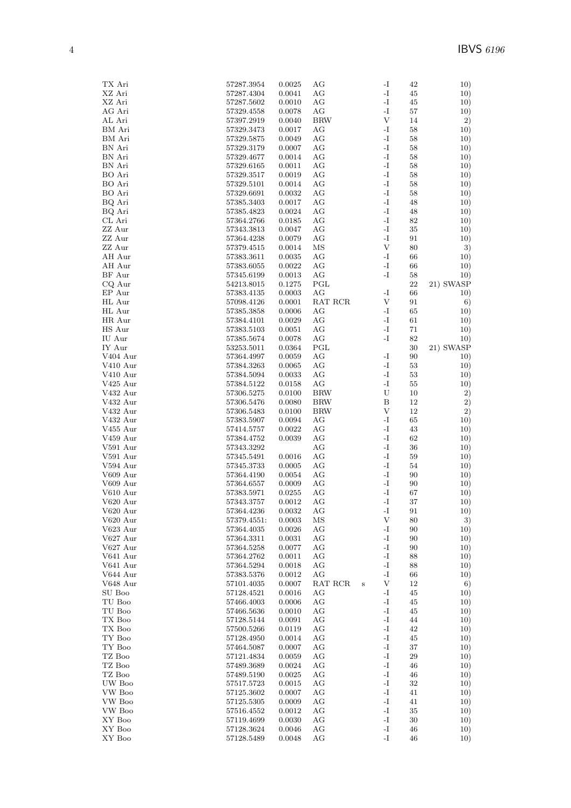| TX Ari                  | 57287.3954  | 0.0025     | AG         |        | $\mathbf{I}$              | 42     | 10)       |
|-------------------------|-------------|------------|------------|--------|---------------------------|--------|-----------|
| XZ Ari                  | 57287.4304  | 0.0041     | AG         |        | $\mathbf{I}$              | 45     | 10)       |
| XZ Ari                  | 57287.5602  | 0.0010     | AG         |        | -I                        | 45     | 10)       |
| AG Ari                  | 57329.4558  | 0.0078     | AG         |        | $\mathbf{I}$              | $57\,$ | 10)       |
| AL Ari                  | 57397.2919  | 0.0040     | <b>BRW</b> |        | $\ensuremath{\mathbf{V}}$ | 14     | 2)        |
| BM Ari                  | 57329.3473  | 0.0017     | AG         |        | -I                        | 58     | 10)       |
| BM Ari                  | 57329.5875  | 0.0049     | AG         |        | $\mathbf{I}$              | 58     | 10)       |
| BN Ari                  | 57329.3179  | 0.0007     | AG         |        | $\mathbf{I}$              | 58     | 10)       |
| BN Ari                  | 57329.4677  | 0.0014     | AG         |        | $\mathbf{I}$              | 58     | 10)       |
| BN Ari                  | 57329.6165  | 0.0011     | AG         |        | -I                        | 58     | 10)       |
| BO Ari                  | 57329.3517  | 0.0019     | AG         |        | $\mathbf{I}$              | 58     | 10)       |
| BO Ari                  | 57329.5101  | 0.0014     | АG         |        | -I                        | 58     | 10)       |
| BO Ari                  | 57329.6691  | 0.0032     | AG         |        | $\mathbf{I}$              | 58     | 10)       |
| BQ Ari                  | 57385.3403  | 0.0017     | AG         |        | $\mathbf{I}$              | 48     | 10)       |
| BQ Ari                  | 57385.4823  | 0.0024     | АG         |        | $\mathbf{I}$              | 48     | 10)       |
| CL Ari                  | 57364.2766  | 0.0185     | AG         |        | $\mathbf{I}$              | 82     | 10)       |
| ZZ Aur                  | 57343.3813  | 0.0047     | AG         |        | -I                        | $35\,$ | 10)       |
| ZZ Aur                  | 57364.4238  | 0.0079     | АG         |        | $\mathbf{I}$              | 91     | 10)       |
| ZZ Aur                  | 57379.4515  | 0.0014     | MS         |        | V                         | 80     | 3)        |
| AH Aur                  | 57383.3611  | 0.0035     | AG         |        | $\mathbf{I}$              | 66     | 10)       |
| AH Aur                  | 57383.6055  | 0.0022     | AG         |        | $\mathbf{I}$              | 66     | 10)       |
| BF Aur                  | 57345.6199  | 0.0013     | AG         |        | -I                        | 58     | 10)       |
| CQ Aur                  | 54213.8015  | 0.1275     | PGL        |        |                           | $22\,$ | 21) SWASP |
| EP Aur                  | 57383.4135  | 0.0003     | AG         |        | -I                        | 66     | 10)       |
| HL Aur                  | 57098.4126  | 0.0001     | RAT RCR    |        | V                         | 91     | 6)        |
| HL Aur                  | 57385.3858  | 0.0006     | АG         |        | -I                        | 65     | 10)       |
| HR Aur                  | 57384.4101  | 0.0029     | AG         |        | $\mathbf{I}$              | 61     | 10)       |
| HS Aur                  | 57383.5103  | 0.0051     | AG         |        | $\mathbf{I}$              | 71     | 10)       |
| IU Aur                  | 57385.5674  | 0.0078     | АG         |        | -I                        | 82     | 10)       |
| IY Aur                  | 53253.5011  | 0.0364     | PGL        |        |                           | $30\,$ | 21) SWASP |
| V404 Aur                | 57364.4997  | 0.0059     | AG         |        | -I                        | 90     | 10)       |
| $V410 \; \mathrm{A}$ ur | 57384.3263  | 0.0065     | AG         |        | $\mathbf{I}$              | 53     | 10)       |
| V410 Aur                | 57384.5094  | 0.0033     | AG         |        | $\mathbf{I}$              | $53\,$ | 10)       |
| V425 Aur                | 57384.5122  | 0.0158     | AG         |        | -I                        | 55     | 10)       |
| V432 Aur                | 57306.5275  | 0.0100     | <b>BRW</b> |        | U                         | 10     | 2)        |
| V432 Aur                | 57306.5476  | 0.0080     | <b>BRW</b> |        | B                         | 12     | 2)        |
| $\rm V432 \; Aur$       | 57306.5483  | 0.0100     | <b>BRW</b> |        | $\ensuremath{\mathbf{V}}$ | 12     | 2)        |
| $\rm V432 \; Aur$       | 57383.5907  | 0.0094     | AG         |        | -I                        | 65     | 10)       |
| $V455$ Aur              | 57414.5757  | $0.0022\,$ | AG         |        | $\mathbf{I}$              | 43     | 10)       |
| V459 Aur                | 57384.4752  | 0.0039     | AG         |        | $\mathbf{I}$              | 62     | 10)       |
| $\rm V591~\,$           | 57343.3292  |            | AG         |        | -I                        | 36     | 10)       |
| $V591$ Aur              | 57345.5491  | 0.0016     | AG         |        | $\mathbf{I}$              | 59     | 10)       |
| V594 Aur                | 57345.3733  | 0.0005     | АG         |        | -I                        | 54     | 10)       |
| V609 Aur                | 57364.4190  | 0.0054     | AG         |        | -I                        | 90     | 10)       |
| V609 Aur                | 57364.6557  | 0.0009     | AG         |        | -I                        | 90     | 10)       |
| V610 Aur                | 57383.5971  | 0.0255     | AG         |        | $\mathbf{I}$              | 67     | 10)       |
| V620 Aur                | 57343.3757  | 0.0012     | АG         |        | -I                        | 37     | 10)       |
| $V620$ Aur              | 57364.4236  | 0.0032     | AG         |        | -1                        | 91     | 10)       |
| V620 Aur                | 57379.4551: | 0.0003     | ΜS         |        | V                         | 80     | 3)        |
| V623 Aur                | 57364.4035  | 0.0026     | АG         |        | -I                        | 90     | 10)       |
| V627 Aur                | 57364.3311  | 0.0031     | AG         |        | $\mathbf{I}$              | 90     | 10)       |
| V627 Aur                | 57364.5258  | 0.0077     | AG         |        | -I                        | 90     | 10)       |
| V641 Aur                | 57364.2762  | 0.0011     | AG         |        | $\mathbf{I}$              | 88     | 10)       |
| V641 Aur                | 57364.5294  | 0.0018     | AG         |        | -I                        | 88     | 10)       |
| V644 Aur                | 57383.5376  | 0.0012     | AG         |        | $\mathbf{I}$              | 66     | 10)       |
| V648 Aur                | 57101.4035  | 0.0007     | RAT RCR    | $\,$ s | $\ensuremath{\mathbf{V}}$ | 12     | 6)        |
| SU Boo                  | 57128.4521  | 0.0016     | АG         |        | -I                        | 45     | 10)       |
| TU Boo                  | 57466.4003  | 0.0006     | AG         |        | $\mathbf{I}$              | 45     | 10)       |
| TU Boo                  | 57466.5636  | 0.0010     | AG         |        | $\mathbf{I}$              | 45     | 10)       |
| TX Boo                  | 57128.5144  | 0.0091     | AG         |        | -I                        | 44     | 10)       |
| TX Boo                  | 57500.5266  | 0.0119     | AG         |        | -I                        | 42     | 10)       |
| TY Boo                  | 57128.4950  | 0.0014     | AG         |        | $\mathbf{-I}$             | 45     | 10)       |
| TY Boo                  | 57464.5087  | 0.0007     | AG         |        | $\mathbf{I}$              | 37     | 10)       |
| TZ Boo                  | 57121.4834  | 0.0059     | AG         |        | $\mathbf{I}$              | 29     | 10)       |
| TZ Boo                  | 57489.3689  | 0.0024     | AG         |        | $\mathbf{I}$              | 46     | 10)       |
| TZ Boo                  | 57489.5190  | 0.0025     | AG         |        | $\mathbf{I}$              | 46     | 10)       |
| UW Boo                  | 57517.5723  | 0.0015     | AG         |        | -1                        | 32     | 10)       |
| VW Boo                  | 57125.3602  | 0.0007     | AG         |        | -I                        | 41     | 10)       |
| VW Boo                  | 57125.5305  | 0.0009     | AG         |        | $\mathbf{I}$              | 41     | 10)       |
| VW Boo                  | 57516.4552  | 0.0012     | AG         |        | -I                        | 35     | 10)       |
| XY Boo                  | 57119.4699  | 0.0030     | AG         |        | $\mathbf{I}$              | 30     | 10)       |
| XY Boo                  | 57128.3624  | 0.0046     | AG         |        | $\mathbf{I}$              | 46     | 10)       |
| XY Boo                  | 57128.5489  | 0.0048     | AG         |        | -I                        | 46     | 10)       |
|                         |             |            |            |        |                           |        |           |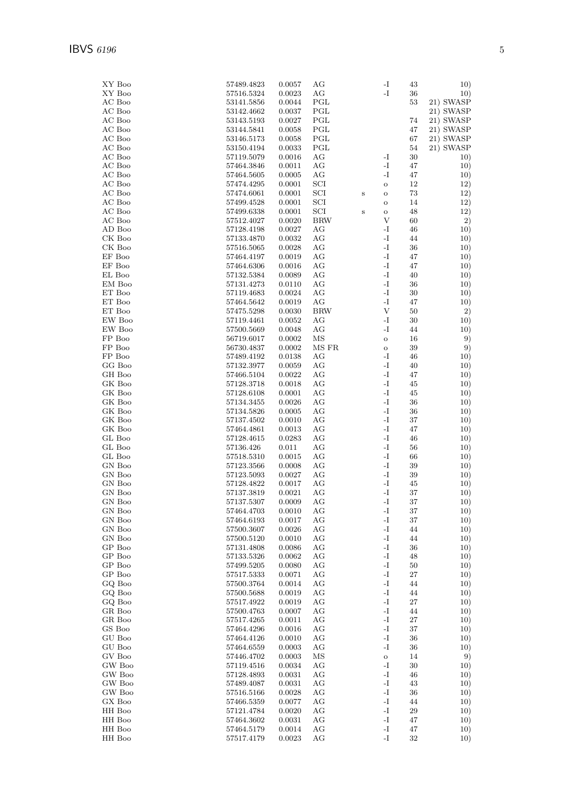| XY Boo                  | 57489.4823     | 0.0057 | AG         |         | -I                        | 43     | 10)       |
|-------------------------|----------------|--------|------------|---------|---------------------------|--------|-----------|
| XY Boo                  | 57516.5324     | 0.0023 | AG         |         | $\mathbf{-I}$             | 36     | 10)       |
| AC Boo                  | 53141.5856     | 0.0044 | PGL        |         |                           | 53     | 21) SWASP |
| AC Boo                  | 53142.4662     | 0.0037 | PGL        |         |                           |        | 21) SWASP |
| AC Boo                  | 53143.5193     | 0.0027 | PGL        |         |                           | 74     | 21) SWASP |
| AC Boo                  | 53144.5841     | 0.0058 | PGL        |         |                           | 47     | 21) SWASP |
| AC Boo                  | 53146.5173     | 0.0058 | PGL        |         |                           | 67     | 21) SWASP |
| AC Boo                  | 53150.4194     | 0.0033 | PGL        |         |                           | 54     | 21) SWASP |
| AC Boo                  | 57119.5079     | 0.0016 | AG         |         | -I                        | 30     | 10)       |
| AC Boo                  | 57464.3846     | 0.0011 | AG         |         | $\mathbf{I}$              | 47     | 10)       |
| AC Boo                  | 57464.5605     | 0.0005 | AG         |         | -I                        | 47     | 10)       |
| AC Boo                  | 57474.4295     | 0.0001 | SCI        |         | $\mathbf O$               | 12     | 12)       |
| AC Boo                  | 57474.6061     | 0.0001 | SCI        | $\bf S$ | $\mathbf O$               | 73     | 12)       |
| AC Boo                  | 57499.4528     | 0.0001 | SCI        |         | $\mathbf O$               | 14     | 12)       |
|                         | 57499.6338     |        | SCI        |         |                           |        | 12)       |
| AC Boo<br>AC Boo        |                | 0.0001 | <b>BRW</b> | $\bf S$ | $\rm{O}$<br>V             | 48     | 2)        |
|                         | 57512.4027     | 0.0020 |            |         | -I                        | 60     |           |
| AD Boo                  | 57128.4198     | 0.0027 | AG         |         |                           | 46     | 10)       |
| CK Boo                  | 57133.4870     | 0.0032 | AG         |         | $\mathbf{I}$              | 44     | 10)       |
| CK Boo                  | 57516.5065     | 0.0028 | AG         |         | $\mathbf{I}$              | 36     | 10)       |
| EF Boo                  | 57464.4197     | 0.0019 | AG         |         | $\mathbf{I}$              | 47     | 10)       |
| EF Boo                  | 57464.6306     | 0.0016 | AG         |         | $\mathbf{I}$              | 47     | 10)       |
| EL Boo                  | 57132.5384     | 0.0089 | AG         |         | $\mathbf{I}$              | 40     | 10)       |
| EM Boo                  | 57131.4273     | 0.0110 | AG         |         | -I                        | 36     | 10)       |
| ET Boo                  | 57119.4683     | 0.0024 | AG         |         | $\mathbf{I}$              | $30\,$ | 10)       |
| $\operatorname{ET}$ Boo | 57464.5642     | 0.0019 | AG         |         | $\mathbf{-I}$             | 47     | 10)       |
| ET Boo                  | $57475.5298\,$ | 0.0030 | <b>BRW</b> |         | $\ensuremath{\mathbf{V}}$ | 50     | 2)        |
| EW Boo                  | 57119.4461     | 0.0052 | AG         |         | $\mathbf{I}$              | $30\,$ | 10)       |
| EW Boo                  | 57500.5669     | 0.0048 | AG         |         | $^{\rm -I}$               | 44     | 10)       |
| FP Boo                  | 56719.6017     | 0.0002 | MS         |         | $\rm{O}$                  | 16     | 9)        |
| FP Boo                  | 56730.4837     | 0.0002 | MS FR      |         | $\mathbf O$               | $39\,$ | 9)        |
| FP Boo                  | 57489.4192     | 0.0138 | AG         |         | -I                        | 46     | 10)       |
| GG Boo                  | 57132.3977     | 0.0059 | AG         |         | $\mathbf{I}$              | 40     | 10)       |
| GH Boo                  | 57466.5104     | 0.0022 | AG         |         | $\mathbf{I}$              | 47     | 10)       |
| GK Boo                  | 57128.3718     | 0.0018 | AG         |         | $\mathbf{I}$              | 45     | 10)       |
| GK Boo                  | 57128.6108     | 0.0001 | AG         |         | $\mathbf{I}$              | 45     | 10)       |
| GK Boo                  | 57134.3455     | 0.0026 | AG         |         | $\mathbf{I}$              | 36     | 10)       |
| GK Boo                  | 57134.5826     | 0.0005 | AG         |         | -I                        | 36     | 10)       |
| GK Boo                  | 57137.4502     | 0.0010 | AG         |         | $\mathbf{I}$              | 37     | 10)       |
| GK Boo                  | 57464.4861     | 0.0013 | AG         |         | $\mathbf{I}$              | 47     | 10)       |
| GL Boo                  | 57128.4615     | 0.0283 | AG         |         | $\mathbf{I}$              | 46     | 10)       |
| GL Boo                  | 57136.426      | 0.011  | AG         |         | $\mathbf{I}$              | 56     | 10)       |
| GL Boo                  | 57518.5310     | 0.0015 | AG         |         | -I                        | 66     | 10)       |
| GN Boo                  | 57123.3566     | 0.0008 | AG         |         | $\mathbf{I}$              | $39\,$ | 10)       |
| GN Boo                  | 57123.5093     | 0.0027 | AG         |         | $\mathbf{I}$              | 39     | 10)       |
| GN Boo                  | 57128.4822     | 0.0017 | AG         |         | $\mathbf{I}$              | 45     | 10)       |
| GN Boo                  | 57137.3819     | 0.0021 | AG         |         | $\mathbf{I}$              | 37     | 10)       |
| GN Boo                  | 57137.5307     | 0.0009 | AG         |         | $\mathbf{I}$              | 37     | 10)       |
| GN Boo                  | 57464.4703     | 0.0010 | AG         |         | -I                        | 37     | 10)       |
| GN Boo                  | 57464.6193     | 0.0017 | AG         |         | $\mathbf{I}$              | 37     | 10)       |
| GN Boo                  | 57500.3607     | 0.0026 | AG         |         | $\mathbf{I}$              | 44     | 10)       |
| GN Boo                  | 57500.5120     | 0.0010 | AG         |         | $\mathbf{I}$              | 44     | 10)       |
| GP Boo                  | 57131.4808     | 0.0086 | AG         |         | $\mathbf{I}$              | 36     | 10)       |
| GP Boo                  | 57133.5326     | 0.0062 | AG         |         | $\mathbf{I}$              | 48     | 10)       |
| GP Boo                  | 57499.5205     | 0.0080 | AG         |         | $\mathbf{I}$              | 50     | 10)       |
| GP Boo                  | 57517.5333     | 0.0071 | AG         |         | $\mathbf{I}$              | $27\,$ | 10)       |
| GQ Boo                  | 57500.3764     | 0.0014 | AG         |         | $\mathbf{I}$              | 44     | 10)       |
| GQ Boo                  | 57500.5688     | 0.0019 | AG         |         | $\mathbf{I}$              | 44     | 10)       |
| GQ Boo                  | 57517.4922     | 0.0019 | AG         |         | -I                        | 27     | 10)       |
| GR Boo                  | 57500.4763     | 0.0007 | AG         |         | $\mathbf{I}$              | 44     | 10)       |
| GR Boo                  | 57517.4265     | 0.0011 | AG         |         | $\mathbf{I}$              | 27     | 10)       |
| GS Boo                  | 57464.4296     | 0.0016 | AG         |         | -I                        | 37     | 10)       |
| GU Boo                  | 57464.4126     | 0.0010 | AG         |         | $\mathbf{I}$              | 36     | 10)       |
| GU Boo                  |                | 0.0003 | AG         |         | $\mathbf{I}$              | 36     |           |
| GV Boo                  | 57464.6559     | 0.0003 | ΜS         |         | $\rm{O}$                  | 14     | 10)<br>9) |
| GW Boo                  | 57446.4702     | 0.0034 | AG         |         | $\mathbf{I}$              | $30\,$ | 10)       |
|                         | 57119.4516     |        |            |         | $\mathbf{I}$              |        |           |
| GW Boo                  | 57128.4893     | 0.0031 | AG         |         | $\mathbf{I}$              | 46     | 10)       |
| GW Boo                  | 57489.4087     | 0.0031 | AG         |         | -I                        | 43     | 10)       |
| GW Boo                  | 57516.5166     | 0.0028 | AG         |         | $\mathbf{I}$              | 36     | 10)       |
| GX Boo                  | 57466.5359     | 0.0077 | AG         |         |                           | 44     | 10)       |
| HH Boo                  | 57121.4784     | 0.0020 | AG         |         | $\mathbf{I}$              | 29     | 10)       |
| HH Boo                  | 57464.3602     | 0.0031 | AG         |         | $\mathbf{I}$              | 47     | 10)       |
| HH Boo                  | 57464.5179     | 0.0014 | AG         |         | $\mathbf{I}$              | 47     | 10)       |
| HH Boo                  | 57517.4179     | 0.0023 | AG         |         | $\mathbf{I}$              | 32     | 10)       |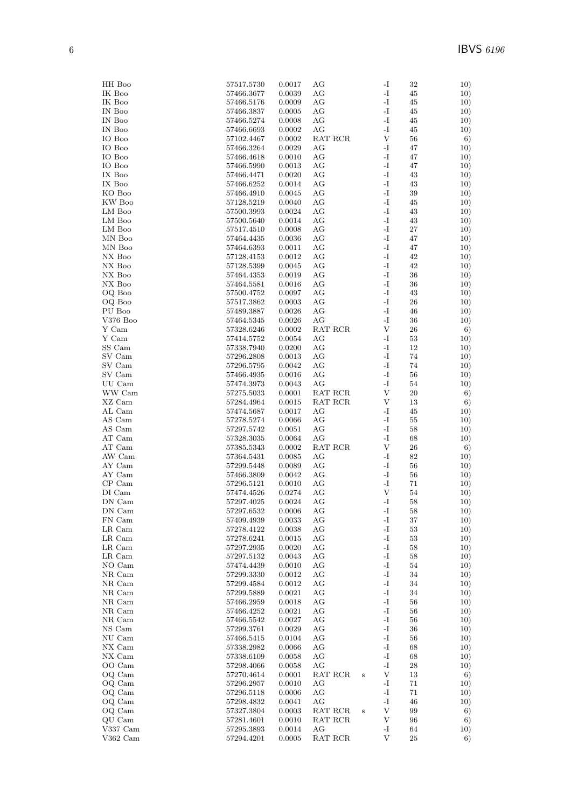| HH Boo     | 57517.5730     | 0.0017 | AG                                        |         | -1             | 32     | 10) |
|------------|----------------|--------|-------------------------------------------|---------|----------------|--------|-----|
| IK Boo     | 57466.3677     | 0.0039 | АG                                        |         | $\mathbf{I}$   | 45     | 10) |
| IK Boo     | 57466.5176     | 0.0009 | АG                                        |         | -I             | 45     | 10) |
| IN Boo     | 57466.3837     | 0.0005 | AG                                        |         | -I             | 45     | 10) |
| IN Boo     | 57466.5274     | 0.0008 | АG                                        |         | I-             | 45     | 10) |
| IN Boo     | 57466.6693     | 0.0002 | AG                                        |         | $\mathbf{I}$   | 45     | 10) |
| IO Boo     | 57102.4467     | 0.0002 | RAT RCR                                   |         | $\mathbf V$    | 56     | 6)  |
| IO Boo     | 57466.3264     | 0.0029 | АG                                        |         | -I             | 47     | 10) |
| IO Boo     | 57466.4618     | 0.0010 | AG                                        |         | $\mathbf{I}$   | 47     | 10) |
| IO Boo     | 57466.5990     | 0.0013 | AG                                        |         | $\mathbf{I}$   | 47     | 10) |
| IX Boo     | 57466.4471     | 0.0020 | AG                                        |         | -I             | 43     | 10) |
| IX Boo     | 57466.6252     | 0.0014 | AG                                        |         | -I             | 43     | 10) |
| KO Boo     | 57466.4910     | 0.0045 | AG                                        |         | -I             | 39     | 10) |
| KW Boo     | 57128.5219     | 0.0040 | AG                                        |         | $\mathbf{I}$   | 45     | 10) |
| LM Boo     | 57500.3993     | 0.0024 | AG                                        |         | -I             | 43     | 10) |
| LM Boo     | 57500.5640     | 0.0014 | AG                                        |         | $\mathbf{I}$   | 43     | 10) |
| LM Boo     | 57517.4510     | 0.0008 | AG                                        |         | -I             | 27     | 10) |
| MN Boo     | 57464.4435     | 0.0036 | AG                                        |         | -I             | 47     | 10) |
| MN Boo     | 57464.6393     | 0.0011 | AG                                        |         | I-             | 47     | 10) |
| NX Boo     | 57128.4153     | 0.0012 | AG                                        |         | -I             | 42     | 10) |
| NX Boo     | 57128.5399     | 0.0045 | AG                                        |         | -I             | 42     | 10) |
| NX Boo     | 57464.4353     | 0.0019 | AG                                        |         | -I             | 36     | 10) |
| NX Boo     | 57464.5581     | 0.0016 | AG                                        |         | $\mathbf{I}$   | 36     | 10) |
| OQ Boo     | 57500.4752     | 0.0097 | AG                                        |         | I-             | 43     | 10) |
| OQ Boo     | 57517.3862     | 0.0003 | AG                                        |         | $\mathbf{I}$   | $26\,$ | 10) |
| PU Boo     | 57489.3887     | 0.0026 | AG                                        |         | -I             | 46     | 10) |
| $V376$ Boo | 57464.5345     | 0.0026 | АG                                        |         | -I             | 36     | 10) |
| Y Cam      | 57328.6246     | 0.0002 | RAT RCR                                   |         | V              | 26     | 6)  |
| Y Cam      | 57414.5752     | 0.0054 | AG                                        |         | -I             | 53     | 10) |
| SS Cam     | 57338.7940     | 0.0200 | AG                                        |         | -I             | 12     | 10) |
| SV Cam     | 57296.2808     | 0.0013 | AG                                        |         | -I             | 74     | 10) |
| SV Cam     | 57296.5795     | 0.0042 | AG                                        |         | I-             | 74     | 10) |
| SV Cam     | 57466.4935     | 0.0016 | AG                                        |         | $\mathbf{I}$   | 56     | 10) |
| UU Cam     | 57474.3973     | 0.0043 | AG                                        |         | -I             | 54     | 10) |
| WW Cam     | 57275.5033     | 0.0001 | RAT RCR                                   |         | $\mathbf{V}$   | 20     | 6)  |
| XZ Cam     | 57284.4964     | 0.0015 | RAT RCR                                   |         | V              | 13     | 6)  |
| AL Cam     | 57474.5687     | 0.0017 | AG                                        |         | -I             | 45     | 10) |
| AS Cam     | 57278.5274     | 0.0066 | AG                                        |         | $\mathbf{I}$   | 55     | 10) |
| AS Cam     | 57297.5742     | 0.0051 | AG                                        |         | $\mathbf{I}$   | 58     | 10) |
| AT Cam     | 57328.3035     | 0.0064 | AG                                        |         | $\mathbf{I}$   | 68     | 10) |
| AT Cam     | 57385.5343     | 0.0002 | RAT RCR                                   |         | V              | $26\,$ | 6)  |
| AW Cam     | $57364.5431\,$ | 0.0085 | AG                                        |         | -I             | 82     | 10) |
| AY Cam     | 57299.5448     | 0.0089 | AG                                        |         | I-             | 56     | 10) |
| AY Cam     | 57466.3809     | 0.0042 | AG                                        |         | -I             | 56     | 10) |
| $CP$ Cam   | 57296.5121     | 0.0010 | AG                                        |         | -I             | 71     | 10) |
| DI Cam     | 57474.4526     | 0.0274 | AG                                        |         | V              | 54     | 10) |
| DN Cam     | 57297.4025     | 0.0024 | AG                                        |         | -I             | 58     | 10) |
| DN Cam     | 57297.6532     | 0.0006 | $\rm{AG}$                                 |         | $\mathbf{I}$ – | 58     | 10) |
| FN Cam     | 57409.4939     | 0.0033 | AG                                        |         | -I             | 37     | 10) |
| LR Cam     | 57278.4122     | 0.0038 | AG                                        |         | I-             | $53\,$ | 10) |
| LR Cam     | 57278.6241     | 0.0015 | AG                                        |         | I-             | 53     | 10) |
| LR Cam     | 57297.2935     | 0.0020 | AG                                        |         | -1             | 58     | 10) |
| LR Cam     | 57297.5132     | 0.0043 | AG                                        |         | -I             | 58     | 10) |
| NO Cam     | 57474.4439     | 0.0010 | AG                                        |         | $\mathbf{I}$   | $54\,$ | 10) |
| NR Cam     | 57299.3330     | 0.0012 | AG                                        |         | I-             | 34     | 10) |
| NR Cam     | 57299.4584     | 0.0012 | AG                                        |         | I-             | 34     | 10) |
| NR Cam     | 57299.5889     | 0.0021 | AG                                        |         | $\mathbf{I}$   | 34     | 10) |
| NR Cam     | 57466.2959     | 0.0018 | AG                                        |         | -I             | 56     | 10) |
| NR Cam     | 57466.4252     | 0.0021 | AG                                        |         | -I             | 56     | 10) |
| NR Cam     | 57466.5542     | 0.0027 | AG                                        |         | $\mathbf{I}$   | 56     | 10) |
| NS Cam     | 57299.3761     | 0.0029 | AG                                        |         | $\mathbf{I}$   | 36     | 10) |
| NU Cam     | 57466.5415     | 0.0104 | AG                                        |         | I-             | 56     | 10) |
| NX Cam     | 57338.2982     | 0.0066 | AG                                        |         | $\mathbf{I}$   | 68     | 10) |
| NX Cam     | 57338.6109     | 0.0058 | AG                                        |         | I-             | 68     | 10) |
| OO Cam     | 57298.4066     | 0.0058 | AG                                        |         | -I             | 28     | 10) |
| OQ Cam     | 57270.4614     | 0.0001 | RAT RCR                                   | $\bf S$ | V              | 13     | 6)  |
| OQ Cam     | 57296.2957     | 0.0010 | AG                                        |         | $\mathbf{I}$   | 71     | 10) |
| OQ Cam     | 57296.5118     | 0.0006 | AG                                        |         | $\mathbf{I}$   | 71     | 10) |
| OQ Cam     | 57298.4832     | 0.0041 | AG                                        |         | $\mathbf{I}$   | 46     | 10) |
| OQ Cam     | 57327.3804     | 0.0003 | RAT RCR                                   | $\bf S$ | V              | 99     | 6)  |
| QU Cam     | 57281.4601     | 0.0010 | RAT RCR                                   |         | V              | 96     | 6)  |
| V337 Cam   | 57295.3893     | 0.0014 | АG                                        |         | -1             | 64     | 10) |
| $V362$ Cam | 57294.4201     | 0.0005 | $\operatorname{RAT}$ $\operatorname{RCR}$ |         | V              | $25\,$ | 6)  |
|            |                |        |                                           |         |                |        |     |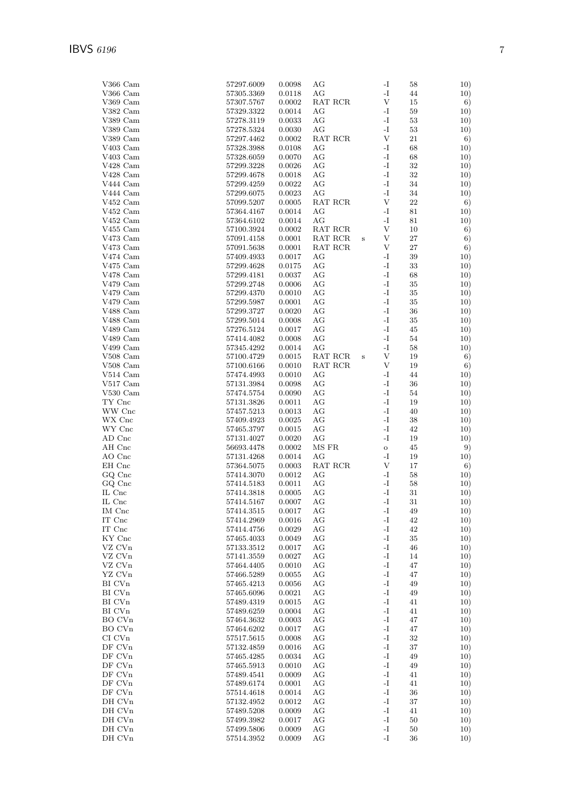| V366 Cam                       | 57297.6009     | 0.0098 | АG       |   | -I            | 58     | 10) |
|--------------------------------|----------------|--------|----------|---|---------------|--------|-----|
| V366 Cam                       | 57305.3369     | 0.0118 | AG       |   | -I            | 44     | 10) |
| V369 Cam                       | 57307.5767     | 0.0002 | RAT RCR  |   | V             | 15     | 6)  |
| V382 Cam                       | 57329.3322     | 0.0014 | АG       |   | -I            | 59     | 10) |
| V389 Cam                       | 57278.3119     | 0.0033 | АG       |   | -I            | 53     | 10) |
| V389 Cam                       | 57278.5324     | 0.0030 | AG       |   | $\mathbf{-I}$ | 53     | 10) |
| V389 Cam                       | 57297.4462     | 0.0002 | RAT RCR  |   | V             | 21     | 6)  |
| V403 Cam                       | 57328.3988     | 0.0108 | AG       |   | -I            | 68     | 10) |
| $V403$ Cam                     | 57328.6059     | 0.0070 | AG       |   | -I            | 68     | 10) |
| V428 Cam                       | 57299.3228     | 0.0026 | AG       |   | -I            | 32     | 10) |
| V428 Cam                       | 57299.4678     | 0.0018 | AG       |   | $\mathbf{-I}$ | 32     | 10) |
| V444 Cam                       | 57299.4259     | 0.0022 | АG       |   | $\mathbf{-I}$ | 34     | 10) |
| V444 Cam                       | 57299.6075     | 0.0023 | AG       |   | -I            | 34     | 10) |
| $V452$ Cam                     | 57099.5207     | 0.0005 | RAT RCR  |   | V             | 22     | 6)  |
| V452 Cam                       | 57364.4167     | 0.0014 | AG       |   | -I            | 81     | 10) |
| $V452$ Cam                     | 57364.6102     | 0.0014 | AG       |   | -I            | 81     | 10) |
| $V455$ Cam                     | 57100.3924     | 0.0002 | RAT RCR  |   | V             | 10     | 6)  |
| $V473$ Cam                     | 57091.4158     | 0.0001 | RAT RCR  | S | $\mathbf{V}$  | $27\,$ | 6)  |
| $V473$ Cam                     | 57091.5638     | 0.0001 | RAT RCR  |   | V             | 27     | 6)  |
| V474 Cam                       | 57409.4933     | 0.0017 | AG       |   | -I            | 39     | 10) |
| $V475$ Cam                     | 57299.4628     | 0.0175 | AG       |   | -I            | 33     | 10) |
| V478 Cam                       | 57299.4181     | 0.0037 | AG       |   | -I            | 68     | 10) |
| $V479$ Cam                     | 57299.2748     | 0.0006 | АG       |   | -I            | 35     | 10) |
| $V479$ Cam                     | 57299.4370     | 0.0010 | AG       |   | -I            | 35     | 10) |
| $V479$ Cam                     | 57299.5987     | 0.0001 | AG       |   | $\mathbf{-I}$ | 35     |     |
|                                |                | 0.0020 |          |   | -I            |        | 10) |
| V488 Cam                       | 57299.3727     | 0.0008 | AG<br>AG |   | -I            | 36     | 10) |
| V488 Cam                       | 57299.5014     |        |          |   | -I            | 35     | 10) |
| V489 Cam                       | 57276.5124     | 0.0017 | AG       |   |               | 45     | 10) |
| V489 Cam                       | 57414.4082     | 0.0008 | АG       |   | -I            | 54     | 10) |
| $V499$ Cam                     | 57345.4292     | 0.0014 | AG       |   | -I            | 58     | 10) |
| $V508$ Cam                     | 57100.4729     | 0.0015 | RAT RCR  | S | $\mathbf{V}$  | 19     | 6)  |
| $V508$ Cam                     | 57100.6166     | 0.0010 | RAT RCR  |   | V             | 19     | 6)  |
| $V514$ Cam                     | 57474.4993     | 0.0010 | AG       |   | -I            | 44     | 10) |
| V517 Cam                       | 57131.3984     | 0.0098 | AG       |   | -I            | 36     | 10) |
| $V530$ Cam                     | $57474.5754\,$ | 0.0090 | AG       |   | -I            | 54     | 10) |
| $TY$ Cnc                       | 57131.3826     | 0.0011 | АG       |   | -I            | 19     | 10) |
| WW Cnc                         | 57457.5213     | 0.0013 | АG       |   | $\mathbf{-I}$ | 40     | 10) |
| WX Cnc                         | 57409.4923     | 0.0025 | АG       |   | -I            | 38     | 10) |
| WY Cnc                         | 57465.3797     | 0.0015 | AG       |   | -I            | 42     | 10) |
| AD Cnc                         | 57131.4027     | 0.0020 | AG       |   | -I            | 19     | 10) |
| AH Cnc                         | 56693.4478     | 0.0002 | MS FR    |   | $\rm{O}$      | 45     | 9)  |
| AO Cnc                         | 57131.4268     | 0.0014 | AG       |   | -I            | 19     | 10) |
| EH Cnc                         | 57364.5075     | 0.0003 | RAT RCR  |   | $\mathbf{V}$  | 17     | 6)  |
| $_{\rm GQ~Cnc}$                | 57414.3070     | 0.0012 | АG       |   | -I            | 58     | 10) |
| GQ Cnc                         | 57414.5183     | 0.0011 | AG       |   | -I            | 58     | 10) |
| IL Cnc                         | 57414.3818     | 0.0005 | AG       |   | -I            | 31     | 10) |
| IL Cnc                         | 57414.5167     | 0.0007 | AG       |   | -I            | 31     | 10) |
| $\mathop{\rm IM}\nolimits$ Cnc | 57414.3515     | 0.0017 | AG       |   | $\mathbf{I}$  | 49     | 10) |
| IT Cnc                         | 57414.2969     | 0.0016 | AG       |   | -1            | 42     | 10) |
| IT Cnc                         | 57414.4756     | 0.0029 | AG       |   | $\mathbf{I}$  | 42     | 10) |
| KY Cnc                         | 57465.4033     | 0.0049 | AG       |   | -I            | 35     | 10) |
| VZ CVn                         | 57133.3512     | 0.0017 | AG       |   | $\mathbf{I}$  | 46     | 10) |
| VZ CVn                         | 57141.3559     | 0.0027 | AG       |   | -I            | 14     | 10) |
| VZ CVn                         | 57464.4405     | 0.0010 | AG       |   | $\mathbf{I}$  | 47     | 10) |
| YZ CVn                         | 57466.5289     | 0.0055 | AG       |   | -I            | 47     | 10) |
| BI CVn                         | 57465.4213     | 0.0056 | AG       |   | $\mathbf{I}$  | 49     | 10) |
| BI CVn                         | 57465.6096     | 0.0021 | AG       |   | $\mathbf{I}$  | 49     | 10) |
| BI CVn                         | 57489.4319     | 0.0015 | AG       |   | -I            | 41     | 10) |
| BI CVn                         | 57489.6259     | 0.0004 | AG       |   | $\mathbf{I}$  | 41     | 10) |
| BO CVn                         | 57464.3632     | 0.0003 | AG       |   | $\mathbf{-I}$ | 47     | 10) |
| BO CVn                         | 57464.6202     | 0.0017 | AG       |   | $\mathbf{I}$  | 47     | 10) |
| CI CVn                         | 57517.5615     | 0.0008 | AG       |   | $\mathbf{I}$  | 32     | 10) |
| DF CVn                         | 57132.4859     | 0.0016 | AG       |   | $\mathbf{I}$  | 37     | 10) |
| DF CVn                         | 57465.4285     | 0.0034 | AG       |   | $\mathbf{I}$  | 49     | 10) |
| DF CVn                         | $57465.5913\,$ | 0.0010 | AG       |   | -I            | 49     | 10) |
| DF CVn                         | 57489.4541     | 0.0009 | AG       |   | $\mathbf{I}$  | 41     | 10) |
| DF CVn                         | 57489.6174     | 0.0001 | AG       |   | $\mathbf{I}$  | 41     | 10) |
| DF CVn                         | 57514.4618     | 0.0014 | AG       |   | $\mathbf{I}$  | 36     | 10) |
| DH CVn                         | 57132.4952     | 0.0012 | AG       |   | $\mathbf{I}$  | 37     | 10) |
| DH CVn                         | 57489.5208     | 0.0009 | AG       |   | $\mathbf{I}$  | 41     | 10) |
| DH CVn                         | 57499.3982     | 0.0017 | AG       |   | $\mathbf{I}$  | 50     | 10) |
| DH CVn                         | $57499.5806\,$ | 0.0009 | AG       |   | $\mathbf{I}$  | 50     | 10) |
| DH CVn                         | 57514.3952     | 0.0009 | AG       |   | $\mathbf{I}$  | 36     | 10) |
|                                |                |        |          |   |               |        |     |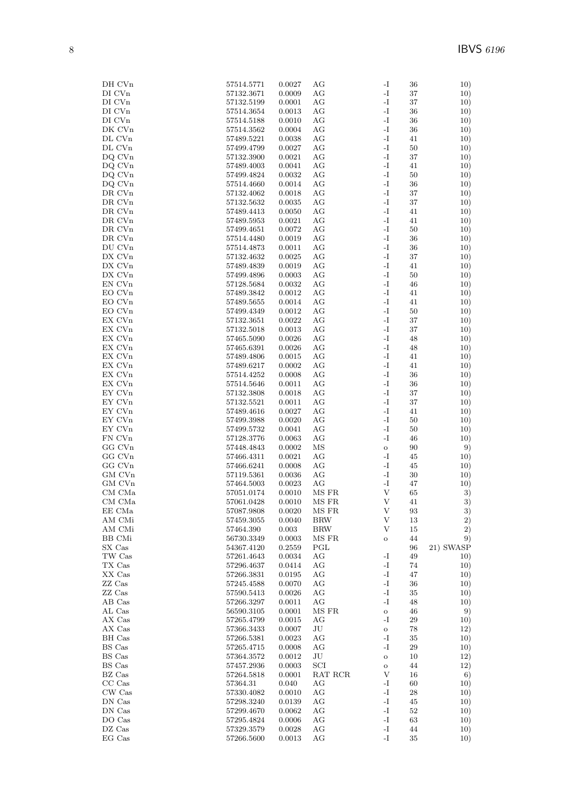| DH CVn             | 57514.5771               | 0.0027           | AG                  | -I                  | 36       | 10)        |
|--------------------|--------------------------|------------------|---------------------|---------------------|----------|------------|
| DI CVn             | 57132.3671               | 0.0009           | AG                  | $\mathbf{I}$        | 37       | 10)        |
| DI CVn             | 57132.5199               | 0.0001           | AG                  | -I                  | 37       | 10)        |
| DI CV <sub>n</sub> | 57514.3654               | 0.0013           | AG                  | -1                  | 36       | 10)        |
| DI CVn<br>DK CVn   | 57514.5188<br>57514.3562 | 0.0010<br>0.0004 | AG<br>AG            | -I<br>$\mathbf{-I}$ | 36<br>36 | 10)        |
| DL CVn             | 57489.5221               | 0.0038           | АG                  | -I                  | 41       | 10)<br>10) |
| DL CVn             | 57499.4799               | 0.0027           | AG                  | $\mathbf{I}$        | 50       | 10)        |
| DQ CVn             | 57132.3900               | 0.0021           | AG                  | $\mathbf{I}$        | 37       | 10)        |
| DQ CVn             | 57489.4003               | 0.0041           | AG                  | -I                  | 41       | 10)        |
| DQ CVn             | 57499.4824               | 0.0032           | AG                  | -I                  | 50       | 10)        |
| DQ CVn             | 57514.4660               | 0.0014           | AG                  | -I                  | 36       | 10)        |
| DR CVn             | 57132.4062               | 0.0018           | AG                  | -1                  | 37       | 10)        |
| $\rm DR$ CVn       | 57132.5632               | 0.0035           | AG                  | $\mathbf{I}$        | 37       | 10)        |
| DR CVn             | 57489.4413               | 0.0050           | AG                  | $\mathbf{I}$        | 41       | 10)        |
| DR CVn             | 57489.5953               | 0.0021           | AG                  | -I                  | 41       | 10)        |
| DR CVn             | 57499.4651               | 0.0072           | AG                  | -I                  | 50       | 10)        |
| DR CVn             | 57514.4480               | 0.0019           | AG                  | $\mathbf{I}$        | 36       | 10)        |
| DU CVn             | 57514.4873               | 0.0011           | AG                  | -I                  | 36       | 10)        |
| DX CVn             | 57132.4632               | 0.0025           | AG                  | $\mathbf{I}$        | 37       | 10)        |
| DX CVn             | 57489.4839               | 0.0019           | AG                  | $\mathbf{I}$        | 41       | 10)        |
| DX CVn             | 57499.4896               | 0.0003           | AG                  | $\mathbf{I}$        | 50       | 10)        |
| EN CVn             | 57128.5684               | 0.0032           | AG                  | $\mathbf{I}$        | 46       | 10)        |
| EO CVn             | 57489.3842               | 0.0012           | AG                  | -I                  | 41       | 10)        |
| EO CVn             | 57489.5655               | 0.0014           | AG                  | $\mathbf{-I}$       | 41       | 10)        |
| EO CVn             | 57499.4349               | 0.0012           | АG                  | -I                  | 50       | 10)        |
| EX CVn             | 57132.3651               | 0.0022           | AG                  | $\mathbf{I}$        | 37       | 10)        |
| EX CVn             | 57132.5018               | 0.0013           | AG                  | $\mathbf{I}$<br>-I  | 37       | 10)        |
| EX CVn<br>EX CVn   | 57465.5090<br>57465.6391 | 0.0026<br>0.0026 | AG<br>AG            | -1                  | 48       | 10)        |
| EX CVn             |                          | 0.0015           | AG                  | -I                  | 48       | 10)<br>10) |
| EX CVn             | 57489.4806<br>57489.6217 | 0.0002           | AG                  | -1                  | 41<br>41 | 10)        |
| EX CVn             | 57514.4252               | 0.0008           | AG                  | $\mathbf{I}$        | 36       | 10)        |
| EX CVn             | 57514.5646               | 0.0011           | AG                  | $\mathbf{I}$        | 36       | 10)        |
| EY CVn             | 57132.3808               | 0.0018           | AG                  | -I                  | 37       | 10)        |
| EY CVn             | 57132.5521               | 0.0011           | AG                  | -I                  | 37       | 10)        |
| EY CVn             | 57489.4616               | 0.0027           | AG                  | $\mathbf{-I}$       | 41       | 10)        |
| EY CVn             | 57499.3988               | 0.0020           | AG                  | -I                  | 50       | 10)        |
| EY CVn             | 57499.5732               | 0.0041           | AG                  | $\mathbf{I}$        | 50       | 10)        |
| FN CVn             | 57128.3776               | 0.0063           | AG                  | -I                  | 46       | 10)        |
| GG CVn             | 57448.4843               | 0.0002           | ΜS                  | $\mathbf{o}$        | 90       | 9)         |
| GG CVn             | 57466.4311               | 0.0021           | AG                  | -I                  | 45       | 10)        |
| GG CVn             | 57466.6241               | 0.0008           | AG                  | -I                  | 45       | 10)        |
| GM CVn             | 57119.5361               | 0.0036           | AG                  | $\mathbf{I}$        | 30       | 10)        |
| GM CVn             | 57464.5003               | 0.0023           | AG                  | -1                  | 47       | 10)        |
| CM CMa             | 57051.0174               | 0.0010           | MS FR               | V                   | 65       | 3)         |
| CM CMa             | 57061.0428               | 0.0010           | MS FR               | V                   | 41       | 3)         |
| EE CMa             | 57087.9808               | 0.0020           | MS FR               | V                   | 93       | 3)         |
| AM CMi             | 57459.3055               | 0.0040<br>0.003  | <b>BRW</b>          | V                   | 13       | 2)         |
| AM CMi<br>BB CMi   | 57464.390<br>56730.3349  | 0.0003           | <b>BRW</b><br>MS FR | V                   | 15<br>44 | 2)<br>9)   |
| SX Cas             | 54367.4120               | 0.2559           | PGL                 | $\mathbf O$         | 96       | 21) SWASP  |
| TW Cas             | 57261.4643               | 0.0034           | AG                  | -I                  | 49       | 10)        |
| TX Cas             | 57296.4637               | 0.0414           | AG                  | $\mathbf{I}$        | 74       | 10)        |
| XX Cas             | 57266.3831               | 0.0195           | AG                  | -I                  | 47       | 10)        |
| ZZ Cas             | 57245.4588               | 0.0070           | AG                  | -I                  | 36       | 10)        |
| ZZ Cas             | 57590.5413               | 0.0026           | AG                  | $\mathbf{-I}$       | 35       | 10)        |
| AB Cas             | 57266.3297               | 0.0011           | AG                  | -I                  | 48       | 10)        |
| AL Cas             | 56590.3105               | 0.0001           | MS FR               | $\mathbf{o}$        | 46       | 9)         |
| AX Cas             | 57265.4799               | 0.0015           | AG                  | -I                  | 29       | 10)        |
| AX Cas             | 57366.3433               | 0.0007           | JU                  | $\mathbf O$         | 78       | 12)        |
| BH Cas             | 57266.5381               | 0.0023           | AG                  | -I                  | $35\,$   | 10)        |
| BS Cas             | 57265.4715               | 0.0008           | AG                  | -I                  | 29       | 10)        |
| BS Cas             | 57364.3572               | 0.0012           | JU                  | $\rm{O}$            | 10       | 12)        |
| BS Cas             | 57457.2936               | 0.0003           | SCI                 | $\mathbf O$         | 44       | 12)        |
| BZ Cas             | 57264.5818               | 0.0001           | RAT RCR             | V                   | 16       | 6)         |
| CC Cas             | 57364.31                 | 0.040            | AG                  | -I                  | 60       | 10)        |
| CW Cas             | 57330.4082               | 0.0010           | AG                  | -I                  | 28       | 10)        |
| DN Cas             | 57298.3240               | 0.0139           | AG                  | -I<br>$\mathbf{-I}$ | 45       | 10)        |
| DN Cas<br>DO Cas   | 57299.4670<br>57295.4824 | 0.0062<br>0.0006 | AG<br>AG            | -I                  | 52<br>63 | 10)<br>10) |
| DZ Cas             | 57329.3579               | 0.0028           | AG                  | $\mathbf{I}$        | 44       | 10)        |
| EG Cas             | 57266.5600               | 0.0013           | AG                  | -I                  | 35       | 10)        |
|                    |                          |                  |                     |                     |          |            |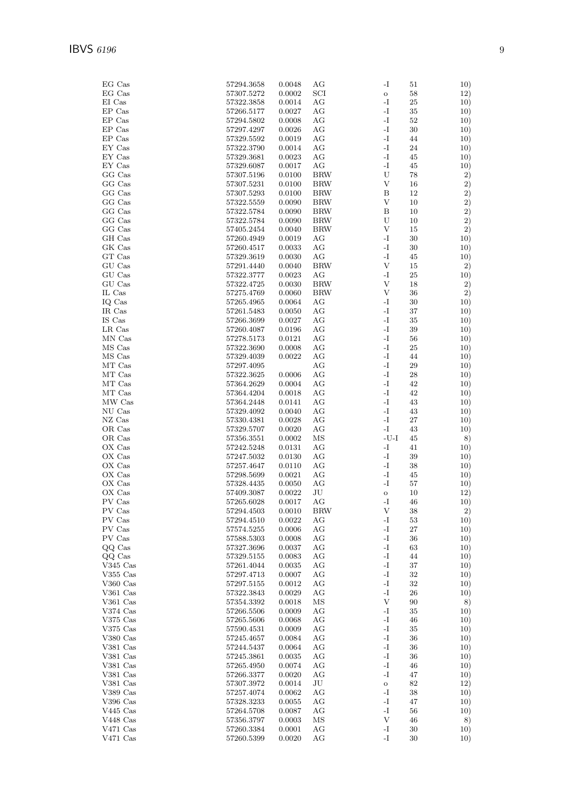| EG Cas                                             | 57294.3658               | 0.0048           | AG         | -I                             | 51       | 10)        |
|----------------------------------------------------|--------------------------|------------------|------------|--------------------------------|----------|------------|
| EG Cas                                             | 57307.5272               | 0.0002           | SCI        | $\rm{O}$                       | 58       | 12)        |
| EI Cas                                             | 57322.3858               | 0.0014           | AG         | $-I$                           | 25       | 10)        |
| EP Cas                                             | 57266.5177               | 0.0027           | AG         | -I                             | 35       | 10)        |
| EP Cas<br>EP Cas                                   | 57294.5802               | 0.0008           | AG<br>AG   | $\mathbf{-I}$<br>$\mathbf{-I}$ | 52<br>30 | 10)        |
| EP Cas                                             | 57297.4297<br>57329.5592 | 0.0026<br>0.0019 | AG         | $\mathbf{-I}$                  | 44       | 10)<br>10) |
| ${\rm EY}$ Cas                                     | 57322.3790               | 0.0014           | AG         | $-I$                           | 24       | 10)        |
| EY Cas                                             | 57329.3681               | 0.0023           | AG         | $\mathbf{-I}$                  | 45       | 10)        |
| EY Cas                                             | 57329.6087               | 0.0017           | AG         | $-I$                           | 45       | 10)        |
| GG Cas                                             | 57307.5196               | 0.0100           | <b>BRW</b> | ${\bf U}$                      | 78       | 2)         |
| GG Cas                                             | 57307.5231               | 0.0100           | <b>BRW</b> | $\mathbf{V}$                   | 16       | 2)         |
| GG Cas                                             | 57307.5293               | 0.0100           | <b>BRW</b> | Β                              | 12       | 2)         |
| GG Cas                                             | 57322.5559               | 0.0090           | <b>BRW</b> | V                              | 10       | 2)         |
| GG Cas                                             | 57322.5784               | 0.0090           | <b>BRW</b> | B                              | 10       | 2)         |
| GG Cas                                             | 57322.5784               | 0.0090           | <b>BRW</b> | U                              | 10       | 2)         |
| GG Cas                                             | 57405.2454               | 0.0040           | <b>BRW</b> | $\mathbf{V}$                   | 15       | 2)         |
| GH Cas                                             | 57260.4949               | 0.0019           | AG         | $\mathbf{-I}$                  | 30       | 10)        |
| GK Cas<br>$\operatorname{GT}$ $\operatorname{Cas}$ | 57260.4517<br>57329.3619 | 0.0033<br>0.0030 | AG<br>AG   | $\mathbf{-I}$<br>-I            | 30<br>45 | 10)        |
| GU Cas                                             | 57291.4440               | 0.0040           | <b>BRW</b> | $\ensuremath{\mathbf{V}}$      | 15       | 10)<br>2)  |
| GU Cas                                             | 57322.3777               | 0.0023           | AG         | -I                             | 25       | 10)        |
| GU Cas                                             | 57322.4725               | 0.0030           | <b>BRW</b> | $\ensuremath{\mathbf{V}}$      | 18       | 2)         |
| IL Cas                                             | 57275.4769               | 0.0060           | <b>BRW</b> | $\mathbf{V}$                   | 36       | 2)         |
| IQ Cas                                             | 57265.4965               | 0.0064           | AG         | $\mathbf{-I}$                  | 30       | 10)        |
| IR Cas                                             | 57261.5483               | 0.0050           | AG         | $\mathbf{-I}$                  | 37       | 10)        |
| IS Cas                                             | 57266.3699               | 0.0027           | AG         | $\mathbf{-I}$                  | 35       | 10)        |
| LR Cas                                             | 57260.4087               | 0.0196           | AG         | $\mathbf{-I}$                  | 39       | 10)        |
| MN Cas                                             | 57278.5173               | 0.0121           | AG         | $-I$                           | 56       | 10)        |
| MS Cas                                             | 57322.3690               | 0.0008           | AG         | $\mathbf{-I}$                  | 25       | 10)        |
| MS Cas                                             | 57329.4039               | 0.0022           | AG         | $\mathbf{-I}$                  | 44       | 10)        |
| MT Cas                                             | 57297.4095               |                  | AG         | $-I$                           | 29       | 10)        |
| MT Cas                                             | 57322.3625               | 0.0006           | AG         | $\mathbf{-I}$                  | 28       | 10)        |
| MT Cas                                             | 57364.2629               | 0.0004           | AG         | $\mathbf{-I}$                  | 42       | 10)        |
| MT Cas                                             | 57364.4204               | 0.0018           | AG         | $-I$                           | 42       | 10)        |
| MW Cas                                             | 57364.2448               | 0.0141           | AG         | $-I$                           | 43       | 10)        |
| NU Cas                                             | 57329.4092               | 0.0040           | AG         | $\mathbf{-I}$                  | 43       | 10)        |
| NZ Cas                                             | 57330.4381               | 0.0028           | AG         | $\mathbf{-I}$                  | 27       | 10)        |
| OR Cas                                             | 57329.5707               | 0.0020           | AG         | $\mathbf{-I}$                  | 43       | 10)        |
| OR Cas<br>OX Cas                                   | 57356.3551               | 0.0002<br>0.0131 | MS<br>AG   | $-U-I$<br>$\mathbf{-I}$        | 45<br>41 | 8)         |
| OX Cas                                             | 57242.5248<br>57247.5032 | 0.0130           | AG         | $\mathbf{-I}$                  | 39       | 10)        |
| OX Cas                                             | 57257.4647               | 0.0110           | AG         | $\mathbf{-I}$                  | 38       | 10)<br>10) |
| OX Cas                                             | 57298.5699               | 0.0021           | AG         | $\mathbf{-I}$                  | 45       | 10)        |
| OX Cas                                             | 57328.4435               | 0.0050           | AG         | -I                             | 57       | 10)        |
| OX Cas                                             | 57409.3087               | 0.0022           | $\rm{J}U$  | $\mathbf O$                    | 10       | 12)        |
| PV Cas                                             | 57265.6028               | 0.0017           | AG         | -I                             | 46       | 10)        |
| ${\rm PV}$ ${\rm Cas}$                             | 57294.4503               | 0.0010           | <b>BRW</b> | V                              | 38       | 2)         |
| PV Cas                                             | $57294.4510\,$           | 0.0022           | AG         | -I                             | 53       | 10)        |
| ${\rm PV}$ Cas                                     | 57574.5255               | 0.0006           | AG         | $\mathbf{-I}$                  | 27       | 10)        |
| PV Cas                                             | 57588.5303               | 0.0008           | AG         | $-I$                           | 36       | 10)        |
| QQ Cas                                             | 57327.3696               | 0.0037           | AG         | -I                             | 63       | 10)        |
| QQ Cas                                             | 57329.5155               | 0.0083           | AG         | $\mathbf{-I}$                  | 44       | 10)        |
| $V345$ Cas                                         | 57261.4044               | 0.0035           | AG         | $\mathbf{-I}$                  | 37       | 10)        |
| $V355$ Cas                                         | 57297.4713               | 0.0007           | AG         | $\mathbf{-I}$                  | 32       | 10)        |
| $V360$ Cas                                         | 57297.5155               | 0.0012           | AG         | $\mathbf{-I}$                  | 32       | 10)        |
| V361 Cas                                           | 57322.3843               | 0.0029           | AG         | $\mathbf{-I}$                  | 26       | 10)        |
| $V361$ Cas                                         | 57354.3392               | 0.0018           | ΜS         | V                              | 90       | 8)         |
| $\rm V374~Cas$                                     | 57266.5506               | 0.0009           | AG         | -I                             | 35       | 10)        |
| $V375$ Cas<br>$V375$ Cas                           | 57265.5606<br>57590.4531 | 0.0068<br>0.0009 | AG<br>AG   | $\mathbf{-I}$<br>-I            | 46<br>35 | 10)<br>10) |
| V380 Cas                                           | 57245.4657               | 0.0084           | AG         | $\mathbf{-I}$                  | 36       | 10)        |
| V381 Cas                                           | 57244.5437               | 0.0064           | AG         | $\mathbf{-I}$                  | 36       | 10)        |
| V381 Cas                                           | 57245.3861               | 0.0035           | AG         | -I                             | 36       | 10)        |
| V381 Cas                                           | 57265.4950               | 0.0074           | AG         | $\mathbf{-I}$                  | 46       | 10)        |
| V381 Cas                                           | 57266.3377               | 0.0020           | AG         | $\mathbf{-I}$                  | 47       | 10)        |
| V381 Cas                                           | 57307.3972               | 0.0014           | JU         | $\mathbf O$                    | 82       | 12)        |
| V389 Cas                                           | 57257.4074               | 0.0062           | AG         | -I                             | 38       | 10)        |
| V396 Cas                                           | 57328.3233               | 0.0055           | AG         | $\mathbf{-I}$                  | 47       | 10)        |
| $V445$ Cas                                         | 57264.5708               | 0.0087           | AG         | $-I$                           | 56       | 10)        |
| V448 Cas                                           | 57356.3797               | 0.0003           | ΜS         | V                              | 46       | 8)         |
| $V471$ Cas                                         | 57260.3384               | 0.0001           | AG         | $\mathbf{-I}$                  | 30       | 10)        |
| V471 Cas                                           | 57260.5399               | 0.0020           | AG         | $\mathbf{-I}$                  | 30       | 10)        |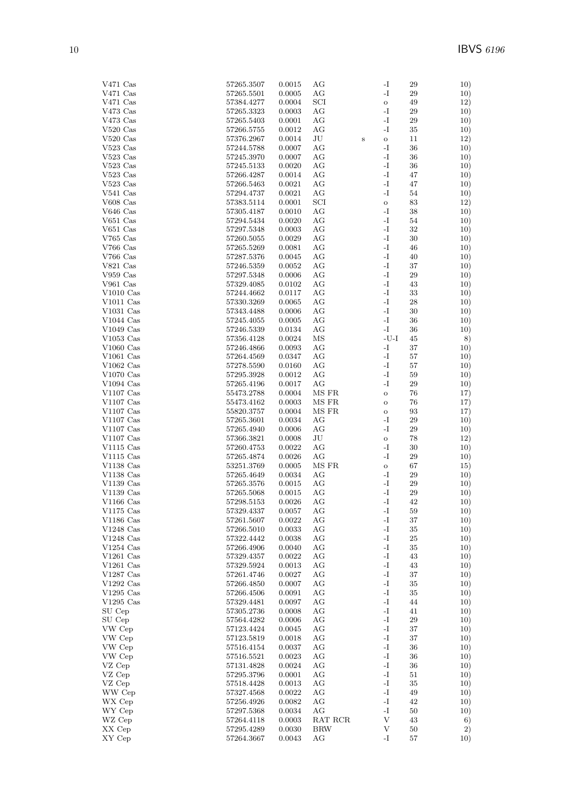| $\rm V471~Cas$             | 57265.3507               | 0.0015           | AG              |        | -I                           | 29       | 10)        |
|----------------------------|--------------------------|------------------|-----------------|--------|------------------------------|----------|------------|
| $V471$ Cas                 | 57265.5501               | 0.0005           | AG              |        | -I                           | 29       | 10)        |
| V471 Cas                   | 57384.4277               | 0.0004           | SCI             |        | $\rm{O}$                     | 49       | 12)        |
| V473 Cas                   | 57265.3323               | 0.0003           | AG              |        | -I                           | 29       | 10)        |
| V473 Cas                   | 57265.5403               | 0.0001           | AG              |        | -I                           | 29       | 10)        |
| $V520$ Cas                 | 57266.5755               | 0.0012           | AG              |        | -I                           | $35\,$   | 10)        |
| $V520$ Cas<br>$V523$ Cas   | 57376.2967<br>57244.5788 | 0.0014<br>0.0007 | $\rm{J}U$<br>AG | $\,$ s | $\rm{O}$<br>-I               | 11<br>36 | 12)        |
| $V523$ Cas                 | 57245.3970               | 0.0007           | AG              |        | -I                           | 36       | 10)<br>10) |
| $V523$ Cas                 | 57245.5133               | 0.0020           | AG              |        | $\mathbf{I}$                 | 36       | 10)        |
| V523 Cas                   | 57266.4287               | 0.0014           | AG              |        | -I                           | 47       | 10)        |
| $V523$ Cas                 | 57266.5463               | 0.0021           | AG              |        | -I                           | 47       | 10)        |
| $V541$ Cas                 | 57294.4737               | 0.0021           | AG              |        | -I                           | 54       | 10)        |
| V608 Cas                   | 57383.5114               | 0.0001           | SCI             |        | $\rm{O}$                     | 83       | 12)        |
| $V646$ Cas                 | 57305.4187               | 0.0010           | AG              |        | -I                           | 38       | 10)        |
| V651 Cas                   | 57294.5434               | 0.0020           | AG              |        | -I                           | 54       | 10)        |
| V651 Cas                   | 57297.5348               | 0.0003           | AG              |        | -I                           | 32       | 10)        |
| $V765$ Cas                 | 57260.5055               | 0.0029           | AG              |        | -I                           | 30       | 10)        |
| V766 Cas                   | 57265.5269               | 0.0081           | AG              |        | -I                           | 46       | 10)        |
| $V766$ Cas                 | 57287.5376               | 0.0045           | AG              |        | $\mathbf{I}$                 | 40       | 10)        |
| V821 Cas                   | 57246.5359               | 0.0052           | AG              |        | -I                           | 37       | 10)        |
| $V959$ $Cas$               | 57297.5348               | 0.0006           | AG              |        | -I                           | 29       | 10)        |
| $V961$ Cas<br>$V1010$ Cas  | 57329.4085<br>57244.4662 | 0.0102<br>0.0117 | AG<br>AG        |        | -I<br>-I                     | 43<br>33 | 10)        |
| $V1011$ Cas                | 57330.3269               | 0.0065           | AG              |        | -I                           | 28       | 10)<br>10) |
| $V1031$ Cas                | 57343.4488               | 0.0006           | AG              |        | -I                           | 30       | 10)        |
| $V1044$ Cas                | 57245.4055               | 0.0005           | AG              |        | $\mathbf{I}$                 | 36       | 10)        |
| $V1049$ Cas                | 57246.5339               | 0.0134           | AG              |        | -I                           | 36       | 10)        |
| $V1053$ Cas                | 57356.4128               | 0.0024           | MS              |        | $-U-I$                       | 45       | 8)         |
| $V1060$ Cas                | 57246.4866               | 0.0093           | AG              |        | $\mathbf{I}$                 | 37       | 10)        |
| $V1061$ Cas                | 57264.4569               | 0.0347           | AG              |        | -I                           | 57       | 10)        |
| $V1062$ Cas                | 57278.5590               | 0.0160           | AG              |        | -I                           | 57       | 10)        |
| $V1070$ Cas                | 57295.3928               | 0.0012           | AG              |        | -I                           | 59       | 10)        |
| $V1094$ Cas                | 57265.4196               | 0.0017           | AG              |        | $\mathbf{I}$                 | 29       | 10)        |
| $V1107$ Cas                | 55473.2788               | 0.0004           | MS FR           |        | $\circ$                      | 76       | 17)        |
| $V1107$ Cas                | 55473.4162               | 0.0003           | MS FR           |        | $\rm{O}$                     | 76       | 17)        |
| $V1107$ Cas                | 55820.3757               | 0.0004           | MS FR           |        | $\mathbf O$                  | 93       | 17)        |
| $\rm V1107~\rm Cas$        | 57265.3601               | 0.0034           | AG              |        | -I                           | 29       | 10)        |
| $V1107$ Cas                | 57265.4940               | 0.0006           | AG              |        | $\mathbf{I}$                 | 29       | 10)        |
| $V1107$ Cas<br>V1115 Cas   | 57366.3821<br>57260.4753 | 0.0008<br>0.0022 | JU<br>AG        |        | $\mathbf O$<br>-I            | 78<br>30 | 12)<br>10) |
| $V1115$ Cas                | 57265.4874               | 0.0026           | AG              |        | -I                           | 29       | 10)        |
| $V1138$ Cas                | 53251.3769               | 0.0005           | MS FR           |        | $\mathbf{o}$                 | 67       | 15)        |
| $V1138$ Cas                | 57265.4649               | 0.0034           | AG              |        | -I                           | 29       | 10)        |
| $\rm V1139~Cas$            | 57265.3576               | 0.0015           | AG              |        | -I                           | 29       | 10)        |
| $V1139$ Cas                | 57265.5068               | 0.0015           | AG              |        | -I                           | 29       | 10)        |
| $V1166$ Cas                | 57298.5153               | 0.0026           | AG              |        | -I                           | 42       | 10)        |
| V1175 $\rm Cas$            | 57329.4337               | 0.0057           | AG              |        | $\mathbf{I}$                 | $59\,$   | 10)        |
| $V1186$ Cas                | 57261.5607               | 0.0022           | AG              |        | -I                           | 37       | 10)        |
| $V1248$ Cas                | 57266.5010               | 0.0033           | AG              |        | $\mathbf{I}$                 | 35       | 10)        |
| $V1248$ Cas                | 57322.4442               | 0.0038           | AG              |        | $\mathbf{I}$                 | 25       | 10)        |
| $V1254$ Cas                | 57266.4906               | 0.0040           | AG              |        | $\mathbf{I}$                 | 35       | 10)        |
| $V1261$ Cas                | 57329.4357<br>57329.5924 | 0.0022           | AG              |        | -I<br>$\mathbf{I}$           | 43       | 10)        |
| $V1261$ Cas<br>$V1287$ Cas | 57261.4746               | 0.0013<br>0.0027 | AG<br>AG        |        | $\mathbf{I}$                 | 43<br>37 | 10)<br>10) |
| $V1292$ Cas                | 57266.4850               | 0.0007           | AG              |        | $\mathbf{I}$                 | 35       | 10)        |
| $V1295$ Cas                | 57266.4506               | 0.0091           | AG              |        | $\mathbf{I}$                 | $35\,$   | 10)        |
| $V1295$ Cas                | 57329.4481               | 0.0097           | AG              |        | $\mathbf{I}$                 | 44       | 10)        |
| SU Cep                     | 57305.2736               | 0.0008           | AG              |        | $\mathbf{I}$                 | 41       | 10)        |
| SU Cep                     | 57564.4282               | 0.0006           | AG              |        | $\mathbf{I}$                 | 29       | 10)        |
| VW Cep                     | 57123.4424               | 0.0045           | AG              |        | $\mathbf{I}$                 | 37       | 10)        |
| VW Cep                     | 57123.5819               | 0.0018           | AG              |        | $\mathbf{I}$                 | 37       | 10)        |
| VW Cep                     | 57516.4154               | 0.0037           | AG              |        | $\mathbf{I}$                 | 36       | 10)        |
| VW Cep                     | 57516.5521               | 0.0023           | AG              |        | $\mathbf{I}$                 | 36       | 10)        |
| VZ Cep                     | 57131.4828               | 0.0024           | AG              |        | $\mathbf{I}$                 | 36       | 10)        |
| VZ Cep                     | 57295.3796               | 0.0001           | AG              |        | $\mathbf{I}$                 | 51       | 10)        |
| VZ Cep                     | 57518.4428               | 0.0013           | AG              |        | $\mathbf{I}$                 | 35       | 10)        |
| WW Cep                     | 57327.4568               | 0.0022           | AG              |        | $\mathbf{I}$                 | 49       | 10)        |
| WX Cep                     | 57256.4926               | 0.0082           | AG<br>AG        |        | $\mathbf{I}$<br>$\mathbf{I}$ | 42       | 10)        |
| WY Cep<br>WZ Cep           | 57297.5368<br>57264.4118 | 0.0034           | RAT RCR         |        | $\ensuremath{\mathbf{V}}$    | 50<br>43 | 10)        |
| XX Cep                     | 57295.4289               | 0.0003<br>0.0030 | <b>BRW</b>      |        | V                            | 50       | 6)<br>2)   |
| XY Cep                     | 57264.3667               | 0.0043           | AG              |        | -1                           | 57       | 10)        |
|                            |                          |                  |                 |        |                              |          |            |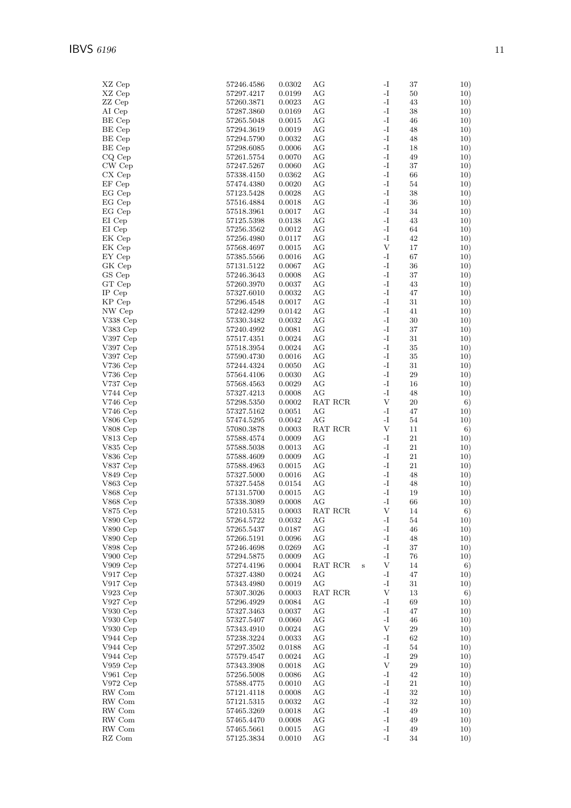| XZ Cep                       | 57246.4586               | 0.0302               | АG            |        | -I                           | 37       | 10)        |
|------------------------------|--------------------------|----------------------|---------------|--------|------------------------------|----------|------------|
| XZ Cep                       | 57297.4217               | 0.0199               | AG            |        | -I                           | 50       | 10)        |
| ZZ Cep                       | 57260.3871               | 0.0023               | AG            |        | -I                           | 43       | 10)        |
| AI Cep                       | 57287.3860               | 0.0169               | AG            |        | $\mathbf{I}$                 | 38       | 10)        |
| BE Cep<br>BE Cep             | 57265.5048               | 0.0015               | AG            |        | -I<br>-I                     | 46       | 10)        |
| BE Cep                       | 57294.3619<br>57294.5790 | 0.0019<br>0.0032     | AG<br>AG      |        | $\mathbf{I}$                 | 48<br>48 | 10)<br>10) |
| BE Cep                       | 57298.6085               | 0.0006               | AG            |        | -I                           | 18       | 10)        |
| CQ Cep                       | $57261.5754\,$           | 0.0070               | AG            |        | $\mathbf{I}$                 | 49       | 10)        |
| CW Cep                       | 57247.5267               | 0.0060               | AG            |        | $\mathbf{-I}$                | 37       | 10)        |
| CX Cep                       | 57338.4150               | 0.0362               | AG            |        | -I                           | 66       | 10)        |
| EF Cep                       | 57474.4380               | 0.0020               | AG            |        | $\mathbf{I}$                 | 54       | 10)        |
| EG Cep                       | 57123.5428               | 0.0028               | AG            |        | -I<br>$\mathbf{I}$           | 38       | 10)        |
| EG Cep<br>EG Cep             | 57516.4884<br>57518.3961 | 0.0018<br>0.0017     | AG<br>AG      |        | -I                           | 36<br>34 | 10)<br>10) |
| EI Cep                       | 57125.5398               | 0.0138               | AG            |        | $\mathbf{-I}$                | 43       | 10)        |
| EI Cep                       | 57256.3562               | 0.0012               | AG            |        | $\mathbf{-I}$                | 64       | 10)        |
| EK Cep                       | 57256.4980               | 0.0117               | AG            |        | -I                           | 42       | 10)        |
| EK Cep                       | 57568.4697               | 0.0015               | AG            |        | $\mathbf{V}$                 | 17       | 10)        |
| EY Cep                       | 57385.5566               | 0.0016               | AG            |        | -I                           | 67       | 10)        |
| GK Cep                       | 57131.5122               | 0.0067               | AG            |        | $\mathbf{I}$                 | 36       | 10)        |
| GS Cep                       | 57246.3643               | 0.0008               | AG            |        | -I                           | 37       | 10)        |
| GT Cep<br>IP Cep             | 57260.3970<br>57327.6010 | 0.0037<br>0.0032     | AG<br>AG      |        | $\mathbf{I}$<br>-I           | 43<br>47 | 10)<br>10) |
| KP Cep                       | $57296.4548\,$           | 0.0017               | AG            |        | $\mathbf{I}$                 | 31       | 10)        |
| NW Cep                       | 57242.4299               | 0.0142               | AG            |        | $\mathbf{I}$                 | 41       | 10)        |
| $V338$ Cep                   | 57330.3482               | 0.0032               | AG            |        | -I                           | 30       | 10)        |
| V383 Cep                     | 57240.4992               | 0.0081               | AG            |        | $\mathbf{I}$                 | 37       | 10)        |
| $V397$ Cep                   | 57517.4351               | 0.0024               | AG            |        | -I                           | 31       | 10)        |
| $V397$ Cep                   | 57518.3954               | 0.0024               | AG            |        | $\mathbf{I}$                 | $35\,$   | 10)        |
| $V397$ Cep                   | 57590.4730               | 0.0016               | AG<br>AG      |        | -I<br>-I                     | 35       | 10)        |
| $\rm V736$ Cep<br>$V736$ Cep | 57244.4324<br>57564.4106 | 0.0050<br>0.0030     | AG            |        | $\mathbf{I}$                 | 31<br>29 | 10)<br>10) |
| V737 Cep                     | 57568.4563               | 0.0029               | AG            |        | -I                           | 16       | 10)        |
| $V744$ Cep                   | 57327.4213               | 0.0008               | AG            |        | $\mathbf{-I}$                | 48       | 10)        |
| $V746$ Cep                   | 57298.5350               | 0.0002               | RAT RCR       |        | $\boldsymbol{\mathrm{V}}$    | $20\,$   | 6)         |
| $V746$ Cep                   | 57327.5162               | 0.0051               | AG            |        | -I                           | 47       | 10)        |
| V806 Cep                     | 57474.5295               | 0.0042               | AG            |        | -I                           | 54       | 10)        |
| $V808$ Cep<br>$V813$ Cep     | 57080.3878<br>57588.4574 | 0.0003<br>0.0009     | RAT RCR<br>AG |        | $\mathbf{V}$<br>-I           | 11<br>21 | 6)         |
| ${\rm V}835$ Cep             | 57588.5038               | 0.0013               | AG            |        | -I                           | 21       | 10)<br>10) |
| V836 Cep                     | 57588.4609               | 0.0009               | AG            |        | $\mathbf{I}$                 | $21\,$   | 10)        |
| V837 Cep                     | 57588.4963               | 0.0015               | AG            |        | -I                           | 21       | 10)        |
| V849 Cep                     | 57327.5000               | 0.0016               | AG            |        | -I                           | 48       | 10)        |
| $V863$ Cep                   | 57327.5458               | 0.0154               | AG            |        | -I                           | 48       | 10)        |
| $V868$ Cep                   | 57131.5700               | 0.0015               | АG            |        | $\mathbf{I}$<br>$\mathbf{I}$ | 19       | 10)        |
| V868 Cep<br>$V875$ Cep       | 57338.3089<br>57210.5315 | 0.0008<br>$0.0003\,$ | AG<br>RAT RCR |        | V                            | 66<br>14 | 10)<br>6)  |
| V890 Cep                     | 57264.5722               | 0.0032               | AG            |        | $\mathbf{I}$                 | 54       | 10)        |
| V890 Cep                     | 57265.5437               | 0.0187               | AG            |        | -I                           | 46       | 10)        |
| V890Cep                      | 57266.5191               | 0.0096               | АG            |        | -I                           | 48       | 10)        |
| $V898$ Cep                   | 57246.4698               | 0.0269               | AG            |        | $\mathbf{-I}$                | 37       | 10)        |
| $V900$ Cep                   | 57294.5875               | 0.0009               | AG            |        | -I                           | 76       | 10)        |
| $V909$ Cep                   | 57274.4196<br>57327.4380 | 0.0004               | RAT RCR       | $\,$ s | $\mathbf V$<br>$\mathbf{I}$  | 14       | 6)         |
| $V917$ Cep<br>$V917$ Cep     | $57343.4980\,$           | 0.0024<br>0.0019     | AG<br>AG      |        | -I                           | 47<br>31 | 10)<br>10) |
| $V923$ Cep                   | 57307.3026               | 0.0003               | RAT RCR       |        | $\boldsymbol{\mathrm{V}}$    | 13       | 6)         |
| $V927$ Cep                   | 57296.4929               | 0.0084               | АG            |        | -I                           | 69       | 10)        |
| V930Cep                      | 57327.3463               | 0.0037               | AG            |        | -I                           | 47       | 10)        |
| V930Cep                      | 57327.5407               | 0.0060               | AG            |        | -I                           | 46       | 10)        |
| $V930$ Cep                   | 57343.4910               | 0.0024               | AG            |        | V                            | 29       | 10)        |
| $V944$ Cep<br>$V944$ Cep     | 57238.3224<br>57297.3502 | 0.0033<br>0.0188     | AG<br>AG      |        | -I<br>-I                     | 62<br>54 | 10)<br>10) |
| $V944$ Cep                   | 57579.4547               | 0.0024               | AG            |        | $\mathbf{-I}$                | 29       | 10)        |
| $V959$ Cep                   | 57343.3908               | 0.0018               | AG            |        | $\mathbf{V}$                 | 29       | 10)        |
| $V961$ Cep                   | 57256.5008               | 0.0086               | AG            |        | -I                           | 42       | 10)        |
| $V972$ Cep                   | 57588.4775               | 0.0010               | AG            |        | -I                           | 21       | 10)        |
| RW Com                       | 57121.4118               | 0.0008               | AG            |        | $\mathbf{-I}$                | 32       | 10)        |
| RW Com                       | 57121.5315               | 0.0032               | AG            |        | -I                           | 32       | 10)        |
| RW Com<br>RW Com             | 57465.3269<br>57465.4470 | 0.0018<br>0.0008     | AG<br>AG      |        | -I<br>$\mathbf{I}$           | 49<br>49 | 10)<br>10) |
| RW Com                       | 57465.5661               | 0.0015               | AG            |        | $\mathbf{I}$                 | 49       | 10)        |
| $\mathsf{RZ}$ Com            | 57125.3834               | 0.0010               | AG            |        | -I                           | 34       | 10)        |
|                              |                          |                      |               |        |                              |          |            |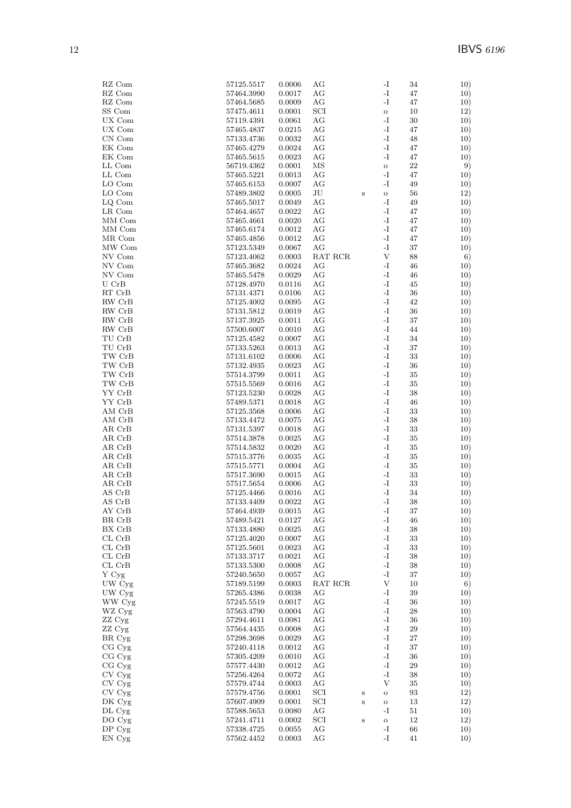| RZ Com                               | 57125.5517               | 0.0006               | AG           |         | -1                           | 34       | 10)        |
|--------------------------------------|--------------------------|----------------------|--------------|---------|------------------------------|----------|------------|
| RZ Com                               | 57464.3990               | 0.0017               | AG           |         | $\mathbf{I}$                 | 47       | 10)        |
| RZ Com                               | 57464.5685               | 0.0009               | АG           |         | -I                           | 47       | 10)        |
| SS Com                               | 57475.4611               | 0.0001               | SCI          |         | $\mathbf{o}$                 | 10       | 12)        |
| $UX$ $Com$<br>UX Com                 | 57119.4391               | 0.0061<br>0.0215     | AG<br>AG     |         | -I<br>-I                     | 30<br>47 | 10)<br>10) |
| CN Com                               | 57465.4837<br>57133.4736 | 0.0032               | AG           |         | -I                           | 48       | 10)        |
| EK Com                               | 57465.4279               | 0.0024               | АG           |         | -I                           | 47       | 10)        |
| EK Com                               | 57465.5615               | 0.0023               | AG           |         | -I                           | 47       | 10)        |
| LL Com                               | 56719.4362               | 0.0001               | ΜS           |         | $\rm{O}$                     | 22       | 9)         |
| LL Com                               | 57465.5221               | 0.0013               | АG           |         | -I                           | 47       | 10)        |
| LO Com                               | 57465.6153               | 0.0007               | AG           |         | -I                           | 49       | 10)        |
| LO Com                               | 57489.3802               | 0.0005               | $\rm{J}U$    | $\bf S$ | $\rm{O}$                     | 56       | 12)        |
| LQ Com                               | 57465.5017               | 0.0049               | АG           |         | -I                           | 49       | 10)        |
| LR Com                               | 57464.4657               | 0.0022               | AG           |         | -I                           | 47       | 10)        |
| MM Com                               | 57465.4661               | 0.0020               | АG           |         | -I                           | 47       | 10)        |
| MM Com                               | 57465.6174               | 0.0012               | АG           |         | -I                           | 47       | 10)        |
| MR Com                               | 57465.4856               | 0.0012               | АG           |         | -I                           | 47       | 10)        |
| MW Com                               | 57123.5349               | 0.0067               | AG           |         | $\mathbf I$ –                | 37       | 10)        |
| NV Com                               | 57123.4062               | 0.0003               | RAT RCR      |         | $\mathbf{V}$                 | 88       | 6)         |
| NV Com                               | 57465.3682               | 0.0024               | АG           |         | -I                           | 46       | 10)        |
| NV Com                               | 57465.5478               | 0.0029               | AG           |         | -I                           | 46       | 10)        |
| $U$ CrB                              | 57128.4970               | 0.0116               | АG           |         | -I                           | 45       | 10)        |
| $\mathop{\rm RT}$ $\mathop{\rm CrB}$ | 57131.4371               | 0.0106               | AG           |         | -I                           | 36       | 10)        |
| RW CrB                               | 57125.4002               | 0.0095               | AG           |         | -I                           | 42       | 10)        |
| ${\rm RW}\,$ ${\rm CrB}$             | 57131.5812               | 0.0019               | AG           |         | -I                           | 36       | 10)        |
| RW CrB                               | 57137.3925               | 0.0011               | АG           |         | -I                           | 37       | 10)        |
| RW CrB                               | 57500.6007               | 0.0010               | AG           |         | -I                           | 44       | 10)        |
| TU CrB                               | 57125.4582               | 0.0007               | АG           |         | -I                           | 34       | 10)        |
| TU CrB                               | 57133.5263               | 0.0013               | АG           |         | -I                           | 37       | 10)        |
| $\rm{TW}$ $\rm{CrB}$                 | 57131.6102               | 0.0006               | AG           |         | $\mathbf{I}$                 | 33       | 10)        |
| TW CrB                               | 57132.4935               | 0.0023               | АG           |         | I-                           | 36       | 10)        |
| TW CrB                               | 57514.3799               | 0.0011               | АG           |         | -I                           | 35       | 10)        |
| TW CrB                               | 57515.5569               | 0.0016               | AG           |         | -I                           | 35       | 10)        |
| YY CrB<br>YY CrB                     | 57123.5230<br>57489.5371 | 0.0028               | АG<br>АG     |         | -I<br>-I                     | 38<br>46 | 10)        |
| AM CrB                               | 57125.3568               | 0.0018<br>$0.0006\,$ | AG           |         | -I                           | 33       | 10)<br>10) |
| AM CrB                               | 57133.4472               | 0.0075               | AG           |         | -I                           | 38       | 10)        |
| AR CrB                               | 57131.5397               | 0.0018               | AG           |         | -I                           | 33       | 10)        |
| AR CrB                               | 57514.3878               | 0.0025               | АG           |         | -I                           | 35       | 10)        |
| AR CrB                               | 57514.5832               | $0.0020\,$           | AG           |         | $\mathbf{I}$                 | $35\,$   | 10)        |
| AR CrB                               | 57515.3776               | 0.0035               | АG           |         | -I                           | 35       | 10)        |
| AR CrB                               | 57515.5771               | 0.0004               | AG           |         | -I                           | 35       | 10)        |
| AR CrB                               | 57517.3690               | 0.0015               | AG           |         | -I                           | 33       | 10)        |
| AR CrB                               | 57517.5654               | 0.0006               | АG           |         | -I                           | 33       | 10)        |
| AS CrB                               | 57125.4466               | 0.0016               | АG           |         | -I                           | 34       | 10)        |
| AS CrB                               | 57133.4409               | 0.0022               | АG           |         | $\mathbf{I}$                 | 38       | 10)        |
| AY CrB                               | 57464.4939               | $0.0015\,$           | AG           |         | -1                           | $37\,$   | 10)        |
| BR CrB                               | 57489.5421               | 0.0127               | AG           |         | -1                           | 46       | 10)        |
| BX CrB                               | 57133.4880               | 0.0025               | AG           |         | -I                           | 38       | 10)        |
| CL CrB                               | 57125.4020               | 0.0007               | AG           |         | $\mathbf{I}$                 | 33       | 10)        |
| $CL$ $CrB$                           | 57125.5601               | 0.0023               | АG           |         | -1                           | 33       | 10)        |
| CL CrB                               | 57133.3717               | 0.0021               | АG           |         | -1                           | 38       | 10)        |
| $CL$ $CrB$                           | 57133.5300               | 0.0008               | AG           |         | $\mathbf{I}$                 | 38       | 10)        |
| Y Cyg                                | 57240.5650               | 0.0057               | AG           |         | -I                           | 37       | 10)        |
| UW Cyg                               | 57189.5199               | 0.0003               | RAT RCR      |         | V                            | 10       | 6)         |
| UW Cyg                               | 57265.4386               | 0.0038               | AG           |         | -I                           | 39       | 10)        |
| WW Cyg                               | 57245.5519               | 0.0017               | AG           |         | -1                           | 36       | 10)        |
| WZ Cyg                               | 57563.4790               | 0.0004               | AG           |         | -1                           | 28       | 10)        |
| ZZ Cyg                               | 57294.4611<br>57564.4435 | 0.0081               | AG           |         | $\mathbf{I}$<br>$\mathbf{I}$ | 36       | 10)        |
| ZZ Cyg<br>BR Cyg                     | 57298.3698               | 0.0008<br>0.0029     | AG<br>АG     |         | $\mathbf{I}$                 | 29<br>27 | 10)<br>10) |
| CG Cyg                               | 57240.4118               | 0.0012               | AG           |         | $\mathbf{I}$                 | 37       | 10)        |
| CG Cyg                               | 57305.4209               | 0.0010               | AG           |         | -I                           | 36       | 10)        |
| CG Cyg                               | 57577.4430               | 0.0012               | АG           |         | -I                           | 29       | 10)        |
| CV Cyg                               | 57256.4264               | 0.0072               | AG           |         | -I                           | 38       | 10)        |
| $\mathrm{CV}$ $\mathrm{Cyg}$         | 57579.4744               | 0.0003               | AG           |         | V                            | 35       | 10)        |
| CV Cyg                               | 57579.4756               | 0.0001               | SCI          | $\bf S$ | $\mathbf O$                  | 93       | 12)        |
| DK Cyg                               | 57607.4909               | 0.0001               | SCI          | $\bf S$ | $\mathbf O$                  | 13       | 12)        |
| DL Cyg                               | 57588.5653               | 0.0080               | AG           |         | -I                           | $51\,$   | 10)        |
| DO Cyg                               | 57241.4711               | 0.0002               | $_{\rm SCI}$ | $\bf S$ | $\mathbf O$                  | 12       | 12)        |
| DP <sub>cyg</sub>                    | 57338.4725               | 0.0055               | AG           |         | -1                           | 66       | 10)        |
| EN Cyg                               | 57562.4452               | 0.0003               | АG           |         | $\mathbf{-I}$                | 41       | 10)        |
|                                      |                          |                      |              |         |                              |          |            |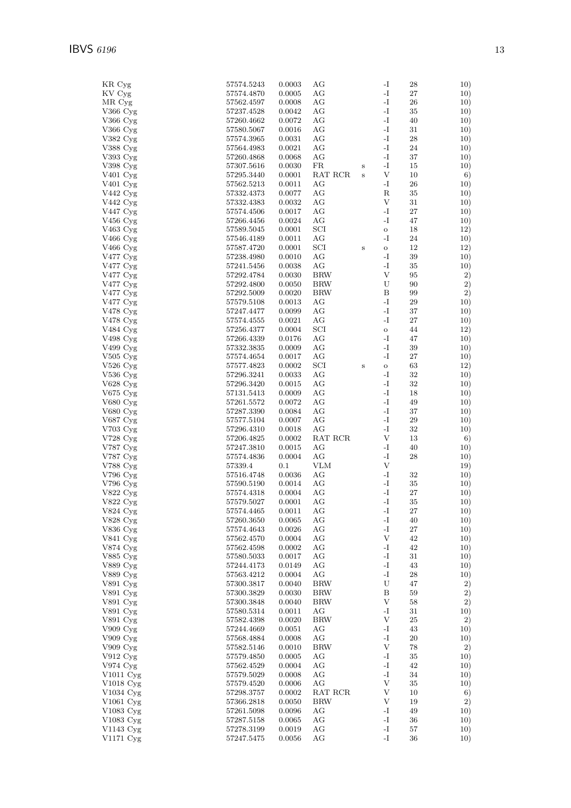| KR Cyg                 | 57574.5243 | 0.0003 | AG         |         | -I                        | 28         | 10) |
|------------------------|------------|--------|------------|---------|---------------------------|------------|-----|
| KV Cyg                 | 57574.4870 | 0.0005 | AG         |         | $\mathbf{-I}$             | $27\,$     | 10) |
| MR Cyg                 |            | 0.0008 | AG         |         | $-I$                      | 26         |     |
|                        | 57562.4597 |        |            |         |                           |            | 10) |
| V366 Cyg               | 57237.4528 | 0.0042 | AG         |         | $-I$                      | 35         | 10) |
| V366 Cyg               | 57260.4662 | 0.0072 | AG         |         | $\mathbf{-I}$             | 40         | 10) |
| $V366$ Cyg             | 57580.5067 | 0.0016 | AG         |         | $-I$                      | 31         | 10) |
|                        |            |        |            |         |                           |            |     |
| $V382 \, Cyg$          | 57574.3965 | 0.0031 | AG         |         | $\mathbf{-I}$             | ${\bf 28}$ | 10) |
| V388 Cyg               | 57564.4983 | 0.0021 | AG         |         | $\mathbf{-I}$             | 24         | 10) |
| V393 Cyg               | 57260.4868 | 0.0068 | AG         |         | $-I$                      | 37         | 10) |
|                        |            |        |            |         |                           |            |     |
| V398 Cyg               | 57307.5616 | 0.0030 | FR         | $\bf S$ | $-I$                      | 15         | 10) |
| V401 Cyg               | 57295.3440 | 0.0001 | RAT RCR    | S       | $\mathbf V$               | 10         | 6)  |
| V401 Cyg               | 57562.5213 | 0.0011 | AG         |         | $-I$                      | 26         | 10) |
| V442 Cyg               | 57332.4373 | 0.0077 | AG         |         | $_{\rm R}$                | 35         | 10) |
|                        |            |        |            |         |                           |            |     |
| $V442 \,\mathrm{Cyg}$  | 57332.4383 | 0.0032 | AG         |         | $\mathbf V$               | 31         | 10) |
| V447 Cyg               | 57574.4506 | 0.0017 | AG         |         | $\mathbf{-I}$             | 27         | 10) |
| V456 Cyg               | 57266.4456 | 0.0024 | AG         |         | $-I$                      | 47         | 10) |
|                        |            |        |            |         |                           |            |     |
| $V463$ Cyg             | 57589.5045 | 0.0001 | SCI        |         | $\rm{O}$                  | 18         | 12) |
| V466 Cyg               | 57546.4189 | 0.0011 | AG         |         | $-I$                      | 24         | 10) |
| $V466$ Cyg             | 57587.4720 | 0.0001 | SCI        | $\bf S$ | $\mathbf O$               | 12         | 12) |
|                        |            |        |            |         |                           |            |     |
| V477 Cyg               | 57238.4980 | 0.0010 | AG         |         | $-I$                      | 39         | 10) |
| $V477 \,\mathrm{Cyg}$  | 57241.5456 | 0.0038 | AG         |         | $-I$                      | 35         | 10) |
| $V477 \text{ Cyg}$     | 57292.4784 | 0.0030 | <b>BRW</b> |         | $\mathbf{V}$              | 95         | 2)  |
|                        |            |        | <b>BRW</b> |         | U                         | 90         |     |
| $V477 \text{ Cyg}$     | 57292.4800 | 0.0050 |            |         |                           |            | 2)  |
| V477 Cyg               | 57292.5009 | 0.0020 | <b>BRW</b> |         | B                         | 99         | 2)  |
| V477 Cyg               | 57579.5108 | 0.0013 | AG         |         | $-I$                      | 29         | 10) |
| $V478$ Cyg             | 57247.4477 | 0.0099 | AG         |         | $-I$                      | 37         | 10) |
|                        |            |        |            |         |                           |            |     |
| $V478$ Cyg             | 57574.4555 | 0.0021 | AG         |         | $\mathbf{-I}$             | $27\,$     | 10) |
| V484 Cyg               | 57256.4377 | 0.0004 | SCI        |         | $\mathbf{o}$              | 44         | 12) |
| V498 Cyg               | 57266.4339 | 0.0176 | AG         |         | $-I$                      | 47         | 10) |
|                        |            |        |            |         |                           |            |     |
| $V499$ Cyg             | 57332.3835 | 0.0009 | AG         |         | $-I$                      | 39         | 10) |
| $V505$ Cyg             | 57574.4654 | 0.0017 | AG         |         | $\mathbf{-I}$             | 27         | 10) |
| $V526$ Cyg             | 57577.4823 | 0.0002 | SCI        | $\bf S$ | $\rm{O}$                  | 63         | 12) |
|                        |            |        |            |         |                           |            |     |
| $V536$ Cyg             | 57296.3241 | 0.0033 | AG         |         | $-I$                      | $32\,$     | 10) |
| V628 Cyg               | 57296.3420 | 0.0015 | AG         |         | $\mathbf{-I}$             | 32         | 10) |
| $V675$ Cyg             | 57131.5413 | 0.0009 | AG         |         | $-I$                      | 18         | 10) |
| V680 Cyg               |            |        | AG         |         | $-I$                      |            |     |
|                        | 57261.5572 | 0.0072 |            |         |                           | 49         | 10) |
| $V680$ Cyg             | 57287.3390 | 0.0084 | AG         |         | $-I$                      | 37         | 10) |
| $V687 \,\mathrm{Cyg}$  | 57577.5104 | 0.0007 | AG         |         | $-I$                      | 29         | 10) |
| $V703$ Cyg             | 57296.4310 | 0.0018 | AG         |         | $\mathbf{-I}$             | $32\,$     | 10) |
|                        |            |        |            |         |                           |            |     |
| V728 $Cyg$             | 57206.4825 | 0.0002 | RAT RCR    |         | $\mathbf{V}$              | 13         | 6)  |
| V787 Cyg               | 57247.3810 | 0.0015 | AG         |         | $-I$                      | 40         | 10) |
| V787 Cyg               | 57574.4836 | 0.0004 | AG         |         | $-I$                      | 28         | 10) |
|                        |            |        |            |         | $\mathbf{V}$              |            |     |
| V788 Cyg               | 57339.4    | 0.1    | <b>VLM</b> |         |                           |            | 19) |
| $V796$ $\rm Cyg$       | 57516.4748 | 0.0036 | AG         |         | $-I$                      | 32         | 10) |
| $V796$ Cyg             | 57590.5190 | 0.0014 | AG         |         | $-I$                      | 35         | 10) |
| V822 Cyg               | 57574.4318 | 0.0004 | AG         |         | $\mathbf{-I}$             | $27\,$     | 10) |
|                        |            |        |            |         |                           |            |     |
| V822 Cyg               | 57579.5027 | 0.0001 | AG         |         | $\mathbf{I}$              | $35\,$     | 10) |
| V824 Cyg               | 57574.4465 | 0.0011 | AG         |         | $\mathbf{-I}$             | 27         | 10) |
| V828 Cyg               | 57260.3650 | 0.0065 | AG         |         | $\mathbf{-I}$             | 40         | 10) |
| V836 Cyg               |            |        |            |         | $\mathbf{-I}$             |            |     |
|                        | 57574.4643 | 0.0026 | AG         |         |                           | 27         | 10) |
| V841 Cyg               | 57562.4570 | 0.0004 | AG         |         | $\mathbf{V}$              | 42         | 10) |
| V874 Cyg               | 57562.4598 | 0.0002 | AG         |         | $-I$                      | 42         | 10) |
| V885 Cyg               | 57580.5033 | 0.0017 | AG         |         | $\mathbf{-I}$             | 31         | 10) |
|                        |            |        |            |         |                           |            |     |
| V889 Cyg               | 57244.4173 | 0.0149 | AG         |         | $-I$                      | 43         | 10) |
| V889 Cyg               | 57563.4212 | 0.0004 | AG         |         | $-I$                      | ${\bf 28}$ | 10) |
| $V891$ Cyg             | 57300.3817 | 0.0040 | <b>BRW</b> |         | U                         | 47         | 2)  |
| $V891$ Cyg             | 57300.3829 | 0.0030 | <b>BRW</b> |         | B                         | 59         | 2)  |
|                        |            |        |            |         |                           |            |     |
| V891 Cyg               | 57300.3848 | 0.0040 | <b>BRW</b> |         | V                         | 58         | 2)  |
| $V891 \,\mathrm{Cyg}$  | 57580.5314 | 0.0011 | AG         |         | $-I$                      | 31         | 10) |
| $V891$ Cyg             | 57582.4398 | 0.0020 | <b>BRW</b> |         | $\mathbf{V}$              | 25         | 2)  |
| $V909$ $Cyg$           | 57244.4669 |        |            |         | $-I$                      |            |     |
|                        |            | 0.0051 | AG         |         |                           | 43         | 10) |
| $V909$ Cyg             | 57568.4884 | 0.0008 | AG         |         | $-I$                      | 20         | 10) |
| $V909$ Cyg             | 57582.5146 | 0.0010 | <b>BRW</b> |         | $\ensuremath{\mathbf{V}}$ | 78         | 2)  |
| $V912$ Cyg             | 57579.4850 | 0.0005 | AG         |         | $-I$                      | 35         | 10) |
|                        |            |        |            |         |                           |            |     |
| $V974$ Cyg             | 57562.4529 | 0.0004 | AG         |         | $\mathbf{-I}$             | 42         | 10) |
| $V1011$ Cyg            | 57579.5029 | 0.0008 | AG         |         | $\mathbf{-I}$             | 34         | 10) |
| V1018 Cyg              | 57579.4520 | 0.0006 | AG         |         | $\ensuremath{\mathbf{V}}$ | 35         | 10) |
| V1034 Cyg              |            |        | RAT RCR    |         | V                         |            |     |
|                        | 57298.3757 | 0.0002 |            |         |                           | 10         | 6)  |
| $V1061 \,\mathrm{Cyg}$ | 57366.2818 | 0.0050 | <b>BRW</b> |         | V                         | 19         | 2)  |
| V1083 Cyg              | 57261.5098 | 0.0096 | AG         |         | $-I$                      | 49         | 10) |
| V1083 Cyg              | 57287.5158 | 0.0065 | AG         |         | $\mathbf{-I}$             | 36         | 10) |
|                        |            |        |            |         |                           |            |     |
| V1143 Cyg              | 57278.3199 | 0.0019 | AG         |         | $\mathbf{-I}$             | 57         | 10) |
| V1171 Cyg              | 57247.5475 | 0.0056 | AG         |         | $-I$                      | 36         | 10) |
|                        |            |        |            |         |                           |            |     |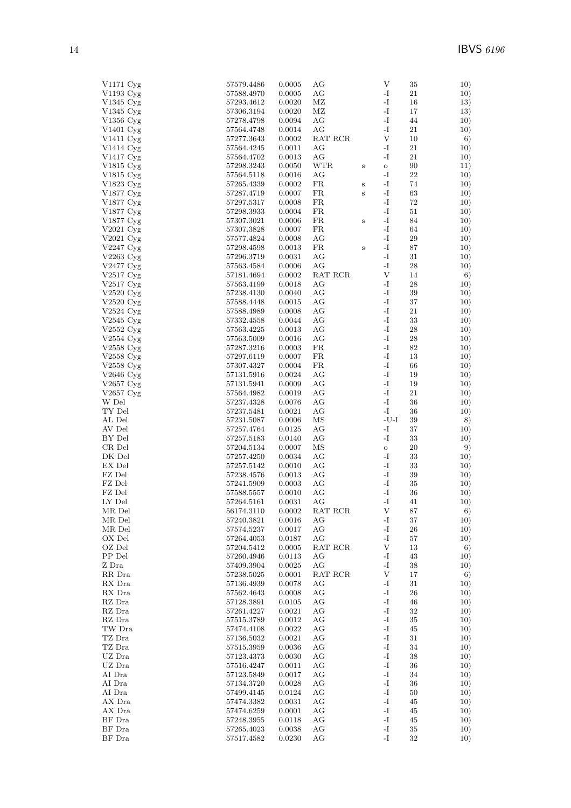| $V1171$ Cyg            | 57579.4486 | 0.0005 | AG         |              | V                         | 35     | 10) |
|------------------------|------------|--------|------------|--------------|---------------------------|--------|-----|
| V1193 Cyg              | 57588.4970 | 0.0005 | АG         |              | $\mathbf{I}$              | 21     | 10) |
| V1345 Cyg              | 57293.4612 | 0.0020 | ΜZ         |              | $\mathbf{I}$              | 16     | 13) |
| V1345 Cyg              | 57306.3194 | 0.0020 | ΜZ         |              | $\mathbf{I}$              | 17     | 13) |
| V1356 Cyg              | 57278.4798 | 0.0094 | AG         |              | -I                        | 44     | 10) |
| $V1401 \,\mathrm{Cyg}$ | 57564.4748 | 0.0014 | AG         |              | -I                        | 21     | 10) |
| V1411 Cyg              | 57277.3643 | 0.0002 | RAT RCR    |              | $\mathbf{V}$              | 10     | 6)  |
| V1414 Cyg              | 57564.4245 | 0.0011 | AG         |              | -I                        | 21     | 10) |
| V1417 Cyg              | 57564.4702 | 0.0013 | AG         |              | -I                        | 21     | 10) |
| V1815 Cyg              | 57298.3243 | 0.0050 | <b>WTR</b> | $\bf S$      | $\mathbf{o}$              | 90     | 11) |
| V1815 Cyg              | 57564.5118 | 0.0016 | AG         |              | -I                        | 22     | 10) |
| V1823 Cyg              | 57265.4339 | 0.0002 | FR         | $\, {\bf S}$ | -I                        | 74     | 10) |
| V1877 Cyg              | 57287.4719 | 0.0007 | FR         | $\bf S$      | $\mathbf{-I}$             | 63     | 10) |
| V1877 Cyg              | 57297.5317 | 0.0008 | FR         |              | -I                        | 72     | 10) |
| V1877 Cyg              | 57298.3933 | 0.0004 | FR         |              | -I                        | 51     | 10) |
| V1877 Cyg              | 57307.3021 | 0.0006 | FR         | $\,$ s       | $\mathbf{-I}$             | 84     | 10) |
| V2021 $Cyg$            | 57307.3828 | 0.0007 | FR         |              | $\mathbf{I}$              | 64     | 10) |
| V2021 $Cyg$            | 57577.4824 | 0.0008 | AG         |              | $\mathbf{I}$              | 29     | 10) |
| V2247 Cyg              | 57298.4598 | 0.0013 | FR         | $\, {\bf S}$ | -I                        | 87     | 10) |
| V2263 $Cyg$            | 57296.3719 | 0.0031 | AG         |              | $\mathbf{I}$              | 31     | 10) |
| V2477 Cyg              | 57563.4584 | 0.0006 | AG         |              | -I                        | 28     | 10) |
| V2517 $Cyg$            | 57181.4694 | 0.0002 | RAT RCR    |              | V                         | 14     | 6)  |
| V $2517$ Cyg           | 57563.4199 | 0.0018 | AG         |              | -I                        | 28     | 10) |
| $V2520$ Cyg            | 57238.4130 | 0.0040 | AG         |              | -I                        | 39     | 10) |
| $V2520 \,\mathrm{Cyg}$ | 57588.4448 | 0.0015 | AG         |              | -I                        | 37     | 10) |
| $V2524$ Cyg            | 57588.4989 | 0.0008 | AG         |              | -I                        | 21     | 10) |
| V2545 $Cyg$            | 57332.4558 | 0.0044 | AG         |              | -I                        | 33     | 10) |
| $V2552 \, Cyg$         | 57563.4225 | 0.0013 | AG         |              | -I                        | 28     | 10) |
| V2554 $Cyg$            | 57563.5009 | 0.0016 | AG         |              | $\mathbf{I}$              | 28     | 10) |
| V2558 Cyg              | 57287.3216 | 0.0003 | FR         |              | -I                        | 82     | 10) |
| V2558 Cyg              | 57297.6119 | 0.0007 | FR         |              | -I                        | 13     | 10) |
| V2558 Cyg              | 57307.4327 | 0.0004 | FR         |              | $\mathbf{I}$              | 66     | 10) |
| $V2646 \,\mathrm{Cyg}$ | 57131.5916 | 0.0024 | AG         |              | $\mathbf{-I}$             | 19     | 10) |
| V2657 $Cyg$            | 57131.5941 | 0.0009 | AG         |              | -I                        | 19     | 10) |
| V2657 Cyg              | 57564.4982 | 0.0019 | AG         |              | -I                        | $21\,$ | 10) |
| W Del                  | 57237.4328 | 0.0076 | AG         |              | $\mathbf{-I}$             | 36     | 10) |
| TY Del                 | 57237.5481 | 0.0021 | AG         |              | -I                        | 36     | 10) |
| AL Del                 | 57231.5087 | 0.0006 | ΜS         |              | $-U-I$                    | 39     | 8)  |
| AV Del                 | 57257.4764 | 0.0125 | AG         |              | $\mathbf{I}$              | 37     | 10) |
| BY Del                 | 57257.5183 | 0.0140 | AG         |              | -I                        | 33     | 10) |
| CR Del                 | 57204.5134 | 0.0007 | MS         |              | $\mathbf{o}$              | $20\,$ | 9)  |
| DK Del                 | 57257.4250 | 0.0034 | AG         |              | -I                        | 33     | 10) |
| EX Del                 | 57257.5142 | 0.0010 | AG         |              | -I                        | 33     | 10) |
| FZ Del                 | 57238.4576 | 0.0013 | AG         |              | -I                        | 39     | 10) |
| FZ Del                 | 57241.5909 | 0.0003 | AG         |              | -I                        | $35\,$ | 10) |
| FZ Del                 | 57588.5557 | 0.0010 | AG         |              | $\mathbf{I}$              | 36     | 10) |
| LY Del                 | 57264.5161 | 0.0031 | AG         |              | $\mathbf{I}$              | 41     | 10) |
| MR Del                 | 56174.3110 | 0.0002 | RAT RCR    |              | V                         | 87     | 6)  |
| MR Del                 | 57240.3821 | 0.0016 | AG         |              | $\mathbf{I}$              | 37     | 10) |
| MR Del                 | 57574.5237 | 0.0017 | AG         |              | $\mathbf{I}$              | 26     | 10) |
| OX Del                 | 57264.4053 | 0.0187 | AG         |              | $\mathbf{-I}$             | $57\,$ | 10) |
| OZ Del                 | 57204.5412 | 0.0005 | RAT RCR    |              | $\ensuremath{\mathbf{V}}$ | 13     | 6)  |
| PP Del                 | 57260.4946 | 0.0113 | AG         |              | -I                        | 43     | 10) |
| Z Dra                  | 57409.3904 | 0.0025 | AG         |              | $\mathbf{I}$              | 38     | 10) |
| RR Dra                 | 57238.5025 | 0.0001 | RAT RCR    |              | $\mathbf{V}$              | 17     | 6)  |
| RX Dra                 | 57136.4939 | 0.0078 | AG         |              | $\mathbf{I}$              | 31     | 10) |
| RX Dra                 | 57562.4643 | 0.0008 | AG         |              | $\mathbf{I}$              | $26\,$ | 10) |
| RZ Dra                 | 57128.3891 | 0.0105 | AG         |              | $\mathbf{I}$              | 46     | 10) |
| RZ Dra                 | 57261.4227 | 0.0021 | AG         |              | $\mathbf{I}$              | 32     | 10) |
| RZ Dra                 | 57515.3789 | 0.0012 | AG         |              | $\mathbf{I}$              | $35\,$ | 10) |
| TW Dra                 | 57474.4108 | 0.0022 | AG         |              | $\mathbf{I}$              | 45     | 10) |
| TZ Dra                 | 57136.5032 | 0.0021 | AG         |              | $\mathbf{I}$              | 31     | 10) |
| TZ Dra                 | 57515.3959 | 0.0036 | AG         |              | $\mathbf{I}$              | 34     | 10) |
| UZ Dra                 | 57123.4373 | 0.0030 | AG         |              | $\mathbf{-I}$             | 38     | 10) |
| UZ Dra                 | 57516.4247 | 0.0011 | AG         |              | $\mathbf{I}$              | 36     | 10) |
| AI Dra                 | 57123.5849 | 0.0017 | AG         |              | -1                        | 34     | 10) |
| AI Dra                 | 57134.3720 | 0.0028 | AG         |              | $\mathbf{I}$              | 36     | 10) |
| AI Dra                 | 57499.4145 | 0.0124 | AG         |              | $\mathbf{I}$              | 50     | 10) |
| AX Dra                 | 57474.3382 | 0.0031 | AG         |              | -I                        | 45     | 10) |
| AX Dra                 | 57474.6259 | 0.0001 | AG         |              | -1                        | 45     | 10) |
| BF Dra                 | 57248.3955 | 0.0118 | AG         |              | $\mathbf{I}$              | 45     | 10) |
| BF Dra                 | 57265.4023 | 0.0038 | AG         |              | -1                        | 35     | 10) |
| BF Dra                 | 57517.4582 | 0.0230 | AG         |              | $\mathbf{-I}$             | 32     | 10) |
|                        |            |        |            |              |                           |        |     |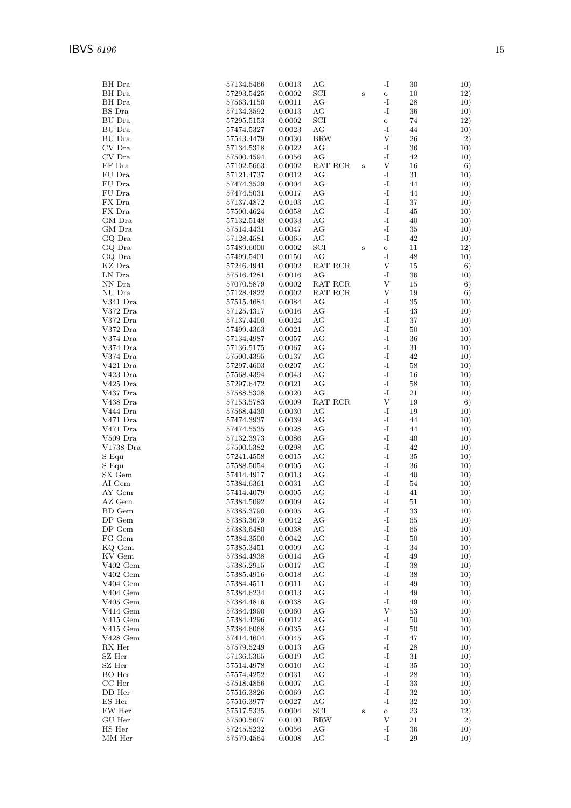| BH Dra         | 57134.5466 | 0.0013     | AG           |              | -I            | 30     | 10)        |
|----------------|------------|------------|--------------|--------------|---------------|--------|------------|
| BH Dra         | 57293.5425 | 0.0002     | $_{\rm SCI}$ | $\, {\bf S}$ | $\mathbf O$   | 10     | 12)        |
| BH Dra         | 57563.4150 | 0.0011     | АG           |              | -I            | 28     | 10)        |
| BS Dra         | 57134.3592 | 0.0013     | АG           |              | -I            | 36     | 10)        |
| BU Dra         | 57295.5153 | 0.0002     | $_{\rm SCI}$ |              | $\mathbf O$   | 74     | 12)        |
| BU Dra         | 57474.5327 | 0.0023     | AG           |              | -I            | 44     | 10)        |
| BU Dra         | 57543.4479 | 0.0030     | <b>BRW</b>   |              | V             | 26     | 2)         |
| CV Dra         | 57134.5318 | 0.0022     | AG           |              | -I            | 36     | 10)        |
| CV Dra         | 57500.4594 | 0.0056     | AG           |              | -I            | 42     | 10)        |
| EF Dra         | 57102.5663 | 0.0002     | RAT RCR      | S            | V             | 16     | 6)         |
| FU Dra         | 57121.4737 | 0.0012     | AG           |              | -I            | 31     | 10)        |
| FU Dra         | 57474.3529 | 0.0004     | AG           |              | -I            | 44     | 10)        |
| ${\rm FU~Dra}$ | 57474.5031 | 0.0017     | AG           |              | -1            | 44     | 10)        |
| FX Dra         | 57137.4872 | $0.0103\,$ | АG           |              | -I            | 37     | 10)        |
| FX Dra         | 57500.4624 | 0.0058     | AG           |              | $\mathbf{-I}$ | 45     | 10)        |
| GM Dra         | 57132.5148 | 0.0033     | АG           |              | -I            | 40     | 10)        |
| GM Dra         | 57514.4431 | 0.0047     | AG           |              | -I            | 35     | 10)        |
| GQ Dra         | 57128.4581 | 0.0065     | AG           |              | -I            | 42     | 10)        |
| GQ Dra         | 57489.6000 | 0.0002     | $_{\rm SCI}$ | $\,$ S       | $\mathbf O$   | 11     | 12)        |
| GQ Dra         | 57499.5401 | 0.0150     | AG           |              | -I            | 48     | 10)        |
| KZ Dra         | 57246.4941 | 0.0002     | RAT RCR      |              | V             | 15     | 6)         |
| LN Dra         | 57516.4281 | 0.0016     | AG           |              | -I            | 36     | 10)        |
| NN Dra         | 57070.5879 | 0.0002     | RAT RCR      |              | V             | 15     | 6)         |
| NU Dra         | 57128.4822 | 0.0002     | RAT RCR      |              | V             | 19     | 6)         |
| V341 Dra       | 57515.4684 | 0.0084     | AG           |              | -I            | 35     | 10)        |
| V372 Dra       | 57125.4317 | 0.0016     | AG           |              | -I            | 43     | 10)        |
| $\rm V372~Dra$ | 57137.4400 | 0.0024     | AG           |              | -I            | 37     | 10)        |
| V372 Dra       | 57499.4363 | 0.0021     | AG           |              | -I            | 50     | 10)        |
| V374 Dra       | 57134.4987 | 0.0057     | AG           |              | -I            | 36     | 10)        |
| V374 Dra       | 57136.5175 | 0.0067     | AG           |              | -I            | 31     | 10)        |
| V374 Dra       | 57500.4395 | 0.0137     | AG           |              | $\mathbf{-I}$ | 42     | 10)        |
| V421 Dra       | 57297.4603 | 0.0207     | AG           |              | -I            | 58     | 10)        |
| V423 Dra       | 57568.4394 | 0.0043     | АG           |              | -I            | 16     | 10)        |
| $\rm V425$ Dra | 57297.6472 | 0.0021     | AG           |              | $\mathbf{-I}$ | 58     | 10)        |
| V437 Dra       | 57588.5328 | 0.0020     | AG           |              | -I            | 21     | 10)        |
| V438 Dra       | 57153.5783 | 0.0009     | RAT RCR      |              | V             | 19     | 6)         |
| V444 Dra       | 57568.4430 | 0.0030     | AG           |              | -I            | 19     | 10)        |
| V471 Dra       | 57474.3937 | 0.0039     | AG           |              | -I            | 44     | 10)        |
| V471 Dra       | 57474.5535 | 0.0028     | AG           |              | -I            | 44     | 10)        |
| V509 Dra       | 57132.3973 | 0.0086     | AG           |              | -I            | 40     | 10)        |
| V1738 Dra      | 57500.5382 | 0.0298     | AG           |              | -I            | 42     | 10)        |
| S Equ          | 57241.4558 | 0.0015     | AG           |              | -I            | 35     |            |
| S Equ          | 57588.5054 | 0.0005     | AG           |              | -I            | 36     | 10)        |
| SX Gem         | 57414.4917 | 0.0013     | AG           |              | -I            | 40     | 10)        |
| AI Gem         | 57384.6361 | 0.0031     | АG           |              | -1            | 54     | 10)<br>10) |
| AY Gem         | 57414.4079 | 0.0005     | AG           |              | -I            | 41     |            |
|                |            |            |              |              | -I            |        | 10)        |
| AZ Gem         | 57384.5092 | 0.0009     | АG           |              | -I            | 51     | 10)        |
| BD Gem         | 57385.3790 | 0.0005     | AG           |              |               | $33\,$ | 10)        |
| DP Gem         | 57383.3679 | 0.0042     | AG           |              | -1            | 65     | 10)        |
| DP Gem         | 57383.6480 | 0.0038     | AG           |              | -I            | 65     | 10)        |
| FG Gem         | 57384.3500 | 0.0042     | AG           |              | -1            | 50     | 10)        |
| KQ Gem         | 57385.3451 | 0.0009     | AG           |              | -1            | 34     | 10)        |
| KV Gem         | 57384.4938 | 0.0014     | AG           |              | $\mathbf{I}$  | 49     | 10)        |
| $V402$ Gem     | 57385.2915 | 0.0017     | AG           |              | $\mathbf{I}$  | 38     | 10)        |
| $V402$ Gem     | 57385.4916 | 0.0018     | АG           |              | -I            | 38     | 10)        |
| $V404$ Gem     | 57384.4511 | 0.0011     | AG           |              | $\mathbf{-I}$ | 49     | 10)        |
| $V404$ Gem     | 57384.6234 | 0.0013     | AG           |              | -I            | 49     | 10)        |
| $V405$ Gem     | 57384.4816 | 0.0038     | AG           |              | $\mathbf{I}$  | 49     | 10)        |
| $V414$ Gem     | 57384.4990 | 0.0060     | AG           |              | V             | 53     | 10)        |
| $V415$ Gem     | 57384.4296 | 0.0012     | AG           |              | $\mathbf{I}$  | 50     | 10)        |
| $V415$ Gem     | 57384.6068 | 0.0035     | AG           |              | -1            | 50     | 10)        |
| V428 Gem       | 57414.4604 | 0.0045     | AG           |              | -I            | 47     | 10)        |
| RX Her         | 57579.5249 | 0.0013     | AG           |              | $\mathbf{I}$  | 28     | 10)        |
| SZ Her         | 57136.5365 | 0.0019     | AG           |              | -1            | $31\,$ | 10)        |
| SZ Her         | 57514.4978 | 0.0010     | AG           |              | $\mathbf{I}$  | 35     | 10)        |
| BO Her         | 57574.4252 | 0.0031     | AG           |              | $\mathbf{I}$  | 28     | 10)        |
| CC Her         | 57518.4856 | 0.0007     | AG           |              | $\mathbf{I}$  | 33     | 10)        |
| DD Her         | 57516.3826 | 0.0069     | AG           |              | -I            | 32     | 10)        |
| ES Her         | 57516.3977 | 0.0027     | AG           |              | -I            | 32     | 10)        |
| FW Her         | 57517.5335 | 0.0004     | SCI          | $\, {\bf S}$ | $\rm{O}$      | 23     | 12)        |
| GU Her         | 57500.5607 | 0.0100     | <b>BRW</b>   |              | V             | 21     | 2)         |
| HS Her         | 57245.5232 | 0.0056     | AG           |              | $\mathbf{I}$  | 36     | 10)        |
| MM Her         | 57579.4564 | 0.0008     | AG           |              | -1            | 29     | 10)        |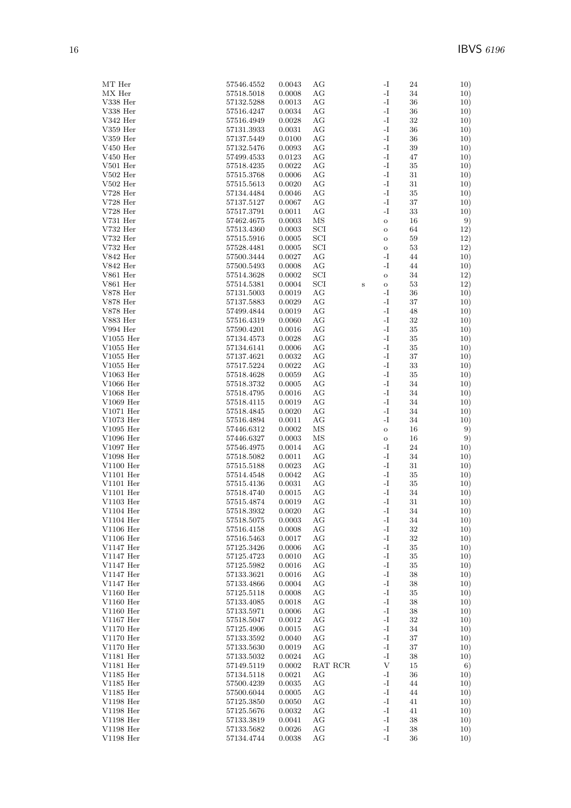| MT Her      | 57546.4552 | 0.0043 | AG           |         | -I            | 24     | 10) |
|-------------|------------|--------|--------------|---------|---------------|--------|-----|
| $MX$ Her    | 57518.5018 | 0.0008 | AG           |         | -I            | 34     | 10) |
| V338 Her    | 57132.5288 | 0.0013 | AG           |         | -I            | 36     | 10) |
| V338 Her    | 57516.4247 | 0.0034 | AG           |         | -I            | $36\,$ | 10) |
|             |            |        |              |         | $\mathbf{I}$  |        |     |
| $V342$ Her  | 57516.4949 | 0.0028 | AG           |         |               | $32\,$ | 10) |
| $V359$ Her  | 57131.3933 | 0.0031 | AG           |         | $\mathbf{I}$  | 36     | 10) |
| $V359$ Her  | 57137.5449 | 0.0100 | AG           |         | -I            | $36\,$ | 10) |
| $V450$ Her  | 57132.5476 | 0.0093 | AG           |         | $\mathbf{-I}$ | $39\,$ | 10) |
|             |            |        |              |         |               |        |     |
| V450 Her    | 57499.4533 | 0.0123 | AG           |         | -I            | 47     | 10) |
| $V501$ Her  | 57518.4235 | 0.0022 | AG           |         | -I            | $35\,$ | 10) |
| $V502$ Her  | 57515.3768 | 0.0006 | AG           |         | $\mathbf{-I}$ | 31     | 10) |
| $V502$ Her  | 57515.5613 | 0.0020 | AG           |         | -I            | 31     | 10) |
|             |            |        |              |         |               |        |     |
| $V728$ Her  | 57134.4484 | 0.0046 | AG           |         | -I            | 35     | 10) |
| $V728$ Her  | 57137.5127 | 0.0067 | AG           |         | -I            | $37\,$ | 10) |
| $V728$ Her  | 57517.3791 | 0.0011 | AG           |         | -I            | $33\,$ | 10) |
| $V731$ Her  | 57462.4675 | 0.0003 | ΜS           |         | $\mathbf O$   | 16     | 9)  |
|             |            |        |              |         |               |        |     |
| V732 Her    | 57513.4360 | 0.0003 | SCI          |         | $\mathbf O$   | 64     | 12) |
| V732 Her    | 57515.5916 | 0.0005 | $_{\rm SCI}$ |         | $\mathbf O$   | 59     | 12) |
| V732 Her    | 57528.4481 | 0.0005 | SCI          |         | $\mathbf O$   | $53\,$ | 12) |
| V842 Her    | 57500.3444 | 0.0027 | AG           |         | -I            | 44     | 10) |
| V842 Her    | 57500.5493 | 0.0008 | AG           |         | -I            | 44     |     |
|             |            |        |              |         |               |        | 10) |
| $V861$ Her  | 57514.3628 | 0.0002 | SCI          |         | $\mathbf O$   | 34     | 12) |
| V861 Her    | 57514.5381 | 0.0004 | SCI          | $\bf S$ | $\mathbf O$   | 53     | 12) |
| $V878$ Her  | 57131.5003 | 0.0019 | AG           |         | -I            | 36     | 10) |
| V878 Her    |            | 0.0029 | AG           |         | $\mathbf{I}$  | 37     |     |
|             | 57137.5883 |        |              |         |               |        | 10) |
| V878 Her    | 57499.4844 | 0.0019 | AG           |         | -I            | 48     | 10) |
| V883 Her    | 57516.4319 | 0.0060 | AG           |         | $\mathbf{-I}$ | $32\,$ | 10) |
| V994 Her    | 57590.4201 | 0.0016 | AG           |         | -I            | 35     | 10) |
|             |            |        |              |         | -I            | $35\,$ |     |
| V1055 Her   | 57134.4573 | 0.0028 | AG           |         |               |        | 10) |
| $V1055$ Her | 57134.6141 | 0.0006 | AG           |         | -I            | $35\,$ | 10) |
| V1055 Her   | 57137.4621 | 0.0032 | AG           |         | -I            | 37     | 10) |
| $V1055$ Her | 57517.5224 | 0.0022 | AG           |         | -I            | 33     | 10) |
| $V1063$ Her | 57518.4628 | 0.0059 | AG           |         | $\mathbf{I}$  | $35\,$ | 10) |
|             |            |        |              |         |               |        |     |
| $V1066$ Her | 57518.3732 | 0.0005 | AG           |         | $\mathbf{-I}$ | 34     | 10) |
| V1068 Her   | 57518.4795 | 0.0016 | AG           |         | -I            | 34     | 10) |
| V1069 Her   | 57518.4115 | 0.0019 | AG           |         | -I            | 34     | 10) |
| V1071 Her   | 57518.4845 | 0.0020 | AG           |         | -I            | 34     | 10) |
|             |            |        |              |         |               |        |     |
| V1073 Her   | 57516.4894 | 0.0011 | AG           |         | -I            | 34     | 10) |
| V1095 Her   | 57446.6312 | 0.0002 | MS           |         | $\rm{O}$      | 16     | 9)  |
| V1096 Her   | 57446.6327 | 0.0003 | ΜS           |         | $\mathbf O$   | 16     | 9)  |
| V1097 Her   | 57546.4975 | 0.0014 | AG           |         | -I            | 24     | 10) |
|             |            |        |              |         |               |        |     |
| V1098 Her   | 57518.5082 | 0.0011 | AG           |         | -I            | 34     | 10) |
| V1100 Her   | 57515.5188 | 0.0023 | AG           |         | $\mathbf{I}$  | 31     | 10) |
| V1101 Her   | 57514.4548 | 0.0042 | AG           |         | -I            | 35     | 10) |
| V1101 Her   | 57515.4136 | 0.0031 | AG           |         | -I            | 35     | 10) |
| V1101 Her   |            |        |              |         | $\mathbf{I}$  | 34     |     |
|             | 57518.4740 | 0.0015 | AG           |         |               |        | 10) |
| $V1103$ Her | 57515.4874 | 0.0019 | AG           |         | $\mathbf{I}$  | 31     | 10) |
| V1104 Her   | 57518.3932 | 0.0020 | AG           |         | -I            | 34     | 10) |
| $V1104$ Her | 57518.5075 | 0.0003 | AG           |         | $\mathbf{I}$  | 34     | 10) |
|             |            |        |              |         |               |        |     |
| $V1106$ Her | 57516.4158 | 0.0008 | AG           |         | $\mathbf{I}$  | 32     | 10) |
| $V1106$ Her | 57516.5463 | 0.0017 | AG           |         | -I            | $32\,$ | 10) |
| V1147 Her   | 57125.3426 | 0.0006 | AG           |         | $\mathbf{I}$  | $35\,$ | 10) |
| $V1147$ Her | 57125.4723 | 0.0010 | AG           |         | $\mathbf{I}$  | 35     | 10) |
| V1147 Her   | 57125.5982 | 0.0016 | AG           |         | $\mathbf{I}$  | 35     | 10) |
|             |            |        |              |         |               |        |     |
| $V1147$ Her | 57133.3621 | 0.0016 | AG           |         | $\mathbf{I}$  | 38     | 10) |
| V1147 Her   | 57133.4866 | 0.0004 | AG           |         | $\mathbf{I}$  | 38     | 10) |
| $V1160$ Her | 57125.5118 | 0.0008 | AG           |         | $\mathbf{I}$  | $35\,$ | 10) |
| $V1160$ Her | 57133.4085 | 0.0018 | AG           |         | $\mathbf{I}$  | $38\,$ | 10) |
|             |            |        |              |         |               |        |     |
| V1160 Her   | 57133.5971 | 0.0006 | AG           |         | $\mathbf{I}$  | 38     | 10) |
| $V1167$ Her | 57518.5047 | 0.0012 | AG           |         | $\mathbf{I}$  | $32\,$ | 10) |
| V1170 Her   | 57125.4906 | 0.0015 | AG           |         | $\mathbf{I}$  | 34     | 10) |
| V1170 Her   | 57133.3592 | 0.0040 | AG           |         | $\mathbf{I}$  | 37     | 10) |
|             |            |        |              |         |               |        |     |
| $V1170$ Her | 57133.5630 | 0.0019 | AG           |         | $\mathbf{I}$  | 37     | 10) |
| V1181 Her   | 57133.5032 | 0.0024 | AG           |         | $\mathbf{I}$  | 38     | 10) |
| V1181 Her   | 57149.5119 | 0.0002 | RAT RCR      |         | V             | 15     | 6)  |
| V1185 Her   | 57134.5118 | 0.0021 | AG           |         | $\mathbf{I}$  | $36\,$ | 10) |
| V1185 Her   | 57500.4239 | 0.0035 | AG           |         | $\mathbf{I}$  | 44     | 10) |
|             |            |        |              |         |               |        |     |
| V1185 Her   | 57500.6044 | 0.0005 | AG           |         | $\mathbf{I}$  | 44     | 10) |
| V1198 Her   | 57125.3850 | 0.0050 | AG           |         | $\mathbf{I}$  | 41     | 10) |
| V1198 Her   | 57125.5676 | 0.0032 | AG           |         | $\mathbf{I}$  | 41     | 10) |
| V1198 Her   | 57133.3819 | 0.0041 | AG           |         | $\mathbf{I}$  | $38\,$ | 10) |
|             |            |        |              |         |               |        |     |
| V1198 Her   | 57133.5682 | 0.0026 | AG           |         | $\mathbf{I}$  | $38\,$ | 10) |
| V1198 Her   | 57134.4744 | 0.0038 | AG           |         | $\mathbf{I}$  | 36     | 10) |
|             |            |        |              |         |               |        |     |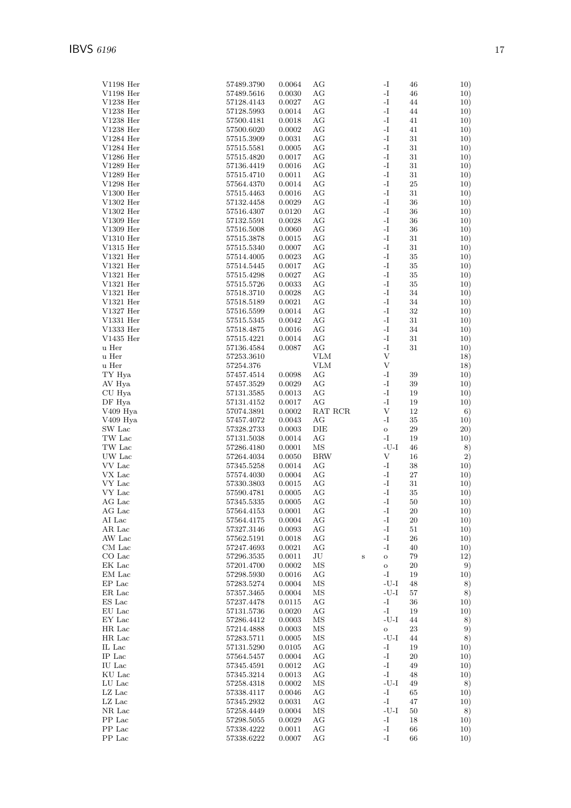| $V1198$ Her        | 57489.3790     | 0.0064     | АG         |         | -I           | 46     | 10) |
|--------------------|----------------|------------|------------|---------|--------------|--------|-----|
| $V1198$ Her        | 57489.5616     | 0.0030     | АG         |         | -I           | 46     | 10) |
| $V1238$ Her        | 57128.4143     | 0.0027     | AG         |         | $\mathbf{I}$ | 44     | 10) |
| $V1238$ Her        | 57128.5993     | 0.0014     | АG         |         | -1           | 44     | 10) |
| $V1238$ Her        | 57500.4181     | 0.0018     | АG         |         | -I           | 41     | 10) |
| $V1238$ Her        | 57500.6020     | 0.0002     | AG         |         | -I           | 41     | 10) |
| $V1284$ Her        | 57515.3909     | 0.0031     | АG         |         | -I           | 31     | 10) |
| $V1284$ Her        | 57515.5581     | 0.0005     | АG         |         | -I           | 31     | 10) |
| $V1286$ Her        | 57515.4820     | 0.0017     | AG         |         | -I           | 31     | 10) |
| $V1289$ Her        | 57136.4419     | 0.0016     | AG         |         | $\mathbf{I}$ | $31\,$ | 10) |
| V1289 Her          | 57515.4710     | 0.0011     | AG         |         | -I           | 31     | 10) |
| $V1298$ Her        | 57564.4370     | 0.0014     | AG         |         | -I           | $25\,$ | 10) |
| $V1300$ Her        | 57515.4463     | 0.0016     | АG         |         | -I           | 31     | 10) |
| $V1302$ Her        | 57132.4458     | 0.0029     | АG         |         | -I           | 36     | 10) |
| $V1302$ Her        | 57516.4307     | 0.0120     | AG         |         | $\mathbf{I}$ | 36     | 10) |
| $V1309$ Her        | 57132.5591     | 0.0028     | AG         |         | -I           | 36     | 10) |
| $V1309$ Her        | 57516.5008     | 0.0060     | АG         |         | -I           | 36     | 10) |
| $V1310$ Her        | 57515.3878     | 0.0015     | AG         |         | -I           | 31     | 10) |
| $V1315$ Her        | 57515.5340     | 0.0007     | АG         |         | -I           | 31     | 10) |
| $V1321$ Her        | 57514.4005     | 0.0023     | АG         |         | -I           | 35     | 10) |
| $V1321$ Her        | 57514.5445     | 0.0017     | АG         |         | -I           | 35     | 10) |
| $V1321$ Her        | 57515.4298     | 0.0027     | AG         |         | -I           | $35\,$ | 10) |
| $V1321$ Her        | 57515.5726     | 0.0033     | AG         |         | -I           | 35     | 10) |
| $V1321$ Her        | 57518.3710     | 0.0028     | АG         |         | -I           | 34     | 10) |
| $V1321$ Her        | 57518.5189     | $0.0021\,$ | AG         |         | -I           | 34     | 10) |
| $V1327$ Her        | 57516.5599     | 0.0014     | АG         |         | -I           | 32     | 10) |
| V1331 Her          | 57515.5345     | 0.0042     | АG         |         | -I           | 31     | 10) |
| V1333 Her          | 57518.4875     | 0.0016     | AG         |         | -I           | 34     | 10) |
| $V1435$ Her        | 57515.4221     | 0.0014     | AG         |         | $\mathbf{I}$ | $31\,$ | 10) |
| u Her              | 57136.4584     | 0.0087     | АG         |         | -I           | 31     | 10) |
| u Her              | 57253.3610     |            | <b>VLM</b> |         | $\mathbf{V}$ |        | 18) |
| u Her              | 57254.376      |            | <b>VLM</b> |         | $\mathbf{V}$ |        | 18) |
| TY Hya             | 57457.4514     | 0.0098     | АG         |         | -I           | 39     | 10) |
| AV Hya             | 57457.3529     | 0.0029     | AG         |         | -I           | 39     | 10) |
| CU Hya             | 57131.3585     | 0.0013     | AG         |         | -I           | 19     | 10) |
| DF Hya             | 57131.4152     | 0.0017     | AG         |         | -I           | 19     | 10) |
| V409 Hya           | 57074.3891     | 0.0002     | RAT RCR    |         | V            | 12     | 6)  |
| V409 Hya           | 57457.4072     | 0.0043     | AG         |         | -I           | 35     | 10) |
| SW Lac             | 57328.2733     | 0.0003     | DIE        |         | $\circ$      | 29     | 20) |
| TW Lac             | 57131.5038     | 0.0014     | AG         |         | -I           | 19     | 10) |
| TW Lac             | 57286.4180     | 0.0001     | ΜS         |         | $-U-I$       | 46     | 8)  |
| UW Lac             | 57264.4034     | 0.0050     | <b>BRW</b> |         | V            | 16     | 2)  |
| VV Lac             | 57345.5258     | 0.0014     | AG         |         | -I           | 38     | 10) |
| VX Lac             | 57574.4030     | 0.0004     | AG         |         | -I           | 27     | 10) |
| VY Lac             | 57330.3803     | 0.0015     | АG         |         | -I           | 31     | 10) |
| VY Lac             | 57590.4781     | 0.0005     | АG         |         | -I           | 35     | 10) |
| AG Lac             | 57345.5335     | 0.0005     | AG         |         | -I           | 50     | 10) |
| $\rm{AG}$ Lac      | 57564.4153     | 0.0001     | AG         |         | -I           | $20\,$ | 10) |
| AI Lac             | 57564.4175     | 0.0004     | AG         |         | -1           | 20     | 10) |
| AR Lac             | 57327.3146     | 0.0093     | AG         |         | -1           | 51     | 10) |
| AW Lac             | 57562.5191     | 0.0018     | AG         |         | I-           | $26\,$ | 10) |
| CM Lac             | 57247.4693     | 0.0021     | AG         |         | -I           | 40     | 10) |
| CO Lac             | 57296.3535     | $0.0011\,$ | JU         | $\bf S$ | $\mathbf O$  | 79     | 12) |
| EK Lac             | 57201.4700     | 0.0002     | ΜS         |         | $\mathbf O$  | 20     | 9)  |
| EM Lac             | 57298.5930     | 0.0016     | AG         |         | $\mathbf{I}$ | 19     | 10) |
| EP Lac             | 57283.5274     | 0.0004     | ΜS         |         | $-I-J-$      | 48     | 8)  |
| ${\rm ER}$ Lac     | 57357.3465     | 0.0004     | MS         |         | $-U-I$       | 57     | 8)  |
| ES Lac             | 57237.4478     | 0.0115     | AG         |         | I-           | 36     | 10) |
| EU Lac             | 57131.5736     | 0.0020     | AG         |         | -1           | 19     | 10) |
| EY Lac             | 57286.4412     | 0.0003     | ΜS         |         | $-U-I$       | 44     | 8)  |
| HR Lac             | 57214.4888     | 0.0003     | MS         |         | $\rm{O}$     | 23     | 9)  |
| HR Lac             | 57283.5711     | 0.0005     | MS         |         | -U-I         | 44     | 8)  |
| IL Lac             | 57131.5290     | $0.0105\,$ | AG         |         | $\mathbf{I}$ | 19     | 10) |
| IP Lac             | 57564.5457     | 0.0004     | AG         |         | I-           | $20\,$ | 10) |
| $\rm IU$ $\rm Lac$ | 57345.4591     | 0.0012     | AG         |         | I-           | 49     | 10) |
| KU Lac             | 57345.3214     | 0.0013     | AG         |         | -1           | 48     | 10) |
| LU Lac             | 57258.4318     | 0.0002     | MS         |         | $-U-I$       | 49     | 8)  |
| LZ Lac             | $57338.4117\,$ | 0.0046     | AG         |         | <b>I</b> -   | 65     | 10) |
| $LZ$ Lac           | 57345.2932     | 0.0031     | AG         |         | -1           | 47     | 10) |
| NR Lac             | 57258.4449     | 0.0004     | MS         |         | $-U-I$       | 50     | 8)  |
| PP Lac             | 57298.5055     | 0.0029     | AG         |         | -1           | 18     | 10) |
| PP Lac             | 57338.4222     | 0.0011     | AG         |         | I-           | 66     | 10) |
| PP Lac             | 57338.6222     | 0.0007     | AG         |         | -1           | 66     | 10) |
|                    |                |            |            |         |              |        |     |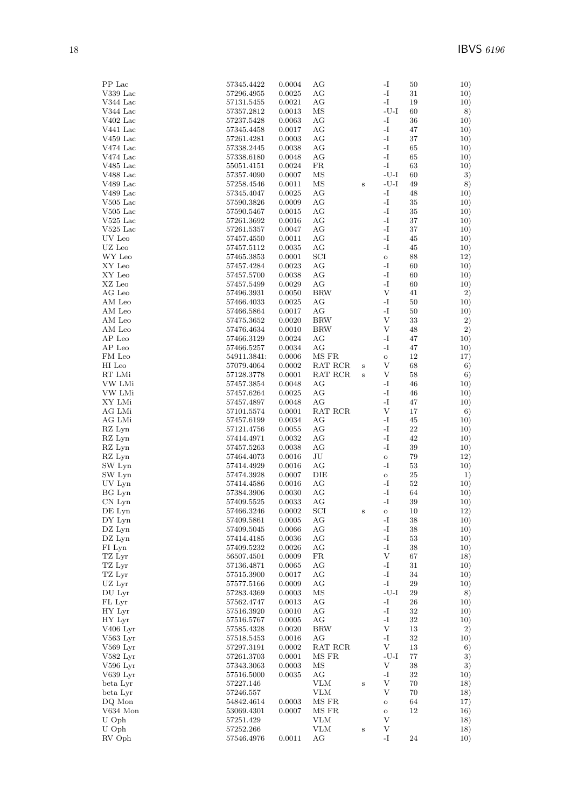| PP Lac         | 57345.4422  | 0.0004     | AG         |         | $\mathbf{I}$              | 10)<br>50     |
|----------------|-------------|------------|------------|---------|---------------------------|---------------|
| $V339$ Lac     | 57296.4955  | 0.0025     | AG         |         | $\mathbf{I}$              | 31<br>10)     |
| V344 Lac       | 57131.5455  | 0.0021     | АG         |         | -I                        | 19<br>10)     |
| V344 Lac       | 57357.2812  | 0.0013     | MS         |         | $-U-I$                    | 60<br>8)      |
| $V402$ Lac     | 57237.5428  | 0.0063     | AG         |         | -I                        | 36<br>10)     |
| V441 Lac       | 57345.4458  | 0.0017     | AG         |         | -I                        | 47<br>10)     |
| $V459$ Lac     | 57261.4281  | 0.0003     | AG         |         | $\mathbf{I}$              | 37<br>10)     |
| V474 Lac       | 57338.2445  | 0.0038     | AG         |         | $\mathbf{I}$              | 65<br>10)     |
| V474 Lac       | 57338.6180  | 0.0048     | AG         |         | -1                        | 10)<br>65     |
| $V485$ Lac     | 55051.4151  | 0.0024     | FR         |         | $\mathbf{I}$              | 63<br>10)     |
| V488 Lac       | 57357.4090  | 0.0007     | ΜS         |         | $-U-I$                    | 3)<br>60      |
| V489 Lac       | 57258.4546  | 0.0011     | ΜS         | $\bf S$ | $-U-I$                    | 49<br>8)      |
| V489 Lac       | 57345.4047  | 0.0025     | AG         |         | $\mathbf{I}$              | 48<br>10)     |
| $V505$ Lac     | 57590.3826  | 0.0009     | AG         |         | $\mathbf{I}$              | $35\,$<br>10) |
| $V505$ Lac     | 57590.5467  | 0.0015     | AG         |         | -I                        | 35<br>10)     |
| $V525$ Lac     | 57261.3692  | 0.0016     | AG         |         | -I                        | 37<br>10)     |
| $\rm V525~Lac$ | 57261.5357  | 0.0047     | AG         |         | -I                        | 37<br>10)     |
| UV Leo         | 57457.4550  | $0.0011\,$ | AG         |         | -I                        | 45<br>10)     |
| UZ Leo         | 57457.5112  | 0.0035     | АG         |         | $\mathbf{I}$              | 45<br>10)     |
| WY Leo         | 57465.3853  | 0.0001     | SCI        |         | $\rm{O}$                  | 88<br>12)     |
| XY Leo         | 57457.4284  | 0.0023     | AG         |         | -I                        | 60<br>10)     |
| XY Leo         | 57457.5700  | 0.0038     | AG         |         | -I                        | 60<br>10)     |
| XZ Leo         | 57457.5499  | 0.0029     | AG         |         | -I                        | 60<br>10)     |
| AG Leo         | 57496.3931  | 0.0050     | <b>BRW</b> |         | V                         | 2)<br>41      |
| AM Leo         | 57466.4033  | 0.0025     | AG         |         | -I                        | 50<br>10)     |
| AM Leo         | 57466.5864  | 0.0017     | AG         |         | $\mathbf{I}$              | 50<br>10)     |
| AM Leo         | 57475.3652  | 0.0020     | <b>BRW</b> |         | $\ensuremath{\mathbf{V}}$ | 33<br>2)      |
| AM Leo         | 57476.4634  | 0.0010     | <b>BRW</b> |         | V                         | 48<br>2)      |
| AP Leo         | 57466.3129  | 0.0024     | AG         |         | -I                        | 47<br>10)     |
| AP Leo         |             |            | AG         |         | -I                        | 47<br>10)     |
|                | 57466.5257  | 0.0034     |            |         |                           |               |
| FM Leo         | 54911.3841: | 0.0006     | MS FR      |         | $\mathbf O$<br>V          | 12<br>17)     |
| HI Leo         | 57079.4064  | 0.0002     | RAT RCR    | $\bf S$ |                           | 68<br>6)      |
| RT LMi         | 57128.3778  | 0.0001     | RAT RCR    | S       | V                         | 58<br>6)      |
| VW LMi         | 57457.3854  | 0.0048     | AG         |         | -I                        | 46<br>10)     |
| VW LMi         | 57457.6264  | 0.0025     | AG         |         | -I                        | 46<br>10)     |
| XY LMi         | 57457.4897  | 0.0048     | AG         |         | -I                        | 47<br>10)     |
| AG LMi         | 57101.5574  | 0.0001     | RAT RCR    |         | $\ensuremath{\mathbf{V}}$ | 17<br>6)      |
| AG LMi         | 57457.6199  | 0.0034     | AG         |         | -1                        | 45<br>10)     |
| RZ Lyn         | 57121.4756  | 0.0055     | AG         |         | $\mathbf{I}$              | 22<br>10)     |
| RZ Lyn         | 57414.4971  | 0.0032     | AG         |         | $\mathbf{I}$              | 42<br>10)     |
| RZ Lyn         | 57457.5263  | 0.0038     | AG         |         | -I                        | 39<br>10)     |
| RZ Lyn         | 57464.4073  | 0.0016     | JU         |         | $\mathbf O$               | 79<br>12)     |
| SW Lyn         | 57414.4929  | 0.0016     | AG         |         | -I                        | 53<br>10)     |
| SW Lyn         | 57474.3928  | 0.0007     | DIE        |         | $\mathbf O$               | $25\,$<br>1)  |
| UV Lyn         | 57414.4586  | 0.0016     | AG         |         | -1                        | 52<br>10)     |
| BG Lyn         | 57384.3906  | 0.0030     | AG         |         | $\mathbf{I}$              | 64<br>10)     |
| CN Lyn         | 57409.5525  | 0.0033     | АG         |         | $\mathbf{I}$              | 39<br>10)     |
| DE Lyn         | 57466.3246  | 0.0002     | SCI        |         | О                         | $10\,$<br>12) |
| DY Lyn         | 57409.5861  | 0.0005     | AG         |         | -I                        | 10)<br>38     |
| DZ Lyn         | 57409.5045  | 0.0066     | АG         |         | -I                        | 38<br>10)     |
| DZ Lyn         | 57414.4185  | 0.0036     | AG         |         | $\mathbf{I}$              | 53<br>10)     |
| FI Lyn         | 57409.5232  | 0.0026     | AG         |         | $\mathbf{I}$              | 38<br>10)     |
| TZ Lyr         | 56507.4501  | 0.0009     | FR         |         | $\ensuremath{\mathbf{V}}$ | 67<br>18)     |
| TZ Lyr         | 57136.4871  | 0.0065     | AG         |         | -I                        | 31<br>10)     |
| TZ Lyr         | 57515.3900  | 0.0017     | AG         |         | $\mathbf{-I}$             | 34<br>10)     |
| UZ Lyr         | 57577.5166  | 0.0009     | AG         |         | $\mathbf{-I}$             | 29<br>10)     |
| DU Lyr         | 57283.4369  | 0.0003     | MS         |         | $-U-I$                    | 29<br>8)      |
| FL Lyr         | 57562.4747  | 0.0013     | AG         |         | $\mathbf{-I}$             | 26<br>10)     |
| HY Lyr         | 57516.3920  | 0.0010     | AG         |         | $\mathbf{I}$              | 32<br>10)     |
| HY Lyr         | 57516.5767  | 0.0005     | AG         |         | $\mathbf{I}$              | 32<br>10)     |
| V406 Lyr       | 57585.4328  | 0.0020     | <b>BRW</b> |         | V                         | 13<br>2)      |
| $V563$ Lyr     | 57518.5453  | 0.0016     | AG         |         | -I                        | $32\,$<br>10) |
| $V569$ Lyr     | 57297.3191  | 0.0002     | RAT RCR    |         | V                         | 13<br>6)      |
| $V582$ Lyr     | 57261.3703  | 0.0001     | MS FR      |         | $-U-I$                    | 77<br>3)      |
| V596 Lyr       | 57343.3063  | 0.0003     | MS         |         | V                         | 38<br>3)      |
| V639 Lyr       | 57516.5000  | 0.0035     | AG         |         | -I                        | 32<br>10)     |
| beta Lyr       | 57227.146   |            | VLM        | $\bf S$ | V                         | 70<br>18)     |
| beta Lyr       | 57246.557   |            | <b>VLM</b> |         | V                         | 70<br>18)     |
| DQ Mon         | 54842.4614  | 0.0003     | MS FR      |         | $\mathbf O$               | 64<br>17)     |
| V634 Mon       | 53069.4301  | 0.0007     | MS FR      |         | $\mathbf O$               | 12<br>16)     |
| U Oph          | 57251.429   |            | VLM        |         | V                         | 18)           |
| U Oph          | 57252.266   |            | <b>VLM</b> | $\bf S$ | V                         | 18)           |
| RV Oph         | 57546.4976  | 0.0011     | AG         |         | -1                        | 24<br>10)     |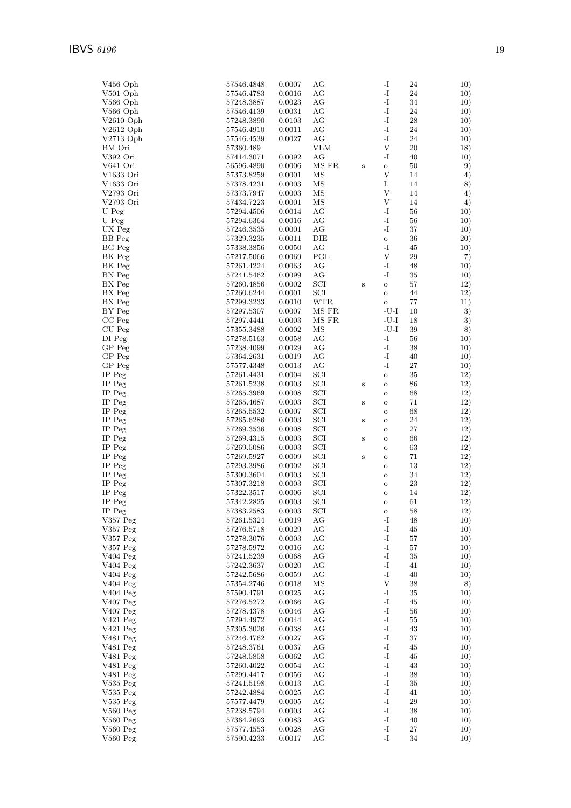| $V456$ Oph           | 57546.4848     | 0.0007 | AG           |              | -I            | 24          | 10) |
|----------------------|----------------|--------|--------------|--------------|---------------|-------------|-----|
| V501 Oph             | 57546.4783     | 0.0016 | АG           |              | -I            | $\sqrt{24}$ | 10) |
| V566 Oph             | 57248.3887     | 0.0023 | AG           |              | -I            | 34          | 10) |
| V566 Oph             | 57546.4139     | 0.0031 | AG           |              | -I            | 24          | 10) |
| $V2610$ Oph          | 57248.3890     | 0.0103 | AG           |              | -I            | 28          | 10) |
| $V2612$ Oph          | 57546.4910     | 0.0011 | AG           |              | -I            | 24          | 10) |
| V2713 Oph            | 57546.4539     | 0.0027 | AG           |              | -I            | 24          | 10) |
| BM Ori               | 57360.489      |        | <b>VLM</b>   |              | $\mathbf{V}$  | 20          | 18) |
| V392 Ori             | 57414.3071     | 0.0092 | AG           |              | -I            | 40          | 10) |
| V641 Ori             | 56596.4890     | 0.0006 | MS FR        | $\,$ s       | $\mathbf O$   | 50          | 9)  |
| V1633 Ori            | 57373.8259     | 0.0001 | MS           |              | V             | 14          | 4)  |
| V1633 Ori            | 57378.4231     | 0.0003 | MS           |              | L             | 14          | 8)  |
| V2793 Ori            | 57373.7947     | 0.0003 | ΜS           |              | V             | 14          | 4)  |
| V2793 Ori            | 57434.7223     | 0.0001 | ΜS           |              | V             | 14          | 4)  |
| U Peg                | 57294.4506     | 0.0014 | AG           |              | $\mathbf{-I}$ | 56          | 10) |
| U Peg                | 57294.6364     | 0.0016 | AG           |              | -I            | 56          | 10) |
| UX Peg               | 57246.3535     | 0.0001 | AG           |              | -I            | 37          | 10) |
| BB Peg               | 57329.3235     | 0.0011 | DIE          |              | $\rm{O}$      | 36          | 20) |
| <b>BG</b> Peg        | 57338.3856     | 0.0050 | AG           |              | -I            | 45          | 10) |
| BK Peg               | 57217.5066     | 0.0069 | PGL          |              | V             | 29          | 7)  |
| BK Peg               | 57261.4224     | 0.0063 | AG           |              | -I            | 48          | 10) |
| BN Peg               | 57241.5462     | 0.0099 | AG           |              | -I            | 35          | 10) |
| BX Peg               | 57260.4856     | 0.0002 | SCI          | $\, {\bf S}$ | $\circ$       | 57          | 12) |
| BX Peg               | 57260.6244     | 0.0001 | SCI          |              | $\circ$       | 44          | 12) |
| BX Peg               | 57299.3233     | 0.0010 | <b>WTR</b>   |              | $\circ$       | 77          | 11) |
| BY Peg               | 57297.5307     | 0.0007 | MS FR        |              | -U-I          | 10          | 3)  |
| $CC$ Peg             | 57297.4441     | 0.0003 | MS FR        |              | $-U-I$        | 18          | 3)  |
| CU Peg               | 57355.3488     | 0.0002 | ΜS           |              | $-U-I$        | 39          | 8)  |
| DI Peg               | 57278.5163     | 0.0058 | AG           |              | -I            | 56          | 10) |
| $GP$ $Peg$           | 57238.4099     | 0.0029 | AG           |              | -I            | 38          | 10) |
| $GP$ $Peg$           | 57364.2631     | 0.0019 | AG           |              | -I            | 40          | 10) |
| GP Peg               | 57577.4348     | 0.0013 | AG           |              | -I            | 27          | 10) |
| IP Peg               | 57261.4431     | 0.0004 | SCI          |              | $\rm{O}$      | 35          | 12) |
| IP Peg               | 57261.5238     | 0.0003 | SCI          | $\, {\bf S}$ | $\circ$       | 86          | 12) |
| IP Peg               | 57265.3969     | 0.0008 | SCI          |              | $\circ$       | 68          | 12) |
| IP Peg               | 57265.4687     | 0.0003 | $_{\rm SCI}$ | $\bf S$      | $\mathbf O$   | 71          | 12) |
| IP Peg               | 57265.5532     | 0.0007 | SCI          |              | O             | 68          | 12) |
| $IP$ $Peg$           | 57265.6286     | 0.0003 | SCI          | $\, {\bf S}$ | O             | 24          | 12) |
| IP Peg               | 57269.3536     | 0.0008 | SCI          |              | O             | 27          | 12) |
| $IP$ $Peg$           | 57269.4315     | 0.0003 | SCI          | $\, {\bf S}$ | O             | 66          | 12) |
| IP Peg               | 57269.5086     | 0.0003 | $_{\rm SCI}$ |              | O             | 63          | 12) |
| IP Peg               | 57269.5927     | 0.0009 | SCI          | $\, {\bf S}$ | $\mathbf O$   | 71          | 12) |
| IP Peg               | 57293.3986     | 0.0002 | SCI          |              | $\mathbf O$   | 13          | 12) |
| IP Peg               | 57300.3604     | 0.0003 | SCI          |              | O             | 34          | 12) |
| IP Peg               | 57307.3218     | 0.0003 | SCI          |              | O             | 23          | 12) |
| IP Peg               | 57322.3517     | 0.0006 | $_{\rm SCI}$ |              | O             | 14          | 12) |
| $IP$ $Peg$           | 57342.2825     | 0.0003 | SCI          |              | $\circ$       | 61          | 12) |
| $\mathrm{IP}$ Peg    | $57383.2583\,$ | 0.0003 | SCI          |              | O             | 58          | 12) |
| $V357$ Peg           | 57261.5324     | 0.0019 | AG           |              | -I            | 48          | 10) |
| V357 Peg             | 57276.5718     | 0.0029 | AG           |              | $\mathbf{I}$  | 45          | 10) |
| V357 Peg             | 57278.3076     | 0.0003 | AG           |              | $\mathbf{I}$  | 57          | 10) |
| $V357$ Peg           | 57278.5972     | 0.0016 | AG           |              | $\mathbf{-I}$ | 57          | 10) |
| V404 Peg             | 57241.5239     | 0.0068 | AG           |              | $\mathbf{-I}$ | $35\,$      | 10) |
| V404 Peg             | 57242.3637     | 0.0020 | AG           |              | $\mathbf{I}$  | 41          | 10) |
| $V404$ Peg           | 57242.5686     | 0.0059 | AG           |              | -I            | 40          | 10) |
| $V404$ Peg           | 57354.2746     | 0.0018 | MS           |              | V             | 38          | 8)  |
| $V404$ Peg           | 57590.4791     | 0.0025 | AG           |              | $\mathbf{-I}$ | $35\,$      | 10) |
| $V407$ Peg           | 57276.5272     | 0.0066 | AG           |              | $\mathbf{I}$  | 45          | 10) |
| $V407$ Peg           | 57278.4378     | 0.0046 | AG           |              | $\mathbf{I}$  | 56          | 10) |
| V421 Peg             | 57294.4972     | 0.0044 | AG           |              | $\mathbf{-I}$ | 55          | 10) |
| V421 $Peg$           | 57305.3026     | 0.0038 | AG           |              | $\mathbf{I}$  | 43          | 10) |
| V481 Peg             | 57246.4762     | 0.0027 | AG           |              | $\mathbf{-I}$ | 37          | 10) |
| V <sub>481</sub> Peg | 57248.3761     | 0.0037 | AG           |              | $\mathbf{I}$  | 45          | 10) |
| V481 Peg             | 57248.5858     | 0.0062 | AG           |              | $\mathbf{-I}$ | 45          | 10) |
| V <sub>481</sub> Peg | 57260.4022     | 0.0054 | AG           |              | $\mathbf{-I}$ | 43          | 10) |
| V481 Peg             | 57299.4417     | 0.0056 | AG           |              | $\mathbf{-I}$ | 38          | 10) |
| V535 Peg             | 57241.5198     | 0.0013 | AG           |              | $\mathbf{-I}$ | $35\,$      | 10) |
| $V535$ Peg           | 57242.4884     | 0.0025 | AG           |              | $\mathbf{I}$  | 41          | 10) |
| $V535$ Peg           | 57577.4479     | 0.0005 | AG           |              | $\mathbf{-I}$ | $\,29$      | 10) |
| $V560$ Peg           | 57238.5794     | 0.0003 | AG           |              | $\mathbf{I}$  | 38          | 10) |
| $V560$ Peg           | 57364.2693     | 0.0083 | AG           |              | $\mathbf{-I}$ | 40          | 10) |
| $V560$ Peg           | 57577.4553     | 0.0028 | AG           |              | $\mathbf{I}$  | 27          | 10) |
| $V560$ Peg           | 57590.4233     | 0.0017 | AG           |              | $\mathbf{I}$  | 34          | 10) |
|                      |                |        |              |              |               |             |     |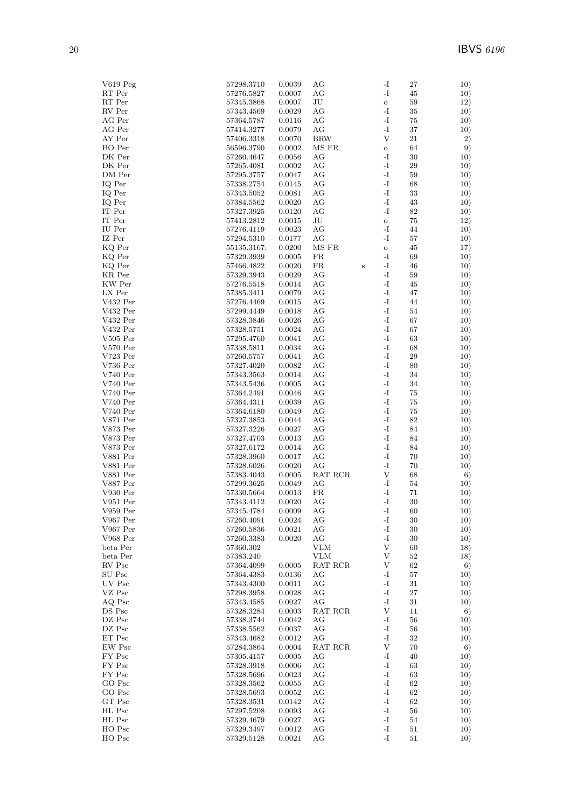| $V619$ Peg             | 57298.3710               | 0.0039           | AG            |         | -I                             | 27           | 10)        |
|------------------------|--------------------------|------------------|---------------|---------|--------------------------------|--------------|------------|
| RT Per                 | 57276.5827               | 0.0007           | АG            |         | $\mathbf{-I}$                  | 45           | 10)        |
| RT Per                 | 57345.3868               | 0.0007           | JU            |         | $\mathbf O$                    | 59           | 12)        |
| RV Per                 | 57343.4569               | 0.0029           | АG            |         | $\mathbf{-I}$                  | 35           | 10)        |
| AG Per<br>AG Per       | 57364.5787<br>57414.3277 | 0.0116<br>0.0079 | AG<br>AG      |         | -I<br>$\mathbf{-I}$            | 75<br>37     | 10)<br>10) |
| AY Per                 | 57406.3318               | 0.0070           | <b>BRW</b>    |         | $\mathbf{V}$                   | 21           | 2)         |
| BO Per                 | 56596.3790               | 0.0002           | MS FR         |         | $\mathbf{o}$                   | 64           | 9)         |
| DK Per                 | 57260.4647               | 0.0056           | АG            |         | -I                             | 30           | 10)        |
| $\rm DK\, \,Per$       | 57265.4081               | 0.0002           | AG            |         | -I                             | 29           | 10)        |
| DM Per                 | 57295.3757               | 0.0047           | АG            |         | $\mathbf{-I}$                  | 59           | 10)        |
| IQ Per                 | 57338.2754               | 0.0145           | АG            |         | -I                             | 68           | 10)        |
| IQ Per                 | 57343.5052               | 0.0081           | AG            |         | $-I$                           | 33           | 10)        |
| IQ Per                 | 57384.5562               | 0.0020           | АG            |         | $\mathbf{I}$                   | 43           | 10)        |
| IT Per                 | 57327.3925               | 0.0120           | АG            |         | $\mathbf{-I}$                  | 82           | 10)        |
| IT Per                 | 57413.2812               | 0.0015           | JU            |         | $\mathbf O$                    | 75           | 12)        |
| IU Per<br>IZ Per       | 57276.4119<br>57294.5310 | 0.0023<br>0.0177 | АG<br>AG      |         | -I<br>$\mathbf{-I}$            | 44<br>57     | 10)        |
| KQ Per                 | 55135.3167:              | 0.0200           | MS FR         |         | $\mathbf{o}$                   | 45           | 10)<br>17) |
| KQ Per                 | 57329.3939               | 0.0005           | FR            |         | -I                             | 69           | 10)        |
| KQ Per                 | 57466.4822               | 0.0020           | FR            | $\bf S$ | $\mathbf{-I}$                  | 46           | 10)        |
| KR Per                 | 57329.3943               | 0.0029           | АG            |         | $\mathbf{-I}$                  | 59           | 10)        |
| KW Per                 | 57276.5518               | 0.0014           | АG            |         | $\mathbf{-I}$                  | 45           | 10)        |
| LX Per                 | 57385.3411               | 0.0079           | AG            |         | -I                             | 47           | 10)        |
| V432 Per               | 57276.4469               | 0.0015           | АG            |         | $\mathbf{-I}$                  | 44           | 10)        |
| V432 Per               | 57299.4449               | 0.0018           | АG            |         | $-I$                           | 54           | 10)        |
| V432 Per               | 57328.3846               | 0.0026           | АG            |         | $\mathbf{-I}$                  | 67           | 10)        |
| V432 Per               | 57328.5751               | 0.0024           | АG            |         | $\mathbf{I}$                   | 67           | 10)        |
| $V505$ Per             | 57295.4760               | 0.0041           | АG            |         | $-I$                           | 63           | 10)        |
| $V570$ Per             | 57338.5811               | 0.0034           | АG            |         | $\mathbf{I}$                   | 68           | 10)        |
| V723 Per               | 57260.5757               | 0.0041           | AG            |         | $\mathbf{-I}$<br>$-I$          | 29           | 10)        |
| V736 Per<br>$V740$ Per | 57327.4020<br>57343.3563 | 0.0082<br>0.0014 | АG<br>АG      |         | $\mathbf{-I}$                  | 80<br>34     | 10)<br>10) |
| $V740$ Per             | 57343.5436               | 0.0005           | АG            |         | $\mathbf{-I}$                  | 34           | 10)        |
| $V740$ Per             | 57364.2491               | 0.0046           | АG            |         | -I                             | 75           | 10)        |
| $V740$ Per             | 57364.4311               | 0.0039           | АG            |         | -I                             | 75           | 10)        |
| $V740$ Per             | 57364.6180               | 0.0049           | АG            |         | $\mathbf{-I}$                  | 75           | 10)        |
| V871 Per               | 57327.3853               | 0.0044           | АG            |         | $\mathbf{I}$                   | 82           | 10)        |
| V873 Per               | 57327.3226               | 0.0027           | AG            |         | $-I$                           | 84           | 10)        |
| V873 Per               | 57327.4703               | 0.0013           | АG            |         | $\mathbf{-I}$                  | 84           | 10)        |
| V873 Per               | 57327.6172               | 0.0014           | АG            |         | $\mathbf{I}$                   | 84           | 10)        |
| V881 Per               | 57328.3960               | 0.0017           | АG            |         | $\mathbf{I}$                   | 70           | 10)        |
| V881 Per<br>V881 Per   | 57328.6026               | 0.0020           | AG<br>RAT RCR |         | $\mathbf{-I}$<br>$\mathbf{V}$  | 70           | 10)        |
| V887 Per               | 57383.4043<br>57299.3625 | 0.0005<br>0.0049 | АG            |         | -1                             | 68<br>54     | 6)<br>10)  |
| V930 Per               | 57330.5664               | 0.0013           | FR            |         | $\mathbf{I}$                   | 71           | 10)        |
| $V951$ Per             | 57343.4112               | 0.0020           | АG            |         | -I                             | 30           | 10)        |
| V959 Per               | 57345.4784               | 0.0009           | AG            |         | -I                             | 60           | 10)        |
| V967 Per               | $57260.4091\,$           | 0.0024           | АG            |         | -I                             | 30           | 10)        |
| V967 Per               | 57260.5836               | 0.0021           | AG            |         | $\mathbf{I}$                   | 30           | 10)        |
| V968 Per               | 57260.3383               | 0.0020           | АG            |         | $\mathbf{-I}$                  | 30           | 10)        |
| beta Per               | 57360.302                |                  | <b>VLM</b>    |         | V                              | 60           | 18)        |
| beta Per               | 57383.240                |                  | <b>VLM</b>    |         | $\boldsymbol{\mathrm{V}}$      | 52           | 18)        |
| RV Psc                 | 57364.4099               | 0.0005           | RAT RCR       |         | V                              | 62           | 6)         |
| SU Psc<br>UV Psc       | 57364.4383               | 0.0136           | АG            |         | $\mathbf{-I}$                  | 57           | 10)        |
| VZ Psc                 | 57343.4300<br>57298.3958 | 0.0011<br>0.0028 | АG<br>АG      |         | -I<br>$\mathbf{-I}$            | $31\,$<br>27 | 10)<br>10) |
| AQ Psc                 | 57343.4585               | 0.0027           | AG            |         | $\mathbf{-I}$                  | 31           | 10)        |
| DS Psc                 | 57328.3284               | 0.0003           | RAT RCR       |         | V                              | 11           | 6)         |
| DZ Psc                 | 57338.3744               | 0.0042           | АG            |         | $\mathbf{-I}$                  | 56           | 10)        |
| DZ Psc                 | 57338.5562               | 0.0037           | АG            |         | -I                             | 56           | 10)        |
| ET Psc                 | 57343.4682               | 0.0012           | АG            |         | $\mathbf{-I}$                  | 32           | 10)        |
| EW Psc                 | 57284.3864               | 0.0004           | RAT RCR       |         | $\ensuremath{\mathbf{V}}$      | 70           | 6)         |
| FY Psc                 | 57305.4157               | 0.0005           | АG            |         | $-I$                           | 40           | 10)        |
| FY Psc                 | 57328.3918               | 0.0006           | AG            |         | $\mathbf{-I}$                  | 63           | 10)        |
| FY Psc                 | 57328.5696               | 0.0023           | АG            |         | $\mathbf{-I}$                  | 63           | 10)        |
| GO Psc                 | 57328.3562               | 0.0055           | AG            |         | $\mathbf{-I}$                  | 62           | 10)        |
| GO Psc<br>GT Psc       | 57328.5693               | 0.0052           | AG            |         | $\mathbf{-I}$<br>$\mathbf{-I}$ | 62           | 10)        |
| HL Psc                 | 57328.3531<br>57297.5208 | 0.0142<br>0.0093 | АG<br>AG      |         | $\mathbf{-I}$                  | 62<br>56     | 10)<br>10) |
| HL Psc                 | 57329.4679               | 0.0027           | АG            |         | $\mathbf{-I}$                  | 54           | 10)        |
| HO Psc                 | 57329.3497               | 0.0012           | AG            |         | $\mathbf{-I}$                  | 51           | 10)        |
| HO Psc                 | 57329.5128               | 0.0021           | AG            |         | $\mathbf{-I}$                  | 51           | 10)        |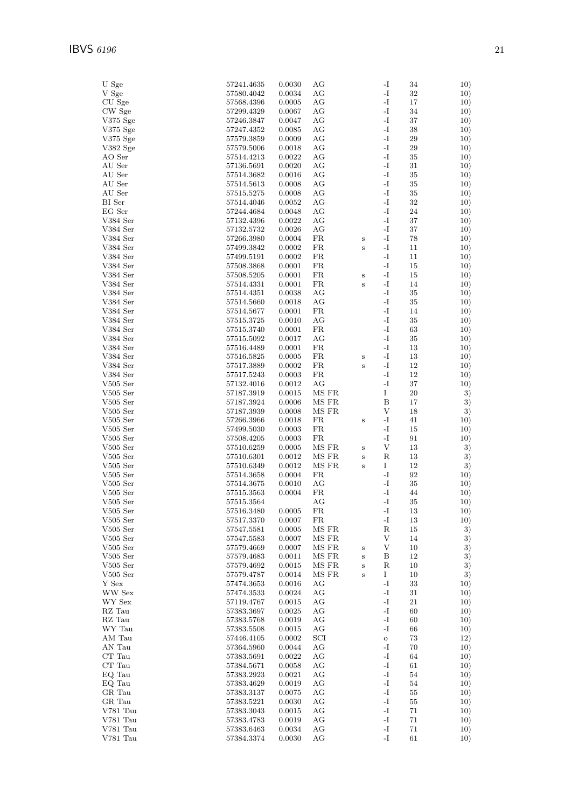| U Sge                          | 57241.4635               | 0.0030           | AG             |              | -I                        | 34           | 10)        |
|--------------------------------|--------------------------|------------------|----------------|--------------|---------------------------|--------------|------------|
| V Sge                          | 57580.4042               | 0.0034           | AG             |              | -I                        | 32           | 10)        |
| CU Sge                         | 57568.4396               | 0.0005           | AG             |              | -I                        | 17           | 10)        |
| CW Sge                         | 57299.4329               | 0.0067           | АG<br>AG       |              | -I<br>-I                  | 34<br>37     | 10)        |
| V375 Sge<br>$V375$ Sge         | 57246.3847<br>57247.4352 | 0.0047<br>0.0085 | AG             |              | $\mathbf{-I}$             | 38           | 10)<br>10) |
| $V375$ Sge                     | 57579.3859               | 0.0009           | AG             |              | -I                        | 29           | 10)        |
| V382 Sge                       | 57579.5006               | 0.0018           | AG             |              | -I                        | 29           | 10)        |
| AO Ser                         | 57514.4213               | 0.0022           | AG             |              | $\mathbf{-I}$             | 35           | 10)        |
| AU Ser                         | 57136.5691               | 0.0020           | AG             |              | $\mathbf{I}$              | 31           | 10)        |
| AU Ser                         | 57514.3682               | 0.0016           | AG             |              | -I                        | 35           | 10)        |
| AU Ser                         | 57514.5613               | 0.0008           | AG             |              | $\mathbf{-I}$             | 35           | 10)        |
| AU Ser                         | 57515.5275               | 0.0008           | AG             |              | -I                        | 35           | 10)        |
| BI Ser                         | 57514.4046               | 0.0052           | AG             |              | -I                        | 32           | 10)        |
| EG Ser                         | 57244.4684               | 0.0048           | AG             |              | $\mathbf{I}$              | $\sqrt{24}$  | 10)        |
| V384 Ser                       | 57132.4396               | 0.0022           | AG             |              | -I                        | 37           | 10)        |
| V384 Ser                       | 57132.5732               | 0.0026           | AG             |              | $\mathbf{I}$              | 37           | 10)        |
| V384 Ser                       | 57266.3980               | 0.0004           | FR             | $\bf S$      | $\mathbf{-I}$             | 78           | 10)        |
| V384 Ser                       | 57499.3842               | 0.0002           | FR             | S            | -I                        | 11           | 10)        |
| $\ensuremath{\text{V384}}$ Ser | 57499.5191               | 0.0002           | FR<br>FR       |              | -I<br>-I                  | 11           | 10)        |
| V384 Ser<br>V384 Ser           | 57508.3868<br>57508.5205 | 0.0001<br>0.0001 | FR             |              | $\mathbf{I}$              | 15<br>15     | 10)<br>10) |
| $\ensuremath{\text{V384}}$ Ser | 57514.4331               | 0.0001           | FR             | $\bf S$<br>S | -I                        | 14           | 10)        |
| V384 Ser                       | 57514.4351               | 0.0038           | AG             |              | $\mathbf{-I}$             | 35           | 10)        |
| V384 Ser                       | 57514.5660               | 0.0018           | AG             |              | $\mathbf{-I}$             | 35           | 10)        |
| $\ensuremath{\text{V384}}$ Ser | 57514.5677               | 0.0001           | FR             |              | -I                        | 14           | 10)        |
| V384 Ser                       | 57515.3725               | 0.0010           | AG             |              | -I                        | 35           | 10)        |
| V384 Ser                       | 57515.3740               | 0.0001           | FR             |              | $\mathbf{-I}$             | 63           | 10)        |
| V384 Ser                       | 57515.5092               | 0.0017           | AG             |              | $\mathbf{I}$              | 35           | 10)        |
| V384 Ser                       | 57516.4489               | 0.0001           | FR             |              | -I                        | 13           | 10)        |
| V384 Ser                       | 57516.5825               | 0.0005           | FR             | $\bf S$      | $\mathbf{-I}$             | 13           | 10)        |
| V384 Ser                       | 57517.3889               | 0.0002           | FR             | S            | -I                        | 12           | 10)        |
| V384 Ser                       | 57517.5243               | 0.0003           | FR             |              | -I                        | 12           | 10)        |
| $V505$ Ser                     | 57132.4016               | 0.0012           | AG             |              | $\mathbf{-I}$             | 37           | 10)        |
| $V505$ Ser<br>$V505$ Ser       | 57187.3919<br>57187.3924 | 0.0015<br>0.0006 | MS FR<br>MS FR |              | Ι<br>B                    | 20<br>17     | 3)<br>3)   |
| $V505$ Ser                     | 57187.3939               | 0.0008           | MS FR          |              | V                         | 18           | 3)         |
| $V505$ Ser                     | 57266.3966               | 0.0018           | FR             | $\bf S$      | -I                        | 41           | 10)        |
| $V505$ Ser                     | 57499.5030               | 0.0003           | FR             |              | -I                        | 15           | 10)        |
| $V505$ Ser                     | 57508.4205               | 0.0003           | FR             |              | -I                        | 91           | 10)        |
| $V505$ Ser                     | 57510.6259               | 0.0005           | MS FR          | $\, {\bf S}$ | $\ensuremath{\mathbf{V}}$ | 13           | 3)         |
| $V505$ Ser                     | 57510.6301               | 0.0012           | MS FR          | $\, {\bf S}$ | $_{\rm R}$                | 13           | 3)         |
| $V505$ Ser                     | 57510.6349               | 0.0012           | MS FR          | S            | Ι                         | 12           | 3)         |
| $V505$ Ser                     | 57514.3658               | 0.0004           | FR             |              | $\mathbf{-I}$             | 92           | 10)        |
| $V505$ Ser<br>$V505$ Ser       | 57514.3675<br>57515.3563 | 0.0010<br>0.0004 | AG<br>FR       |              | -I<br>-I                  | 35<br>44     | 10)<br>10) |
| $V505$ Ser                     | 57515.3564               |                  | АG             |              | -I                        | 35           | 10)        |
| $\rm V505$ Ser                 | 57516.3480               | 0.0005           | FR             |              | -I                        | 13           | 10)        |
| $V505$ Ser                     | 57517.3370               | 0.0007           | FR             |              | -I                        | 13           | 10)        |
| $V505$ Ser                     | 57547.5581               | 0.0005           | MS FR          |              | ${\bf R}$                 | 15           | 3)         |
| $V505$ Ser                     | 57547.5583               | 0.0007           | MS FR          |              | $\mathbf V$               | 14           | 3)         |
| $V505$ Ser                     | 57579.4669               | 0.0007           | MS FR          | $\bf S$      | V                         | 10           | 3)         |
| $V505$ Ser                     | 57579.4683               | 0.0011           | MS FR          | $\bf S$      | В                         | 12           | 3)         |
| $V505$ Ser                     | 57579.4692               | 0.0015           | MS FR          | $\, {\bf S}$ | R                         | 10           | 3)         |
| $V505$ Ser                     | 57579.4787               | 0.0014           | MS FR          | $\, {\bf S}$ | Ι                         | 10           | 3)         |
| Y Sex                          | 57474.3653               | 0.0016           | AG             |              | -I                        | 33           | 10)        |
| WW Sex                         | 57474.3533               | 0.0024           | AG             |              | -I<br>-I                  | $31\,$       | 10)        |
| WY Sex<br>RZ Tau               | 57119.4767<br>57383.3697 | 0.0015<br>0.0025 | AG<br>AG       |              | $\mathbf{I}$              | 21<br>60     | 10)<br>10) |
| RZ Tau                         | 57383.5768               | 0.0019           | AG             |              | -I                        | 60           | 10)        |
| WY Tau                         | 57383.5508               | 0.0015           | AG             |              | -I                        | 66           | 10)        |
| AM Tau                         | 57446.4105               | 0.0002           | SCI            |              | $\mathbf O$               | 73           | 12)        |
| AN Tau                         | 57364.5960               | 0.0044           | AG             |              | $\mathbf{I}$              | 70           | 10)        |
| CT Tau                         | 57383.5691               | 0.0022           | AG             |              | -I                        | 64           | 10)        |
| $\cal CT$<br>Tau               | 57384.5671               | 0.0058           | AG             |              | $\mathbf{I}$              | 61           | 10)        |
| EQ Tau                         | 57383.2923               | $\,0.0021\,$     | AG             |              | $\mathbf{-I}$             | 54           | 10)        |
| EQ Tau                         | 57383.4629               | 0.0019           | AG             |              | $\mathbf{I}$              | 54           | 10)        |
| GR Tau<br>GR Tau               | 57383.3137<br>57383.5221 | 0.0075<br>0.0030 | AG<br>AG       |              | -I<br>-I                  | 55<br>$55\,$ | 10)        |
| V781 Tau                       | 57383.3043               | 0.0015           | AG             |              | $\mathbf{I}$              | 71           | 10)<br>10) |
| V781 Tau                       | $57383.4783\,$           | 0.0019           | AG             |              | -I                        | 71           | 10)        |
| V781 Tau                       | 57383.6463               | 0.0034           | AG             |              | $\mathbf{-I}$             | 71           | 10)        |
| V781 Tau                       | 57384.3374               | 0.0030           | AG             |              | -1                        | 61           | 10)        |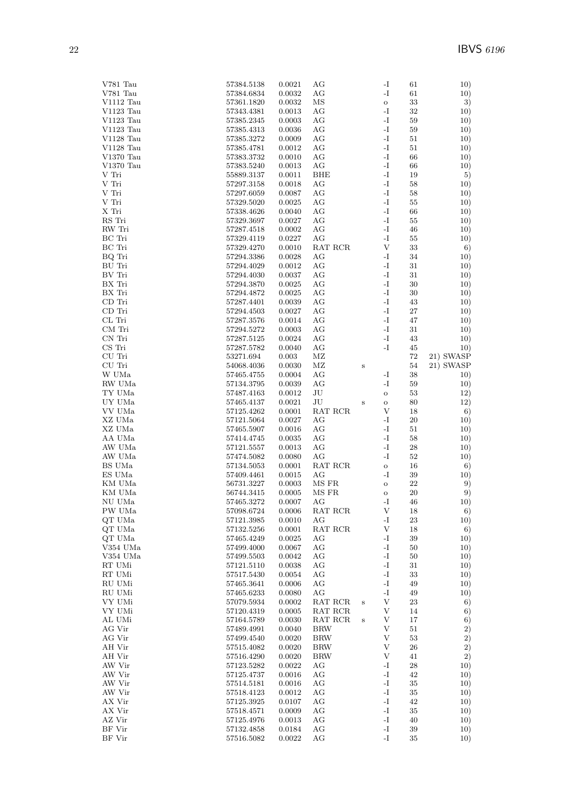| V781 Tau               | 57384.5138               | 0.0021           | AG                                        |              | -I                        | 61           | 10)        |
|------------------------|--------------------------|------------------|-------------------------------------------|--------------|---------------------------|--------------|------------|
| V781 Tau               | 57384.6834               | 0.0032           | AG                                        |              | -I                        | 61           | 10)        |
| V1112 Tau              | 57361.1820               | 0.0032           | ΜS                                        |              | $\mathbf O$               | 33           | 3)         |
| V1123 Tau              | 57343.4381               | 0.0013           | AG                                        |              | $^{\rm -I}$               | 32           | 10)        |
| V1123 Tau              | 57385.2345               | 0.0003           | AG                                        |              | $\mathbf{-I}$             | 59           | 10)        |
| $V1123$ Tau            | 57385.4313               | 0.0036           | AG<br>AG                                  |              | -I<br>-I                  | 59           | 10)        |
| V1128 Tau<br>V1128 Tau | 57385.3272<br>57385.4781 | 0.0009<br>0.0012 | AG                                        |              | -I                        | 51<br>51     | 10)<br>10) |
| $V1370$ Tau            | 57383.3732               | 0.0010           | AG                                        |              | $\mathbf{I}$              | 66           | 10)        |
| V1370 Tau              | 57383.5240               | 0.0013           | AG                                        |              | -I                        | 66           | 10)        |
| V Tri                  | 55889.3137               | 0.0011           | <b>BHE</b>                                |              | -I                        | 19           | 5)         |
| V Tri                  | 57297.3158               | 0.0018           | AG                                        |              | -I                        | 58           | 10)        |
| V Tri                  | 57297.6059               | 0.0087           | AG                                        |              | -I                        | 58           | 10)        |
| V Tri                  | 57329.5020               | 0.0025           | AG                                        |              | $\mathbf{I}$              | $55\,$       | 10)        |
| X Tri                  | 57338.4626               | 0.0040           | AG                                        |              | $\mathbf{-I}$             | 66           | 10)        |
| RS Tri                 | 57329.3697               | 0.0027           | AG                                        |              | -I                        | 55           | 10)        |
| RW Tri                 | 57287.4518               | 0.0002           | AG                                        |              | -I                        | 46           | 10)        |
| BC Tri                 | 57329.4119               | 0.0227           | AG                                        |              | -I                        | 55           | 10)        |
| BC Tri                 | 57329.4270               | 0.0010           | RAT RCR                                   |              | V                         | 33           | 6)         |
| BQ Tri                 | 57294.3386               | 0.0028           | AG                                        |              | -I                        | 34           | 10)        |
| BU Tri                 | 57294.4029               | 0.0012           | AG                                        |              | -I<br>-I                  | 31           | 10)        |
| BV Tri<br>BX Tri       | 57294.4030               | 0.0037           | AG                                        |              | -I                        | 31           | 10)        |
| BX Tri                 | 57294.3870<br>57294.4872 | 0.0025<br>0.0025 | AG<br>AG                                  |              | $\mathbf{-I}$             | 30<br>30     | 10)<br>10) |
| CD Tri                 | 57287.4401               | 0.0039           | AG                                        |              | -I                        | 43           | 10)        |
| CD Tri                 | 57294.4503               | 0.0027           | AG                                        |              | -I                        | 27           | 10)        |
| CL Tri                 | 57287.3576               | 0.0014           | AG                                        |              | -I                        | 47           | 10)        |
| CM Tri                 | 57294.5272               | 0.0003           | AG                                        |              | $\mathbf{I}$              | 31           | 10)        |
| CN Tri                 | 57287.5125               | 0.0024           | AG                                        |              | -I                        | 43           | 10)        |
| CS Tri                 | 57287.5782               | 0.0040           | AG                                        |              | -I                        | 45           | 10)        |
| CU Tri                 | 53271.694                | 0.003            | MZ                                        |              |                           | 72           | 21) SWASP  |
| CU Tri                 | 54068.4036               | 0.0030           | ΜZ                                        | $\bf S$      |                           | 54           | 21) SWASP  |
| W UMa                  | 57465.4755               | 0.0004           | AG                                        |              | $\mathbf{I}$              | 38           | 10)        |
| RW UMa                 | 57134.3795               | 0.0039           | AG                                        |              | $\mathbf{-I}$             | 59           | 10)        |
| TY UMa                 | 57487.4163               | 0.0012           | JU                                        |              | $\rm{O}$                  | $53\,$       | 12)        |
| UY UMa                 | 57465.4137               | 0.0021           | JU                                        | $\,$ S       | $\rm{O}$                  | 80           | 12)        |
| VV UMa                 | 57125.4262               | 0.0001           | RAT RCR                                   |              | V                         | 18           | 6)         |
| XZ UMa                 | 57121.5064               | 0.0027           | AG                                        |              | -I                        | $20\,$       | 10)        |
| XZ UMa                 | 57465.5907               | 0.0016           | AG                                        |              | -I                        | 51           | 10)        |
| AA UMa                 | 57414.4745               | 0.0035           | AG                                        |              | $\mathbf{I}$              | 58           | 10)        |
| AW UMa                 | 57121.5557               | 0.0013           | AG                                        |              | -I                        | 28           | 10)        |
| AW UMa                 | 57474.5082               | 0.0080           | AG                                        |              | -I                        | 52           | 10)        |
| BS UMa                 | 57134.5053               | 0.0001           | RAT RCR                                   |              | $\mathbf O$               | 16           | 6)         |
| ES UMa                 | 57409.4461               | 0.0015           | AG                                        |              | -I                        | 39           | 10)        |
| KM UMa<br>KM UMa       | 56731.3227<br>56744.3415 | 0.0003<br>0.0005 | MS FR<br>MS FR                            |              | $\rm{O}$<br>$\rm{O}$      | 22<br>20     | 9)<br>9)   |
| NU UMa                 | 57465.3272               | 0.0007           | AG                                        |              | -I                        | 46           | 10)        |
| PW UMa                 | 57098.6724               | 0.0006           | $\operatorname{RAT}$ $\operatorname{RCR}$ |              | V                         | 18           | 6)         |
| QT UMa                 | 57121.3985               | 0.0010           | AG                                        |              | -I                        | 23           | 10)        |
| $\rm QT$ UMa           | 57132.5256               | 0.0001           | RAT RCR                                   |              | V                         | 18           | 6)         |
| QT UMa                 | 57465.4249               | 0.0025           | AG                                        |              | -I                        | 39           | 10)        |
| V354 UMa               | 57499.4000               | 0.0067           | AG                                        |              | $\mathbf{I}$              | 50           | 10)        |
| V354 UMa               | 57499.5503               | 0.0042           | AG                                        |              | $\mathbf{I}$              | 50           | 10)        |
| RT UMi                 | 57121.5110               | 0.0038           | AG                                        |              | -I                        | 31           | 10)        |
| RT UMi                 | 57517.5430               | 0.0054           | AG                                        |              | $\mathbf{I}$              | 33           | 10)        |
| RU UMi                 | 57465.3641               | 0.0006           | AG                                        |              | $^{\rm -I}$               | 49           | 10)        |
| RU UMi                 | 57465.6233               | 0.0080           | AG                                        |              | $\mathbf{I}$              | 49           | 10)        |
| VY UMi                 | 57079.5934               | 0.0002           | RAT RCR                                   | $\, {\bf S}$ | $\ensuremath{\mathbf{V}}$ | 23           | 6)         |
| VY UMi                 | 57120.4319               | 0.0005           | RAT RCR                                   |              | V                         | 14           | 6)         |
| AL UMi                 | 57164.5789               | 0.0030           | RAT RCR                                   | $\bf S$      | V                         | 17           | 6)         |
| AG Vir<br>AG Vir       | 57489.4991<br>57499.4540 | 0.0040<br>0.0020 | <b>BRW</b><br><b>BRW</b>                  |              | V<br>V                    | 51<br>$53\,$ | 2)<br>2)   |
| AH Vir                 | 57515.4082               | 0.0020           | <b>BRW</b>                                |              | V                         | 26           | 2)         |
| AH Vir                 | 57516.4290               | 0.0020           | <b>BRW</b>                                |              | V                         | 41           | 2)         |
| AW Vir                 | 57123.5282               | 0.0022           | AG                                        |              | $\mathbf{I}$              | 28           | 10)        |
| AW Vir                 | 57125.4737               | 0.0016           | AG                                        |              | $\mathbf{I}$              | 42           | 10)        |
| AW Vir                 | 57514.5181               | 0.0016           | AG                                        |              | $\mathbf{I}$              | 35           | 10)        |
| AW Vir                 | 57518.4123               | 0.0012           | AG                                        |              | $^{\rm -I}$               | $35\,$       | 10)        |
| AX Vir                 | 57125.3925               | 0.0107           | AG                                        |              | $\mathbf{I}$              | 42           | 10)        |
| AX Vir                 | 57518.4571               | 0.0009           | AG                                        |              | $\mathbf{I}$              | 35           | 10)        |
| AZ Vir                 | 57125.4976               | 0.0013           | AG                                        |              | $\mathbf{I}$              | 40           | 10)        |
| BF Vir                 | 57132.4858               | 0.0184           | AG                                        |              | $\mathbf{I}$              | 39           | 10)        |
| BF Vir                 | 57516.5082               | 0.0022           | AG                                        |              | $\mathbf{I}$              | 35           | 10)        |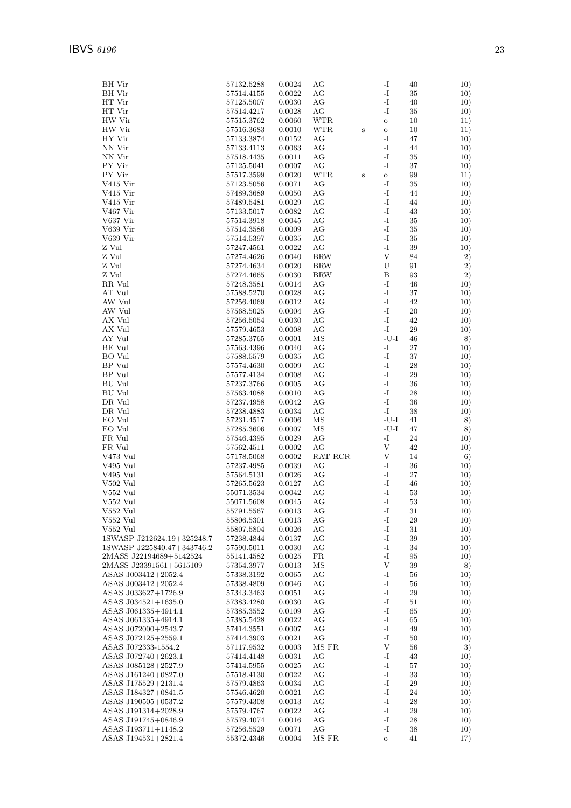| BH Vir                     | 57132.5288               | 0.0024 | AG         |         | -I                        | 40          | 10)        |
|----------------------------|--------------------------|--------|------------|---------|---------------------------|-------------|------------|
| <b>BH</b> Vir              | 57514.4155               | 0.0022 | AG         |         | $^{\rm -I}$               | 35          | 10)        |
| HT Vir                     | 57125.5007               | 0.0030 | АG         |         | -I                        | 40          | 10)        |
| HT Vir                     | 57514.4217               | 0.0028 | AG         |         | -I                        | 35          | 10)        |
| HW Vir                     | 57515.3762               | 0.0060 | <b>WTR</b> |         | $\mathbf O$               | 10          | 11)        |
| HW Vir                     | 57516.3683               | 0.0010 | <b>WTR</b> | $\bf S$ | $\mathbf O$               | 10          | 11)        |
| HY Vir                     | 57133.3874               | 0.0152 | AG         |         | -I                        | 47          | 10)        |
| NN Vir                     | 57133.4113               | 0.0063 | AG         |         | -I                        | 44          | 10)        |
| NN Vir                     | 57518.4435               | 0.0011 | AG         |         | $\mathbf{I}$              | 35          | 10)        |
| PY Vir                     | 57125.5041               | 0.0007 | AG         |         | -I                        | 37          | 10)        |
| PY Vir                     | 57517.3599               | 0.0020 | <b>WTR</b> | $\bf S$ | $\mathbf{o}$              | 99          | 11)        |
| V415 Vir                   | 57123.5056               | 0.0071 | AG         |         | -I                        | 35          | 10)        |
| V415 Vir                   | 57489.3689               | 0.0050 | АG         |         | -I                        | 44          | 10)        |
| V415 Vir                   | 57489.5481               | 0.0029 | AG         |         | -1                        | 44          | 10)        |
| V467 Vir                   | 57133.5017               | 0.0082 | AG         |         | -I                        | 43          | 10)        |
| V637 Vir                   | 57514.3918               | 0.0045 | AG         |         | -I                        | 35          | 10)        |
| V639 Vir                   | 57514.3586               | 0.0009 | AG         |         | -I                        | 35          | 10)        |
| V639 Vir                   | 57514.5397               | 0.0035 | AG         |         | $\mathbf{I}$              | 35          | 10)        |
| Z Vul                      | 57247.4561               | 0.0022 | AG         |         | -I                        | 39          | 10)        |
| Z Vul                      | 57274.4626               | 0.0040 | <b>BRW</b> |         | V                         | 84          | 2)         |
| Z Vul                      | 57274.4634               | 0.0020 | <b>BRW</b> |         | U                         | 91          | 2)         |
| Z Vul                      | 57274.4665               | 0.0030 | <b>BRW</b> |         | $\, {\bf B}$              | 93          | 2)         |
| RR Vul                     | 57248.3581               | 0.0014 | AG         |         | -I                        | 46          | 10)        |
| AT Vul                     | $57588.5270\,$           | 0.0028 | AG         |         | $\mathbf{I}$              | 37          | 10)        |
| AW Vul                     | 57256.4069               | 0.0012 | AG         |         | -I                        | 42          | 10)        |
| AW Vul                     | 57568.5025               | 0.0004 | AG         |         | -I                        | 20          | 10)        |
| AX Vul                     | 57256.5054               | 0.0030 | AG         |         | -I                        | 42          | 10)        |
| AX Vul                     | 57579.4653               | 0.0008 | AG         |         | -I                        | 29          | 10)        |
| AY Vul                     | 57285.3765               | 0.0001 | ΜS         |         | $-U-I$                    | 46          | 8)         |
| BE Vul                     | $57563.4396\,$           | 0.0040 | AG         |         | $\mathbf{I}$              | 27          | 10)        |
| BO Vul                     | 57588.5579               | 0.0035 | AG         |         | $\mathbf{I}$              | 37          | 10)        |
| BP Vul                     | 57574.4630               | 0.0009 | АG         |         | -I                        | 28          | 10)        |
| BP Vul                     | 57577.4134               | 0.0008 | AG         |         | $\mathbf{I}$              | 29          | 10)        |
| <b>BU</b> Vul              | 57237.3766               | 0.0005 | AG         |         | -I                        | 36          | 10)        |
| BU Vul                     | 57563.4088               | 0.0010 | AG         |         | -I                        | 28          | 10)        |
| DR Vul                     | 57237.4958               | 0.0042 | AG         |         | -I                        | 36          | 10)        |
| DR Vul                     | 57238.4883               | 0.0034 | AG         |         | -I                        | 38          | 10)        |
| EO Vul                     | 57231.4517               | 0.0006 | ΜS         |         | -U-I                      | 41          | 8)         |
| EO Vul                     | 57285.3606               | 0.0007 | ΜS         |         | $-U-I$                    | 47          | 8)         |
| FR Vul                     | 57546.4395               | 0.0029 | AG         |         | -I                        | $\sqrt{24}$ | 10)        |
| FR Vul                     | 57562.4511               | 0.0002 | AG         |         | V                         | 42          | 10)        |
| V473 Vul                   | 57178.5068               | 0.0002 | RAT RCR    |         | V                         | 14          | 6)         |
| V495 Vul                   | 57237.4985               | 0.0039 | AG         |         | -I                        | 36          | 10)        |
| V495 Vul                   | 57564.5131               | 0.0026 | AG         |         | -I                        | 27          | 10)        |
| V502 Vul                   | 57265.5623               | 0.0127 | AG         |         | -1                        | 46          | 10)        |
| V552 Vul                   | 55071.3534               | 0.0042 | AG         |         | -I                        | 53          | 10)        |
| V552 Vul                   | 55071.5608               | 0.0045 | AG         |         | $\mathbf{I}$              | 53          | 10)        |
| V552 Vul                   | 55791.5567               | 0.0013 | AG         |         | -I                        | 31          | 10)        |
| V552 Vul                   | 55806.5301               | 0.0013 | AG         |         | -I                        | $\,29$      | 10)        |
| V552 Vul                   | 55807.5804               | 0.0026 | AG         |         | $\mathbf{I}$              | 31          | 10)        |
| 1SWASP J212624.19+325248.7 | 57238.4844               | 0.0137 | AG         |         | $\mathbf{I}$              | 39          | 10)        |
| 1SWASP J225840.47+343746.2 | 57590.5011               | 0.0030 | AG         |         | -I                        | 34          | 10)        |
| 2MASS J22194689+5142524    | 55141.4582               | 0.0025 | FR         |         | -I                        | 95          | 10)        |
| 2MASS J23391561+5615109    | 57354.3977               | 0.0013 | MS         |         | $\ensuremath{\mathbf{V}}$ | 39          | 8)         |
| ASAS J003412+2052.4        | 57338.3192               | 0.0065 | AG         |         | $\mathbf{I}$              | 56          | 10)        |
| ASAS J003412+2052.4        | 57338.4809               | 0.0046 | AG         |         | $\mathbf{-I}$             | 56          | 10)        |
| ASAS J033627+1726.9        | 57343.3463               | 0.0051 | AG         |         | $\mathbf{I}$              | 29          | 10)        |
| ASAS J034521+1635.0        |                          | 0.0030 | АG         |         | -I                        |             |            |
| ASAS J061335+4914.1        | 57383.4280<br>57385.3552 | 0.0109 | AG         |         | -I                        | 51<br>65    | 10)<br>10) |
|                            |                          | 0.0022 | AG         |         | $\mathbf{I}$              |             | 10)        |
| ASAS J061335+4914.1        | 57385.5428               |        | AG         |         | -I                        | 65          |            |
| ASAS J072000+2543.7        | 57414.3551               | 0.0007 | AG         |         | $\mathbf{I}$              | 49          | 10)        |
| ASAS J072125+2559.1        | 57414.3903               | 0.0021 |            |         | $\ensuremath{\mathbf{V}}$ | 50          | 10)        |
| ASAS J072333-1554.2        | 57117.9532               | 0.0003 | MS FR      |         |                           | 56          | 3)         |
| ASAS J072740+2623.1        | 57414.4148               | 0.0031 | AG         |         | -I                        | 43          | 10)        |
| ASAS J085128+2527.9        | 57414.5955               | 0.0025 | AG         |         | $\mathbf{-I}$             | 57          | 10)        |
| ASAS J161240+0827.0        | 57518.4130               | 0.0022 | AG         |         | $^{\rm -I}$               | 33          | 10)        |
| ASAS J175529+2131.4        | 57579.4863               | 0.0034 | AG         |         | $\mathbf{-I}$             | $\,29$      | 10)        |
| ASAS J184327+0841.5        | 57546.4620               | 0.0021 | AG         |         | $\mathbf{I}$              | 24          | 10)        |
| ASAS J190505+0537.2        | 57579.4308               | 0.0013 | AG         |         | $\mathbf{-I}$             | 28          | 10)        |
| ASAS J191314+2028.9        | 57579.4767               | 0.0022 | AG         |         | $\mathbf{I}$              | 29          | 10)        |
| ASAS J191745+0846.9        | 57579.4074               | 0.0016 | AG         |         | -I                        | 28          | 10)        |
| ASAS J193711+1148.2        | 57256.5529               | 0.0071 | AG         |         | -I                        | 38          | 10)        |
| ASAS J194531+2821.4        | 55372.4346               | 0.0004 | MS FR      |         | $\rm{O}$                  | 41          | 17)        |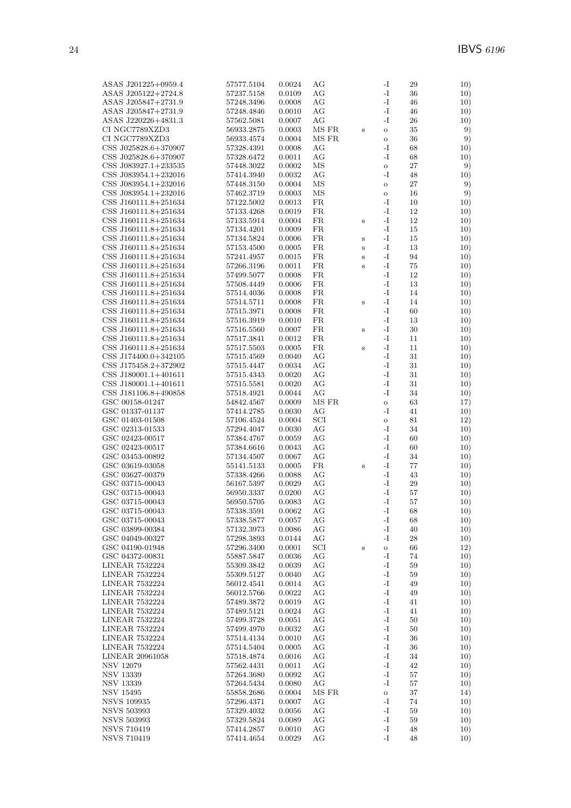| ASAS J201225+0959.4                      | 57577.5104               | 0.0024           | AG         |         | $\mathbf{-I}$ | 29     | 10)        |
|------------------------------------------|--------------------------|------------------|------------|---------|---------------|--------|------------|
| ASAS J205122+2724.8                      | 57237.5158               | 0.0109           | AG         |         | $\mathbf{-I}$ | 36     | 10)        |
| ASAS J205847+2731.9                      | 57248.3496               | 0.0008           | AG         |         | $\mathbf{-I}$ | 46     | 10)        |
| ASAS J205847+2731.9                      | 57248.4846               | 0.0010           | AG         |         | -I            | 46     | 10)        |
| ASAS J220226+4831.3                      | 57562.5081               | 0.0007           | AG         |         | $-I$          | 26     | 10)        |
| CI NGC7789XZD3                           | 56933.2875               | 0.0003           | MS FR      | $\bf S$ | $\rm{O}$      | 35     | 9)         |
| CI NGC7789XZD3                           | 56933.4574               | 0.0004           | MS FR      |         | $\mathbf O$   | 36     | 9)         |
| CSS J025828.6+370907                     | 57328.4391               | 0.0008           | AG         |         | -I            | 68     | 10)        |
| CSS J025828.6+370907                     | 57328.6472               | 0.0011           | AG         |         | -I            | 68     | 10)        |
| CSS J083927.1+233535                     | 57448.3022               | 0.0002           | ΜS         |         | $\mathbf O$   | 27     | 9)         |
| CSS J083954.1+232016                     | 57414.3940               | 0.0032           | AG         |         | -I            | 48     | 10)        |
| CSS J083954.1+232016                     | 57448.3150               | 0.0004           | ΜS         |         | $\rm{O}$      | 27     | 9)         |
| CSS J083954.1+232016                     | 57462.3719               | 0.0003           | ΜS         |         | $\mathbf O$   | 16     | 9)         |
| CSS J160111.8+251634                     | 57122.5002               | 0.0013           | FR         |         | -I            | 10     | 10)        |
| CSS J160111.8+251634                     | 57133.4268               | 0.0019           | ${\rm FR}$ |         | $-I$          | 12     | 10)        |
| CSS J160111.8+251634                     | 57133.5914               | 0.0004           | FR         | $\bf S$ | $\mathbf{-I}$ | 12     | 10)        |
| CSS J160111.8+251634                     | 57134.4201               | 0.0009           | FR         |         | $-I$          | 15     | 10)        |
| CSS J160111.8+251634                     | 57134.5824               | 0.0006           | FR         | $\bf S$ | $\mathbf{-I}$ | 15     | 10)        |
| CSS J160111.8+251634                     | 57153.4500               | 0.0005           | FR         | $\bf S$ | $\mathbf{-I}$ | 13     | 10)        |
| CSS J160111.8+251634                     | 57241.4957               | 0.0015           | FR         | S       | $-I$          | 94     | 10)        |
| CSS J160111.8+251634                     | 57266.3196               | 0.0011           | FR         | S       | $\mathbf{-I}$ | 75     | 10)        |
| CSS J160111.8+251634                     | 57499.5077               | 0.0008           | FR         |         | $\mathbf{-I}$ | 12     | 10)        |
| CSS J160111.8+251634                     | 57508.4449               | 0.0006           | FR         |         | $-I$          | 13     | 10)        |
| CSS J160111.8+251634                     | 57514.4036               | 0.0008           | FR         |         | $\mathbf{-I}$ | 14     | 10)        |
| CSS J160111.8+251634                     | 57514.5711               | 0.0008           | FR         | $\bf S$ | $\mathbf{-I}$ | 14     | 10)        |
| CSS J160111.8+251634                     | 57515.3971               | 0.0008           | FR         |         | $-I$          | 60     | 10)        |
| CSS J160111.8+251634                     | 57516.3919               | 0.0010           | FR         |         | $-I$          | 13     | 10)        |
| CSS J160111.8+251634                     | 57516.5560               | 0.0007           | FR         | $\bf S$ | $\mathbf{-I}$ | 30     | 10)        |
| CSS J160111.8+251634                     | 57517.3841               | 0.0012           | ${\rm FR}$ |         | $\mathbf{-I}$ | 11     | 10)        |
| CSS J160111.8+251634                     | 57517.5503               | 0.0005           | FR         | $\bf S$ | $\mathbf{-I}$ | 11     | 10)        |
| CSS J174400.0+342105                     | 57515.4569               | 0.0040           | AG         |         | $-I$          | 31     | 10)        |
| CSS J175458.2+372902                     | 57515.4447               | 0.0034           | AG         |         | $\mathbf{-I}$ | 31     | 10)        |
| CSS J180001.1+401611                     | 57515.4343               | 0.0020           | AG         |         | $\mathbf{-I}$ | 31     | 10)        |
| CSS J180001.1+401611                     | 57515.5581               | 0.0020           | AG         |         | $\mathbf{-I}$ | 31     | 10)        |
| CSS J181106.8+490858                     | 57518.4921               | 0.0044           | AG         |         | $\mathbf{-I}$ | 34     | 10)        |
| GSC 00158-01247                          | 54842.4567               | 0.0009           | MS FR      |         | $\mathbf O$   | 63     | 17)        |
| GSC 01337-01137                          | 57414.2785               | 0.0030           | AG         |         | -I            | 41     | 10)        |
| GSC 01403-01508                          | 57106.4524               | 0.0004           | SCI        |         | $\rm{O}$      | 81     | 12)        |
| GSC 02313-01533                          | 57294.4047               | 0.0030           | AG         |         | $-I$          | 34     |            |
| GSC 02423-00517                          | 57384.4767               | 0.0059           | AG         |         | $-I$          | 60     | 10)<br>10) |
| GSC 02423-00517                          | 57384.6616               | 0.0043           | AG         |         | $-I$          | 60     | 10)        |
| GSC 03453-00892                          | 57134.4507               | 0.0067           | AG         |         | $-I$          | 34     | 10)        |
| GSC 03619-03058                          | 55141.5133               | 0.0005           | FR         |         | $\mathbf{-I}$ | 77     | 10)        |
| GSC 03627-00379                          | 57338.4266               | 0.0088           | AG         | $\bf S$ | $\mathbf{-I}$ | 43     | 10)        |
| GSC 03715-00043                          |                          |                  | AG         |         | $\mathbf{-I}$ | 29     |            |
| GSC 03715-00043                          | 56167.5397<br>56950.3337 | 0.0029<br>0.0200 | AG         |         | $-I$          | 57     | 10)<br>10) |
| GSC 03715-00043                          | 56950.5705               | 0.0083           | AG         |         | $-I$          |        | 10)        |
|                                          |                          |                  |            |         | $\mathbf{I}$  | 57     | 10)        |
| GSC 03715-00043                          | 57338.3591               | 0.0062           | $\rm{AG}$  |         |               | 68     |            |
| GSC 03715-00043                          | 57338.5877               | 0.0057           | AG         |         | -I            | 68     | 10)        |
| GSC 03899-00384                          | 57132.3973               | 0.0086           | AG         |         | $\mathbf{-I}$ | 40     | 10)        |
| GSC 04049-00327                          | 57298.3893               | 0.0144           | AG         |         | $\mathbf{-I}$ | 28     | 10)        |
| GSC 04190-01948                          | 57296.3400               | 0.0001           | SCI        | $\bf S$ | $\mathbf O$   | 66     | 12)        |
| GSC 04372-00831<br><b>LINEAR 7532224</b> | 55887.5847               | 0.0036           | AG         |         | -I            | 74     | 10)        |
|                                          | 55309.3842               | 0.0039           | AG         |         | -I            | 59     | 10)        |
| <b>LINEAR 7532224</b>                    | 55309.5127               | 0.0040           | AG         |         | $\mathbf{-I}$ | 59     | 10)        |
| <b>LINEAR 7532224</b>                    | 56012.4541               | 0.0014           | AG         |         | $\mathbf{-I}$ | 49     | 10)        |
| LINEAR 7532224                           | 56012.5766               | 0.0022           | AG         |         | $\mathbf{-I}$ | 49     | 10)        |
| <b>LINEAR 7532224</b>                    | 57489.3872               | 0.0019           | AG         |         | $\mathbf{-I}$ | 41     | 10)        |
| LINEAR 7532224                           | 57489.5121               | 0.0024           | AG         |         | -I            | 41     | 10)        |
| <b>LINEAR 7532224</b>                    | 57499.3728               | 0.0051           | AG         |         | $\mathbf{-I}$ | $50\,$ | 10)        |
| <b>LINEAR 7532224</b>                    | 57499.4970               | 0.0032           | AG         |         | $\mathbf{-I}$ | 50     | 10)        |
| <b>LINEAR 7532224</b>                    | 57514.4134               | 0.0010           | AG         |         | $\mathbf{-I}$ | 36     | 10)        |
| <b>LINEAR 7532224</b>                    | 57514.5404               | 0.0005           | AG         |         | $\mathbf{-I}$ | 36     | 10)        |
| LINEAR 20961058                          | 57518.4874               | 0.0016           | AG         |         | $\mathbf{-I}$ | 34     | 10)        |
| <b>NSV 12079</b>                         | 57562.4431               | 0.0011           | AG         |         | $\mathbf{-I}$ | 42     | 10)        |
| <b>NSV 13339</b>                         | 57264.3680               | 0.0092           | AG         |         | -I            | 57     | 10)        |
| NSV 13339                                | 57264.5434               | 0.0080           | AG         |         | $\mathbf{-I}$ | 57     | 10)        |
| <b>NSV 15495</b>                         | 55858.2686               | 0.0004           | MS FR      |         | $\rm{O}$      | 37     | 14)        |
| <b>NSVS 109935</b>                       | 57296.4371               | 0.0007           | AG         |         | $\mathbf{-I}$ | 74     | 10)        |
| <b>NSVS 503993</b>                       | 57329.4032               | 0.0056           | AG         |         | $\mathbf{-I}$ | 59     | 10)        |
| <b>NSVS 503993</b>                       | 57329.5824               | 0.0089           | AG         |         | -I            | 59     | 10)        |
| <b>NSVS 710419</b>                       | 57414.2857               | 0.0010           | AG         |         | $\mathbf{-I}$ | 48     | 10)        |
| <b>NSVS 710419</b>                       | 57414.4654               | 0.0029           | AG         |         | $\mathbf{-I}$ | 48     | 10)        |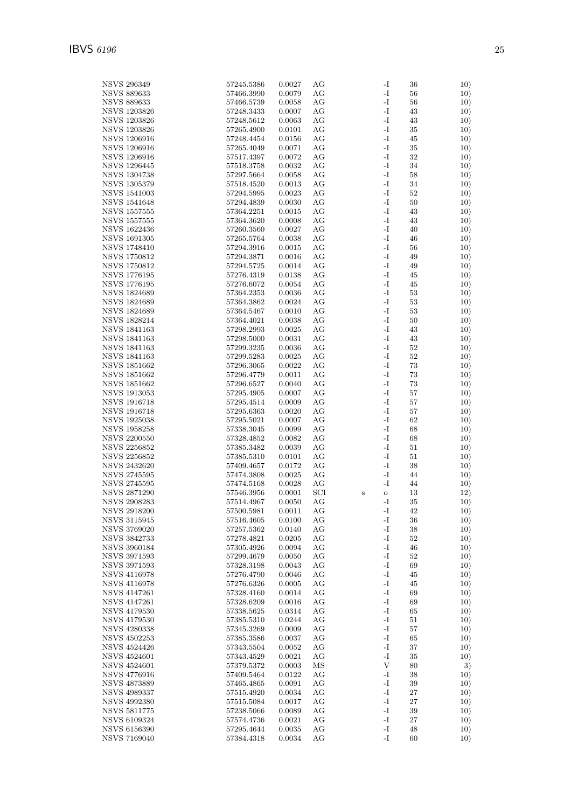| <b>NSVS 296349</b>  | 57245.5386     | 0.0027     | AG  |         | -1            | 36     | 10) |
|---------------------|----------------|------------|-----|---------|---------------|--------|-----|
|                     |                |            |     |         |               |        |     |
| <b>NSVS 889633</b>  | 57466.3990     | 0.0079     | АG  |         | $\mathbf{-I}$ | 56     | 10) |
| <b>NSVS 889633</b>  | 57466.5739     | 0.0058     | АG  |         | $\mathbf{I}$  | 56     | 10) |
|                     |                |            |     |         |               |        |     |
| <b>NSVS 1203826</b> | 57248.3433     | 0.0007     | AG  |         | -I            | 43     | 10) |
| <b>NSVS 1203826</b> | 57248.5612     | 0.0063     | AG  |         | $\mathbf{-I}$ | 43     | 10) |
|                     |                |            |     |         |               |        |     |
| <b>NSVS 1203826</b> | 57265.4900     | 0.0101     | AG  |         | -I            | 35     | 10) |
| <b>NSVS 1206916</b> | 57248.4454     | 0.0156     | AG  |         | $\mathbf{I}$  | 45     | 10) |
|                     |                |            |     |         |               |        |     |
| <b>NSVS 1206916</b> | 57265.4049     | 0.0071     | АG  |         | $\mathbf{I}$  | $35\,$ | 10) |
| <b>NSVS 1206916</b> | 57517.4397     | 0.0072     | АG  |         | -I            | 32     | 10) |
|                     |                |            |     |         |               |        |     |
| <b>NSVS 1296445</b> | 57518.3758     | 0.0032     | AG  |         | $\mathbf{-I}$ | 34     | 10) |
| <b>NSVS 1304738</b> | 57297.5664     | 0.0058     | AG  |         | -I            | 58     | 10) |
|                     |                |            |     |         |               |        |     |
| <b>NSVS 1305379</b> | 57518.4520     | 0.0013     | AG  |         | -I            | 34     | 10) |
| <b>NSVS 1541003</b> | 57294.5995     | 0.0023     | АG  |         | -I            | 52     | 10) |
|                     |                |            |     |         |               |        |     |
| <b>NSVS 1541648</b> | 57294.4839     | 0.0030     | AG  |         | $\mathbf{I}$  | 50     | 10) |
| <b>NSVS 1557555</b> | 57364.2251     | 0.0015     | AG  |         | $\mathbf{I}$  | 43     | 10) |
|                     |                |            |     |         |               |        |     |
| <b>NSVS</b> 1557555 | 57364.3620     | 0.0008     | АG  |         | -I            | 43     | 10) |
| <b>NSVS 1622436</b> | 57260.3560     | 0.0027     | AG  |         | $\mathbf{-I}$ | 40     | 10) |
|                     |                |            |     |         |               |        |     |
| <b>NSVS 1691305</b> | 57265.5764     | 0.0038     | AG  |         | $\mathbf{-I}$ | 46     | 10) |
| <b>NSVS 1748410</b> | 57294.3916     | 0.0015     | AG  |         | -I            | 56     | 10) |
|                     |                |            |     |         |               |        |     |
| <b>NSVS 1750812</b> | 57294.3871     | 0.0016     | AG  |         | $\mathbf{-I}$ | 49     | 10) |
| <b>NSVS 1750812</b> | $57294.5725\,$ | 0.0014     | АG  |         | $\mathbf{I}$  | 49     | 10) |
|                     |                |            |     |         |               |        |     |
| <b>NSVS 1776195</b> | 57276.4319     | 0.0138     | AG  |         | $\mathbf{I}$  | 45     | 10) |
| <b>NSVS 1776195</b> | 57276.6072     |            |     |         | -I            |        |     |
|                     |                | 0.0054     | AG  |         |               | 45     | 10) |
| <b>NSVS 1824689</b> | 57364.2353     | 0.0036     | AG  |         | $\mathbf{-I}$ | 53     | 10) |
|                     |                |            |     |         |               |        |     |
| <b>NSVS 1824689</b> | 57364.3862     | 0.0024     | AG  |         | -I            | 53     | 10) |
| <b>NSVS 1824689</b> | 57364.5467     | 0.0010     | AG  |         | $\mathbf{I}$  | 53     | 10) |
|                     |                |            |     |         |               |        |     |
| NSVS 1828214        | 57364.4021     | 0.0038     | АG  |         | $\mathbf{I}$  | 50     | 10) |
| <b>NSVS 1841163</b> | 57298.2993     | 0.0025     | AG  |         | -I            | 43     | 10) |
|                     |                |            |     |         |               |        |     |
| <b>NSVS 1841163</b> | 57298.5000     | 0.0031     | АG  |         | $\mathbf{I}$  | 43     | 10) |
| <b>NSVS 1841163</b> | 57299.3235     | 0.0036     | AG  |         | -I            | $52\,$ | 10) |
|                     |                |            |     |         |               |        |     |
| NSVS 1841163        | 57299.5283     | 0.0025     | AG  |         | $\mathbf{I}$  | $52\,$ | 10) |
| <b>NSVS 1851662</b> | 57296.3065     | 0.0022     | АG  |         | -I            | 73     | 10) |
|                     |                |            |     |         |               |        |     |
| <b>NSVS 1851662</b> | 57296.4779     | 0.0011     | AG  |         | $\mathbf{I}$  | 73     | 10) |
| <b>NSVS 1851662</b> | 57296.6527     | 0.0040     | АG  |         | $\mathbf{I}$  | 73     | 10) |
|                     |                |            |     |         |               |        |     |
| <b>NSVS 1913053</b> | 57295.4905     | 0.0007     | АG  |         | -I            | 57     | 10) |
| <b>NSVS 1916718</b> | 57295.4514     | 0.0009     | AG  |         | $\mathbf{-I}$ | 57     | 10) |
|                     |                |            |     |         |               |        |     |
| <b>NSVS 1916718</b> | 57295.6363     | 0.0020     | AG  |         | -I            | 57     | 10) |
| <b>NSVS 1925038</b> | 57295.5021     | 0.0007     | AG  |         | -I            | 62     | 10) |
|                     |                |            |     |         |               |        |     |
| <b>NSVS 1958258</b> | 57338.3045     | 0.0099     | AG  |         | $\mathbf{I}$  | 68     | 10) |
| <b>NSVS 2200550</b> |                | 0.0082     | АG  |         | $\mathbf{I}$  | 68     | 10) |
|                     | 57328.4852     |            |     |         |               |        |     |
| <b>NSVS 2256852</b> | 57385.3482     | 0.0039     | AG  |         | $\mathbf{I}$  | 51     | 10) |
| <b>NSVS 2256852</b> |                |            |     |         | -I            |        |     |
|                     | 57385.5310     | 0.0101     | AG  |         |               | 51     | 10) |
| <b>NSVS 2432620</b> | 57409.4657     | 0.0172     | AG  |         | -I            | 38     | 10) |
|                     |                |            |     |         | -I            |        |     |
| <b>NSVS 2745595</b> | 57474.3808     | 0.0025     | AG  |         |               | 44     | 10) |
| <b>NSVS 2745595</b> | 57474.5168     | 0.0028     | AG  |         | -I            | 44     | 10) |
|                     |                |            |     |         |               |        |     |
| <b>NSVS 2871290</b> | 57546.3956     | 0.0001     | SCI | $\bf S$ | $\circ$       | 13     | 12) |
| NSVS 2908283        | 57514.4967     | $0.0050\,$ | AG  |         | $\mathbf{-I}$ | 35     | 10) |
|                     |                |            |     |         |               |        |     |
| <b>NSVS 2918200</b> | 57500.5981     | 0.0011     | AG  |         | $\mathbf{I}$  | 42     | 10) |
| $\rm NSVS$ 3115945  | 57516.4605     | 0.0100     | AG  |         | $\mathbf{-I}$ | 36     | 10) |
|                     |                |            |     |         |               |        |     |
| <b>NSVS 3769020</b> | 57257.5362     | 0.0140     | AG  |         | -I            | 38     | 10) |
| <b>NSVS 3842733</b> | 57278.4821     | 0.0205     | AG  |         | $\mathbf{I}$  | 52     | 10) |
|                     |                |            |     |         |               |        |     |
| <b>NSVS 3960184</b> | 57305.4926     | 0.0094     | AG  |         | $\mathbf{I}$  | 46     | 10) |
| <b>NSVS 3971593</b> | 57299.4679     | 0.0050     | АG  |         | $\mathbf{-I}$ | 52     | 10) |
|                     |                |            | AG  |         | $\mathbf{-I}$ | 69     |     |
| NSVS 3971593        | 57328.3198     | 0.0043     |     |         |               |        | 10) |
| <b>NSVS 4116978</b> | $57276.4790\,$ | 0.0046     | AG  |         | -I            | 45     | 10) |
| <b>NSVS 4116978</b> |                | 0.0005     |     |         | $\mathbf{-I}$ |        |     |
|                     | 57276.6326     |            | AG  |         |               | 45     | 10) |
| NSVS 4147261        | 57328.4160     | 0.0014     | AG  |         | -I            | 69     | 10) |
|                     |                |            |     |         | $\mathbf{-I}$ |        |     |
| NSVS 4147261        | 57328.6209     | 0.0016     | AG  |         |               | 69     | 10) |
| NSVS 4179530        | 57338.5625     | 0.0314     | AG  |         | $\mathbf{-I}$ | 65     | 10) |
| <b>NSVS 4179530</b> |                |            |     |         | -I            |        |     |
|                     | 57385.5310     | 0.0244     | AG  |         |               | 51     | 10) |
| <b>NSVS 4280338</b> | 57345.3269     | 0.0009     | AG  |         | $\mathbf{-I}$ | 57     | 10) |
| NSVS 4502253        | 57385.3586     | 0.0037     | AG  |         | -I            | 65     | 10) |
|                     |                |            |     |         |               |        |     |
| <b>NSVS 4524426</b> | 57343.5504     | 0.0052     | AG  |         | $\mathbf{-I}$ | 37     | 10) |
| <b>NSVS 4524601</b> | 57343.4529     | 0.0021     | AG  |         | -I            | 35     | 10) |
|                     |                |            |     |         |               |        |     |
| <b>NSVS 4524601</b> | 57379.5372     | 0.0003     | MS  |         | $\mathbf{V}$  | 80     | 3)  |
|                     |                |            |     |         | $\mathbf{-I}$ | 38     | 10) |
| NSVS 4776916        | 57409.5464     | 0.0122     | AG  |         |               |        |     |
| NSVS 4873889        | 57465.4865     | 0.0091     | AG  |         | -I            | 39     | 10) |
| <b>NSVS 4989337</b> | 57515.4920     | 0.0034     | AG  |         | $\mathbf{-I}$ | 27     | 10) |
|                     |                |            |     |         |               |        |     |
| <b>NSVS 4992380</b> | 57515.5084     | 0.0017     | AG  |         | -I            | 27     | 10) |
| <b>NSVS 5811775</b> | 57238.5066     | 0.0089     | AG  |         | -1            | 39     | 10) |
|                     |                |            |     |         |               |        |     |
| <b>NSVS 6109324</b> | 57574.4736     | 0.0021     | AG  |         | $\mathbf{-I}$ | 27     | 10) |
| <b>NSVS 6156390</b> | 57295.4644     | 0.0035     | AG  |         | $\mathbf{I}$  | 48     | 10) |
|                     |                |            |     |         |               |        |     |
| <b>NSVS 7169040</b> | 57384.4318     | 0.0034     | AG  |         | $\mathbf{-I}$ | 60     | 10) |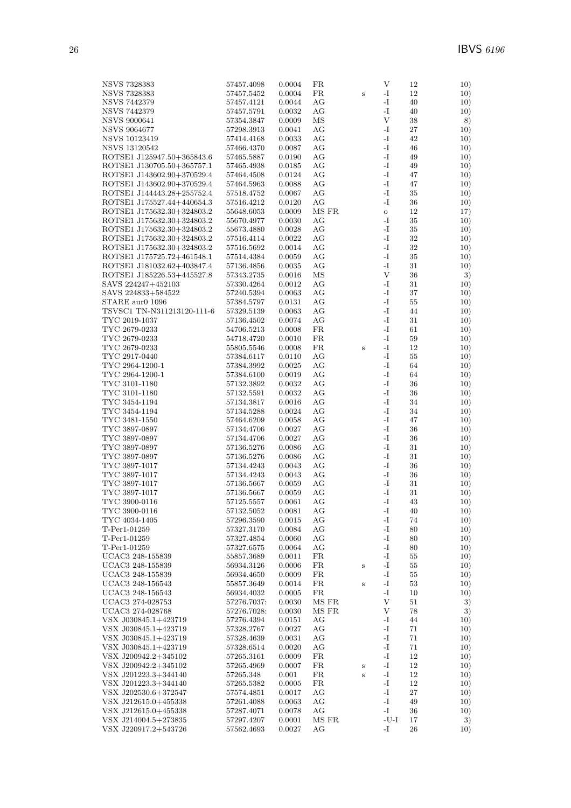| NSVS 7328383               | 57457.4098  | 0.0004 | FR    |              | V             | 12     | 10) |
|----------------------------|-------------|--------|-------|--------------|---------------|--------|-----|
| <b>NSVS 7328383</b>        | 57457.5452  | 0.0004 | FR    | $\, {\bf S}$ | -I            | 12     | 10) |
| <b>NSVS 7442379</b>        | 57457.4121  | 0.0044 | АG    |              | $\mathbf{-I}$ | 40     | 10) |
|                            |             |        |       |              |               |        |     |
| NSVS 7442379               | 57457.5791  | 0.0032 | АG    |              | -I            | 40     | 10) |
| <b>NSVS 9000641</b>        | 57354.3847  | 0.0009 | ΜS    |              | V             | 38     | 8)  |
| <b>NSVS 9064677</b>        | 57298.3913  | 0.0041 | AG    |              | -I            | 27     | 10) |
|                            |             |        | AG    |              | $\mathbf{-I}$ | 42     |     |
| <b>NSVS 10123419</b>       | 57414.4168  | 0.0033 |       |              |               |        | 10) |
| NSVS 13120542              | 57466.4370  | 0.0087 | AG    |              | -I            | 46     | 10) |
| ROTSE1 J125947.50+365843.6 | 57465.5887  | 0.0190 | AG    |              | -I            | 49     | 10) |
| ROTSE1 J130705.50+365757.1 | 57465.4938  | 0.0185 | АG    |              | $\mathbf{-I}$ | 49     | 10) |
|                            |             |        |       |              |               |        |     |
| ROTSE1 J143602.90+370529.4 | 57464.4508  | 0.0124 | АG    |              | -I            | 47     | 10) |
| ROTSE1 J143602.90+370529.4 | 57464.5963  | 0.0088 | AG    |              | -I            | 47     | 10) |
| ROTSE1 J144443.28+255752.4 | 57518.4752  | 0.0067 | AG    |              | -I            | 35     | 10) |
| ROTSE1 J175527.44+440654.3 | 57516.4212  | 0.0120 | AG    |              | -I            | 36     | 10) |
|                            |             |        |       |              |               |        |     |
| ROTSE1 J175632.30+324803.2 | 55648.6053  | 0.0009 | MS FR |              | $\mathbf{o}$  | 12     | 17) |
| ROTSE1 J175632.30+324803.2 | 55670.4977  | 0.0030 | АG    |              | -I            | 35     | 10) |
| ROTSE1 J175632.30+324803.2 | 55673.4880  | 0.0028 | АG    |              | $\mathbf{-I}$ | 35     | 10) |
|                            |             |        | AG    |              | -I            | $32\,$ |     |
| ROTSE1 J175632.30+324803.2 | 57516.4114  | 0.0022 |       |              |               |        | 10) |
| ROTSE1 J175632.30+324803.2 | 57516.5692  | 0.0014 | AG    |              | -I            | $32\,$ | 10) |
| ROTSE1 J175725.72+461548.1 | 57514.4384  | 0.0059 | АG    |              | -I            | 35     | 10) |
| ROTSE1 J181032.62+403847.4 | 57136.4856  | 0.0035 | АG    |              | -I            | 31     | 10) |
|                            |             |        |       |              | $\mathbf{V}$  |        |     |
| ROTSE1 J185226.53+445527.8 | 57343.2735  | 0.0016 | ΜS    |              |               | 36     | 3)  |
| SAVS 224247+452103         | 57330.4264  | 0.0012 | АG    |              | -I            | 31     | 10) |
| SAVS 224833+584522         | 57240.5394  | 0.0063 | АG    |              | -I            | 37     | 10) |
| STARE aur0 1096            | 57384.5797  | 0.0131 | AG    |              | -I            | 55     | 10) |
|                            |             |        |       |              |               |        |     |
| TSVSC1 TN-N311213120-111-6 | 57329.5139  | 0.0063 | AG    |              | $\mathbf{-I}$ | 44     | 10) |
| TYC 2019-1037              | 57136.4502  | 0.0074 | АG    |              | -I            | 31     | 10) |
| TYC 2679-0233              | 54706.5213  | 0.0008 | FR    |              | -I            | 61     | 10) |
| TYC 2679-0233              | 54718.4720  | 0.0010 | FR    |              | $\mathbf{I}$  | 59     | 10) |
|                            |             |        |       |              |               |        |     |
| TYC 2679-0233              | 55805.5546  | 0.0008 | FR    | $\, {\bf S}$ | -I            | 12     | 10) |
| TYC 2917-0440              | 57384.6117  | 0.0110 | AG    |              | $\mathbf{I}$  | 55     | 10) |
| TYC 2964-1200-1            | 57384.3992  | 0.0025 | AG    |              | -I            | 64     | 10) |
| TYC 2964-1200-1            | 57384.6100  | 0.0019 | АG    |              | -I            | 64     | 10) |
|                            |             |        | AG    |              | $\mathbf{-I}$ |        |     |
| TYC 3101-1180              | 57132.3892  | 0.0032 |       |              |               | 36     | 10) |
| TYC 3101-1180              | 57132.5591  | 0.0032 | АG    |              | $\mathbf{-I}$ | 36     | 10) |
| TYC 3454-1194              | 57134.3817  | 0.0016 | АG    |              | $\mathbf{-I}$ | 34     | 10) |
| TYC 3454-1194              | 57134.5288  | 0.0024 | АG    |              | -I            | 34     | 10) |
| TYC 3481-1550              | 57464.6209  | 0.0058 | AG    |              | -I            | 47     | 10) |
|                            |             |        |       |              |               |        |     |
| TYC 3897-0897              | 57134.4706  | 0.0027 | AG    |              | -I            | 36     | 10) |
| TYC 3897-0897              | 57134.4706  | 0.0027 | АG    |              | -I            | 36     | 10) |
| TYC 3897-0897              | 57136.5276  | 0.0086 | AG    |              | $\mathbf{-I}$ | 31     | 10) |
| TYC 3897-0897              | 57136.5276  | 0.0086 | АG    |              | -I            | 31     | 10) |
|                            |             |        |       |              | -I            |        |     |
| TYC 3897-1017              | 57134.4243  | 0.0043 | АG    |              |               | 36     | 10) |
| TYC 3897-1017              | 57134.4243  | 0.0043 | AG    |              | -I            | 36     | 10) |
| TYC 3897-1017              | 57136.5667  | 0.0059 | AG    |              | -I            | 31     | 10) |
| TYC 3897-1017              | 57136.5667  | 0.0059 | AG    |              | -I            | 31     | 10) |
| TYC 3900-0116              | 57125.5557  | 0.0061 | AG    |              | $-I$          | 43     | 10) |
|                            |             |        |       |              |               |        |     |
| TYC 3900-0116              | 57132.5052  | 0.0081 | AG    |              | $\mathbf{-I}$ | 40     | 10) |
| TYC 4034-1405              | 57296.3590  | 0.0015 | AG    |              | $\mathbf{-I}$ | 74     | 10) |
| T-Per1-01259               | 57327.3170  | 0.0084 | АG    |              | -I            | 80     | 10) |
| T-Per1-01259               | 57327.4854  | 0.0060 | AG    |              | $\mathbf{-I}$ | 80     | 10) |
|                            |             |        |       |              |               |        |     |
| T-Per1-01259               | 57327.6575  | 0.0064 | АG    |              | -1            | 80     | 10) |
| UCAC3 248-155839           | 55857.3689  | 0.0011 | FR    |              | -I            | 55     | 10) |
| UCAC3 248-155839           | 56934.3126  | 0.0006 | FR    | $\, {\bf S}$ | $\mathbf{-I}$ | 55     | 10) |
| UCAC3 248-155839           | 56934.4650  | 0.0009 | FR    |              | -I            | 55     | 10) |
| UCAC3 248-156543           |             |        |       |              | $\mathbf{-I}$ |        |     |
|                            | 55857.3649  | 0.0014 | FR    | $\, {\bf S}$ |               | 53     | 10) |
| UCAC3 248-156543           | 56934.4032  | 0.0005 | FR    |              | -I            | 10     | 10) |
| UCAC3 274-028753           | 57276.7037: | 0.0030 | MS FR |              | $\mathbf{V}$  | 51     | 3)  |
| UCAC3 274-028768           | 57276.7028: | 0.0030 | MS FR |              | V             | 78     | 3)  |
| VSX J030845.1+423719       | 57276.4394  | 0.0151 | AG    |              | -I            | 44     | 10) |
|                            |             |        |       |              |               |        |     |
| VSX J030845.1+423719       | 57328.2767  | 0.0027 | AG    |              | $\mathbf{-I}$ | 71     | 10) |
| VSX J030845.1+423719       | 57328.4639  | 0.0031 | AG    |              | -I            | 71     | 10) |
| VSX J030845.1+423719       | 57328.6514  | 0.0020 | АG    |              | -I            | 71     | 10) |
| VSX J200942.2+345102       | 57265.3161  | 0.0009 | FR    |              | -I            | 12     | 10) |
|                            |             |        | FR    |              | -1            | 12     |     |
| VSX J200942.2+345102       | 57265.4969  | 0.0007 |       | $\bf S$      |               |        | 10) |
| VSX J201223.3+344140       | 57265.348   | 0.001  | FR    | $\,$ s       | $\mathbf{I}$  | 12     | 10) |
| VSX J201223.3+344140       | 57265.5382  | 0.0005 | FR    |              | $\mathbf{I}$  | 12     | 10) |
| VSX J202530.6+372547       | 57574.4851  | 0.0017 | АG    |              | -I            | 27     | 10) |
| VSX J212615.0+455338       | 57261.4088  | 0.0063 | AG    |              | -I            | 49     | 10) |
|                            |             |        |       |              | -I            |        |     |
| VSX J212615.0+455338       | 57287.4071  | 0.0078 | AG    |              |               | 36     | 10) |
| VSX J214004.5+273835       | 57297.4207  | 0.0001 | MS FR |              | $-U-I$        | $17\,$ | 3)  |
| VSX J220917.2+543726       | 57562.4693  | 0.0027 | AG    |              | $\mathbf{I}$  | 26     | 10) |
|                            |             |        |       |              |               |        |     |